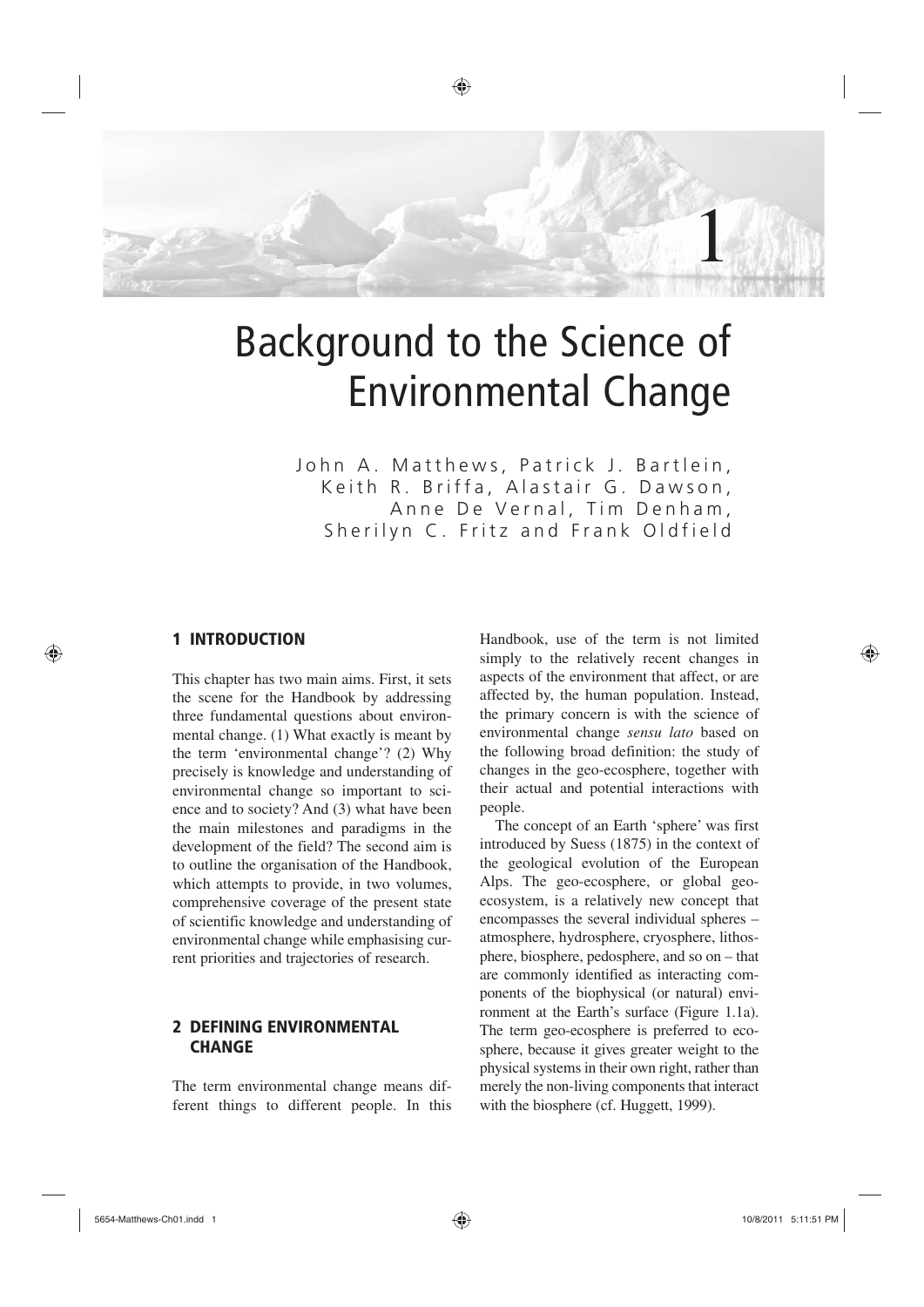

# Background to the Science of Environmental Change

John A. Matthews, Patrick J. Bartlein, Keith R. Briffa, Alastair G. Dawson, Anne De Vernal, Tim Denham, Sherilyn C. Fritz and Frank Oldfield

## 1 INTRODUCTION

⊕

This chapter has two main aims. First, it sets the scene for the Handbook by addressing three fundamental questions about environmental change. (1) What exactly is meant by the term 'environmental change'? (2) Why precisely is knowledge and understanding of environmental change so important to science and to society? And (3) what have been the main milestones and paradigms in the development of the field? The second aim is to outline the organisation of the Handbook, which attempts to provide, in two volumes, comprehensive coverage of the present state of scientific knowledge and understanding of environmental change while emphasising current priorities and trajectories of research.

## 2 DEFINING ENVIRONMENTAL **CHANGE**

The term environmental change means different things to different people. In this Handbook, use of the term is not limited simply to the relatively recent changes in aspects of the environment that affect, or are affected by, the human population. Instead, the primary concern is with the science of environmental change *sensu lato* based on the following broad definition: the study of changes in the geo-ecosphere, together with their actual and potential interactions with people.

The concept of an Earth 'sphere' was first introduced by Suess (1875) in the context of the geological evolution of the European Alps. The geo-ecosphere, or global geoecosystem, is a relatively new concept that encompasses the several individual spheres – atmosphere, hydrosphere, cryosphere, lithosphere, biosphere, pedosphere, and so on – that are commonly identified as interacting components of the biophysical (or natural) environment at the Earth's surface (Figure 1.1a). The term geo-ecosphere is preferred to ecosphere, because it gives greater weight to the physical systems in their own right, rather than merely the non-living components that interact with the biosphere (cf. Huggett, 1999).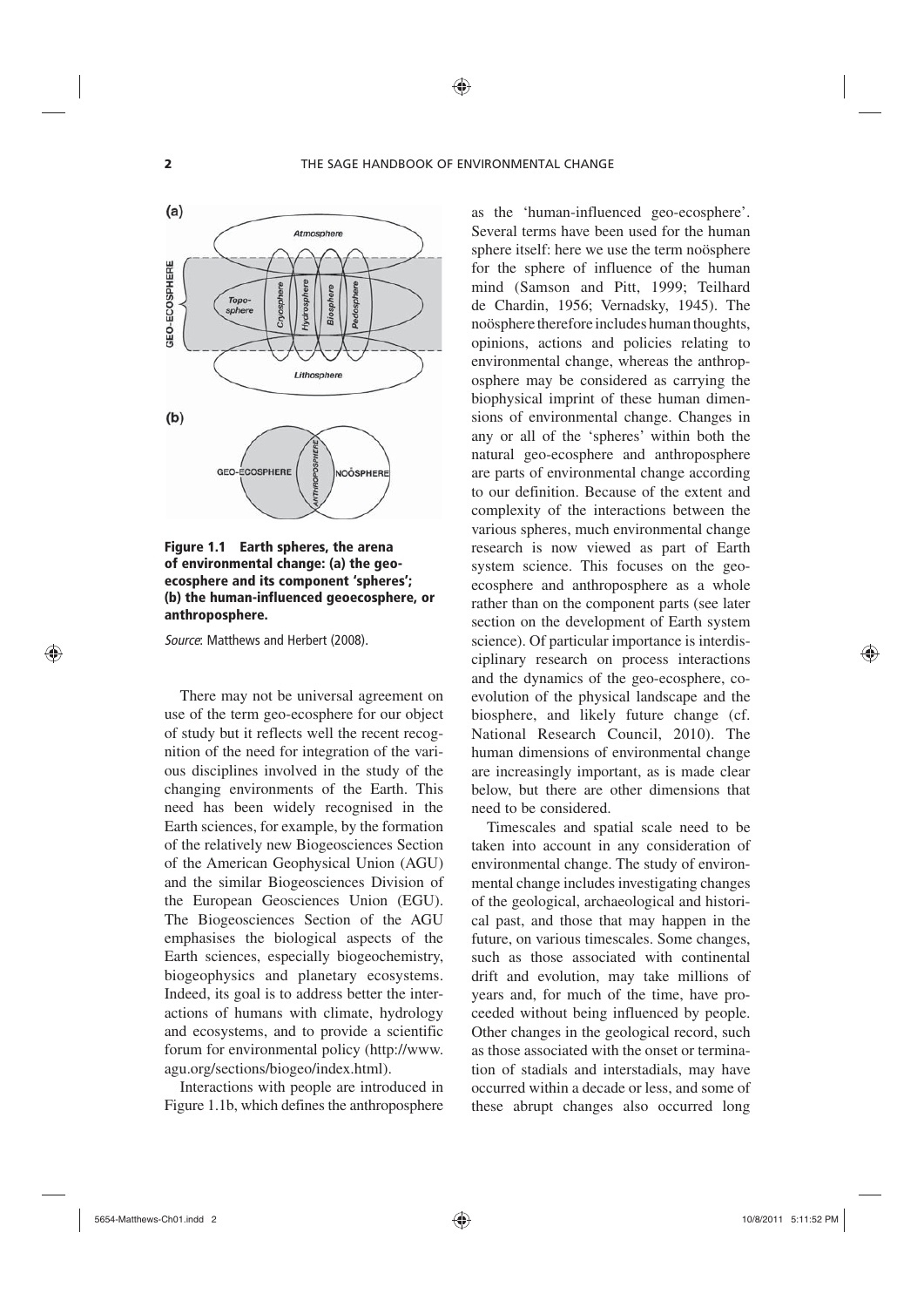

#### Figure 1.1 Earth spheres, the arena of environmental change: (a) the geoecosphere and its component 'spheres'; (b) the human-influenced geoecosphere, or anthroposphere.

*Source*: Matthews and Herbert (2008).

There may not be universal agreement on use of the term geo-ecosphere for our object of study but it reflects well the recent recognition of the need for integration of the various disciplines involved in the study of the changing environments of the Earth. This need has been widely recognised in the Earth sciences, for example, by the formation of the relatively new Biogeosciences Section of the American Geophysical Union (AGU) and the similar Biogeosciences Division of the European Geosciences Union (EGU). The Biogeosciences Section of the AGU emphasises the biological aspects of the Earth sciences, especially biogeochemistry, biogeophysics and planetary ecosystems. Indeed, its goal is to address better the interactions of humans with climate, hydrology and ecosystems, and to provide a scientific forum for environmental policy (http://www. agu.org/sections/biogeo/index.html).

Interactions with people are introduced in Figure 1.1b, which defines the anthroposphere as the 'human-influenced geo-ecosphere'. Several terms have been used for the human sphere itself: here we use the term noösphere for the sphere of influence of the human mind (Samson and Pitt, 1999; Teilhard de Chardin, 1956; Vernadsky, 1945). The noösphere therefore includes human thoughts, opinions, actions and policies relating to environmental change, whereas the anthroposphere may be considered as carrying the biophysical imprint of these human dimensions of environmental change. Changes in any or all of the 'spheres' within both the natural geo-ecosphere and anthroposphere are parts of environmental change according to our definition. Because of the extent and complexity of the interactions between the various spheres, much environmental change research is now viewed as part of Earth system science. This focuses on the geoecosphere and anthroposphere as a whole rather than on the component parts (see later section on the development of Earth system science). Of particular importance is interdisciplinary research on process interactions and the dynamics of the geo-ecosphere, coevolution of the physical landscape and the biosphere, and likely future change (cf. National Research Council, 2010). The human dimensions of environmental change are increasingly important, as is made clear below, but there are other dimensions that need to be considered.

Timescales and spatial scale need to be taken into account in any consideration of environmental change. The study of environmental change includes investigating changes of the geological, archaeological and historical past, and those that may happen in the future, on various timescales. Some changes, such as those associated with continental drift and evolution, may take millions of years and, for much of the time, have proceeded without being influenced by people. Other changes in the geological record, such as those associated with the onset or termination of stadials and interstadials, may have occurred within a decade or less, and some of these abrupt changes also occurred long

⊕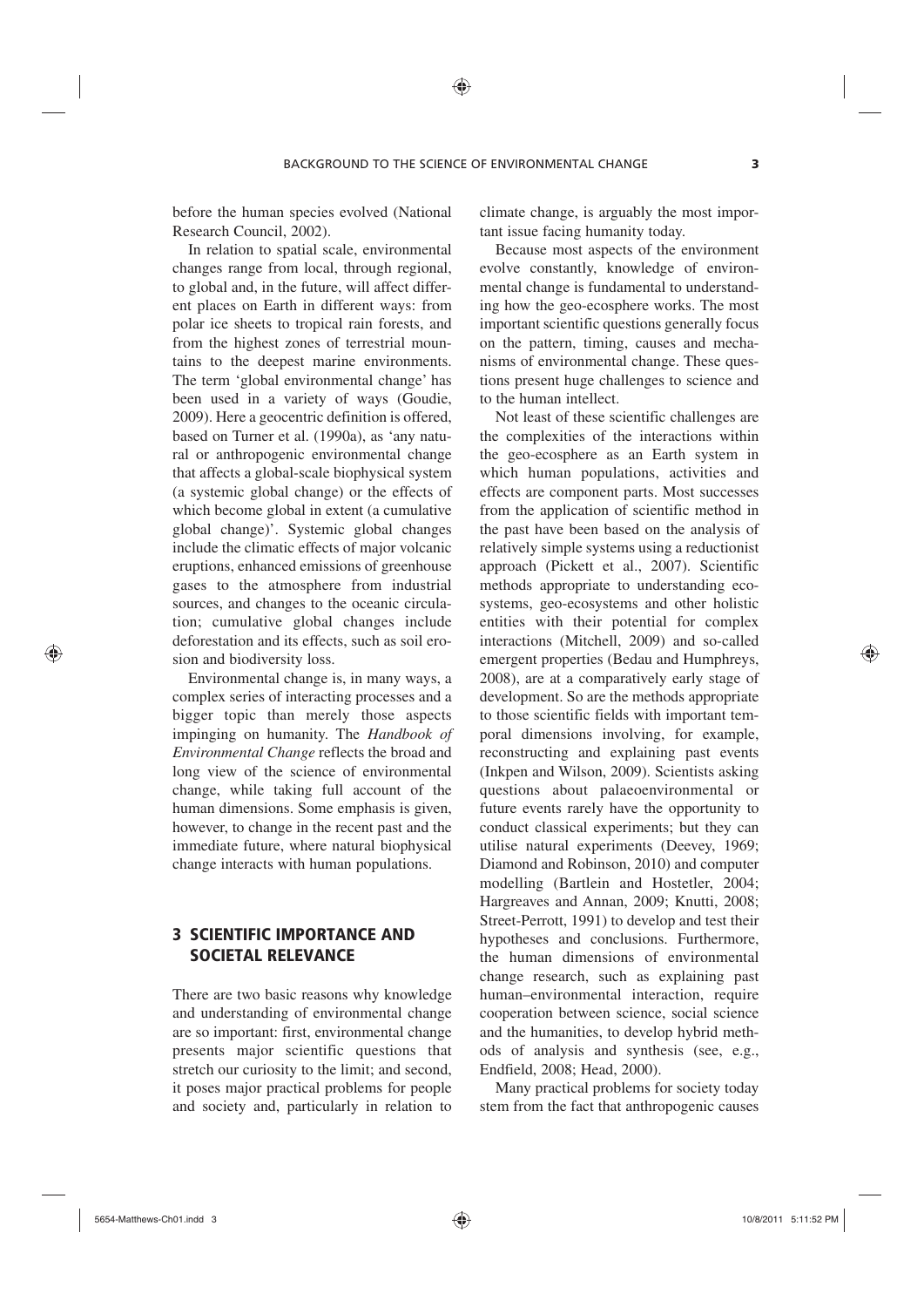before the human species evolved (National Research Council, 2002).

In relation to spatial scale, environmental changes range from local, through regional, to global and, in the future, will affect different places on Earth in different ways: from polar ice sheets to tropical rain forests, and from the highest zones of terrestrial mountains to the deepest marine environments. The term 'global environmental change' has been used in a variety of ways (Goudie, 2009). Here a geocentric definition is offered, based on Turner et al. (1990a), as 'any natural or anthropogenic environmental change that affects a global-scale biophysical system (a systemic global change) or the effects of which become global in extent (a cumulative global change)'. Systemic global changes include the climatic effects of major volcanic eruptions, enhanced emissions of greenhouse gases to the atmosphere from industrial sources, and changes to the oceanic circulation; cumulative global changes include deforestation and its effects, such as soil erosion and biodiversity loss.

Environmental change is, in many ways, a complex series of interacting processes and a bigger topic than merely those aspects impinging on humanity. The *Handbook of Environmental Change* reflects the broad and long view of the science of environmental change, while taking full account of the human dimensions. Some emphasis is given, however, to change in the recent past and the immediate future, where natural biophysical change interacts with human populations.

# 3 SCIENTIFIC IMPORTANCE AND SOCIETAL RELEVANCE

There are two basic reasons why knowledge and understanding of environmental change are so important: first, environmental change presents major scientific questions that stretch our curiosity to the limit; and second, it poses major practical problems for people and society and, particularly in relation to

climate change, is arguably the most important issue facing humanity today.

Because most aspects of the environment evolve constantly, knowledge of environmental change is fundamental to understanding how the geo-ecosphere works. The most important scientific questions generally focus on the pattern, timing, causes and mechanisms of environmental change. These questions present huge challenges to science and to the human intellect.

Not least of these scientific challenges are the complexities of the interactions within the geo-ecosphere as an Earth system in which human populations, activities and effects are component parts. Most successes from the application of scientific method in the past have been based on the analysis of relatively simple systems using a reductionist approach (Pickett et al., 2007). Scientific methods appropriate to understanding ecosystems, geo-ecosystems and other holistic entities with their potential for complex interactions (Mitchell, 2009) and so-called emergent properties (Bedau and Humphreys, 2008), are at a comparatively early stage of development. So are the methods appropriate to those scientific fields with important temporal dimensions involving, for example, reconstructing and explaining past events (Inkpen and Wilson, 2009). Scientists asking questions about palaeoenvironmental or future events rarely have the opportunity to conduct classical experiments; but they can utilise natural experiments (Deevey, 1969; Diamond and Robinson, 2010) and computer modelling (Bartlein and Hostetler, 2004; Hargreaves and Annan, 2009; Knutti, 2008; Street-Perrott, 1991) to develop and test their hypotheses and conclusions. Furthermore, the human dimensions of environmental change research, such as explaining past human–environmental interaction, require cooperation between science, social science and the humanities, to develop hybrid methods of analysis and synthesis (see, e.g., Endfield, 2008; Head, 2000).

Many practical problems for society today stem from the fact that anthropogenic causes

⊕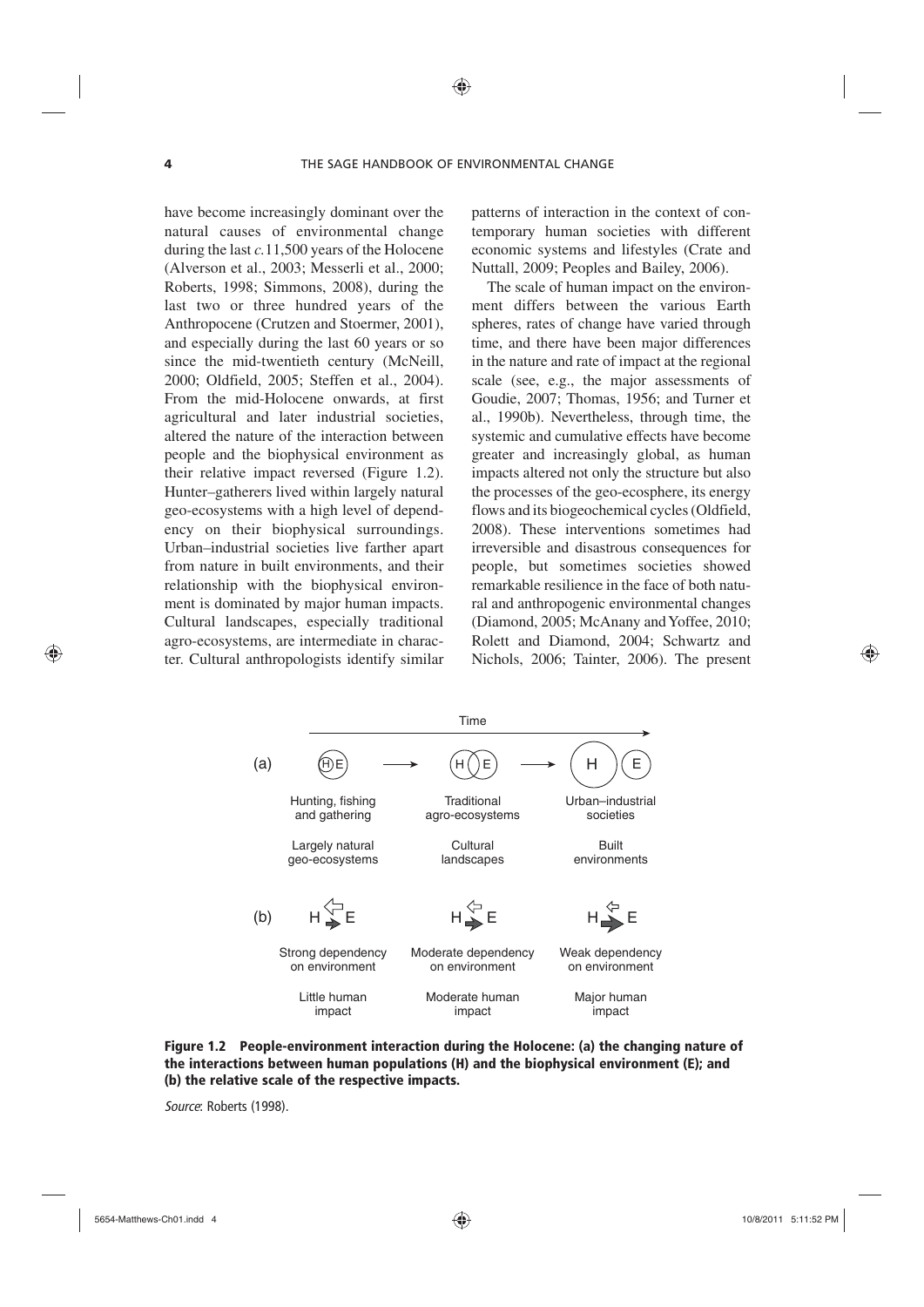have become increasingly dominant over the natural causes of environmental change during the last *c.*11,500 years of the Holocene (Alverson et al., 2003; Messerli et al., 2000; Roberts, 1998; Simmons, 2008), during the last two or three hundred years of the Anthropocene (Crutzen and Stoermer, 2001), and especially during the last 60 years or so since the mid-twentieth century (McNeill, 2000; Oldfield, 2005; Steffen et al., 2004). From the mid-Holocene onwards, at first agricultural and later industrial societies, altered the nature of the interaction between people and the biophysical environment as their relative impact reversed (Figure 1.2). Hunter–gatherers lived within largely natural geo-ecosystems with a high level of dependency on their biophysical surroundings. Urban–industrial societies live farther apart from nature in built environments, and their relationship with the biophysical environment is dominated by major human impacts. Cultural landscapes, especially traditional agro-ecosystems, are intermediate in character. Cultural anthropologists identify similar

patterns of interaction in the context of contemporary human societies with different economic systems and lifestyles (Crate and Nuttall, 2009; Peoples and Bailey, 2006).

The scale of human impact on the environment differs between the various Earth spheres, rates of change have varied through time, and there have been major differences in the nature and rate of impact at the regional scale (see, e.g., the major assessments of Goudie, 2007; Thomas, 1956; and Turner et al., 1990b). Nevertheless, through time, the systemic and cumulative effects have become greater and increasingly global, as human impacts altered not only the structure but also the processes of the geo-ecosphere, its energy flows and its biogeochemical cycles (Oldfield, 2008). These interventions sometimes had irreversible and disastrous consequences for people, but sometimes societies showed remarkable resilience in the face of both natural and anthropogenic environmental changes (Diamond, 2005; McAnany and Yoffee, 2010; Rolett and Diamond, 2004; Schwartz and Nichols, 2006; Tainter, 2006). The present





*Source*: Roberts (1998).

⊕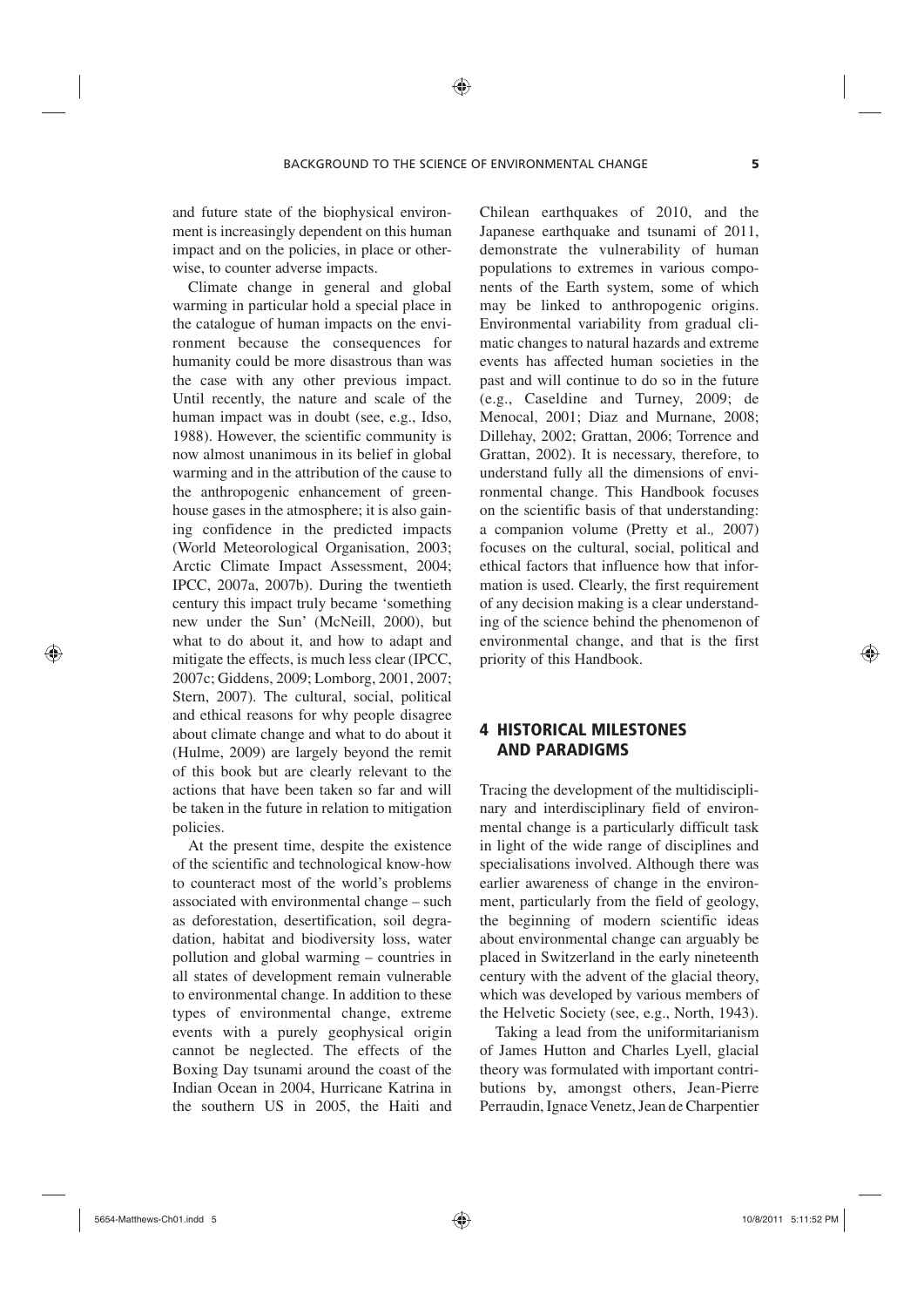and future state of the biophysical environment is increasingly dependent on this human impact and on the policies, in place or otherwise, to counter adverse impacts.

Climate change in general and global warming in particular hold a special place in the catalogue of human impacts on the environment because the consequences for humanity could be more disastrous than was the case with any other previous impact. Until recently, the nature and scale of the human impact was in doubt (see, e.g., Idso, 1988). However, the scientific community is now almost unanimous in its belief in global warming and in the attribution of the cause to the anthropogenic enhancement of greenhouse gases in the atmosphere; it is also gaining confidence in the predicted impacts (World Meteorological Organisation, 2003; Arctic Climate Impact Assessment, 2004; IPCC, 2007a, 2007b). During the twentieth century this impact truly became 'something new under the Sun' (McNeill, 2000), but what to do about it, and how to adapt and mitigate the effects, is much less clear (IPCC, 2007c; Giddens, 2009; Lomborg, 2001, 2007; Stern, 2007). The cultural, social, political and ethical reasons for why people disagree about climate change and what to do about it (Hulme, 2009) are largely beyond the remit of this book but are clearly relevant to the actions that have been taken so far and will be taken in the future in relation to mitigation policies.

At the present time, despite the existence of the scientific and technological know-how to counteract most of the world's problems associated with environmental change – such as deforestation, desertification, soil degradation, habitat and biodiversity loss, water pollution and global warming – countries in all states of development remain vulnerable to environmental change. In addition to these types of environmental change, extreme events with a purely geophysical origin cannot be neglected. The effects of the Boxing Day tsunami around the coast of the Indian Ocean in 2004, Hurricane Katrina in the southern US in 2005, the Haiti and

Chilean earthquakes of 2010, and the Japanese earthquake and tsunami of 2011, demonstrate the vulnerability of human populations to extremes in various components of the Earth system, some of which may be linked to anthropogenic origins. Environmental variability from gradual climatic changes to natural hazards and extreme events has affected human societies in the past and will continue to do so in the future (e.g., Caseldine and Turney, 2009; de Menocal, 2001; Diaz and Murnane, 2008; Dillehay, 2002; Grattan, 2006; Torrence and Grattan, 2002). It is necessary, therefore, to understand fully all the dimensions of environmental change. This Handbook focuses on the scientific basis of that understanding: a companion volume (Pretty et al.*,* 2007) focuses on the cultural, social, political and ethical factors that influence how that information is used. Clearly, the first requirement of any decision making is a clear understanding of the science behind the phenomenon of environmental change, and that is the first priority of this Handbook.

## 4 HISTORICAL MILESTONES AND PARADIGMS

Tracing the development of the multidisciplinary and interdisciplinary field of environmental change is a particularly difficult task in light of the wide range of disciplines and specialisations involved. Although there was earlier awareness of change in the environment, particularly from the field of geology, the beginning of modern scientific ideas about environmental change can arguably be placed in Switzerland in the early nineteenth century with the advent of the glacial theory, which was developed by various members of the Helvetic Society (see, e.g., North, 1943).

Taking a lead from the uniformitarianism of James Hutton and Charles Lyell, glacial theory was formulated with important contributions by, amongst others, Jean-Pierre Perraudin, Ignace Venetz, Jean de Charpentier

⊕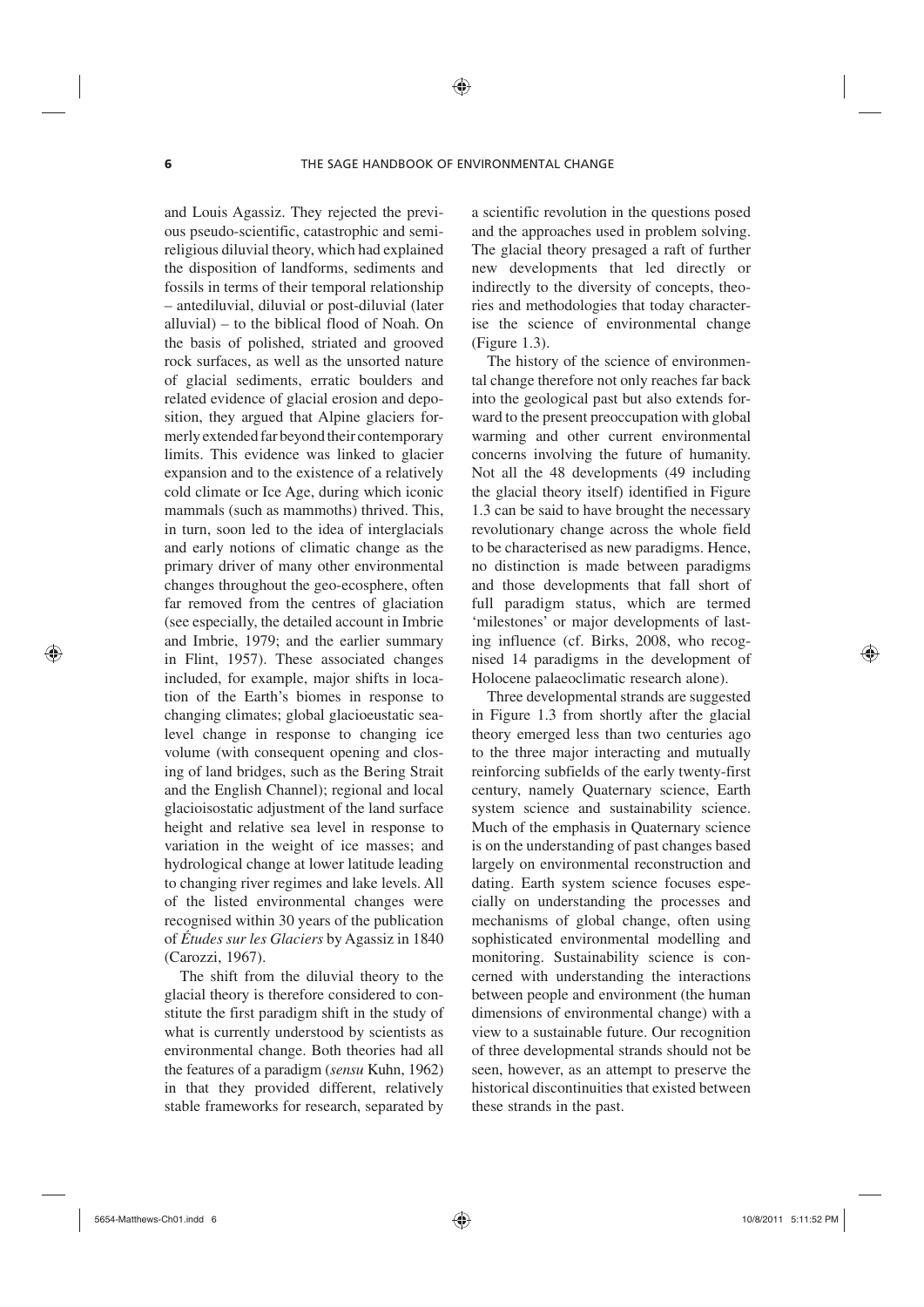and Louis Agassiz. They rejected the previous pseudo-scientific, catastrophic and semireligious diluvial theory, which had explained the disposition of landforms, sediments and fossils in terms of their temporal relationship – antediluvial, diluvial or post-diluvial (later alluvial) – to the biblical flood of Noah. On the basis of polished, striated and grooved rock surfaces, as well as the unsorted nature of glacial sediments, erratic boulders and related evidence of glacial erosion and deposition, they argued that Alpine glaciers formerly extended far beyond their contemporary limits. This evidence was linked to glacier expansion and to the existence of a relatively cold climate or Ice Age, during which iconic mammals (such as mammoths) thrived. This, in turn, soon led to the idea of interglacials and early notions of climatic change as the primary driver of many other environmental changes throughout the geo-ecosphere, often far removed from the centres of glaciation (see especially, the detailed account in Imbrie and Imbrie, 1979; and the earlier summary in Flint, 1957). These associated changes included, for example, major shifts in location of the Earth's biomes in response to changing climates; global glacioeustatic sealevel change in response to changing ice volume (with consequent opening and closing of land bridges, such as the Bering Strait and the English Channel); regional and local glacioisostatic adjustment of the land surface height and relative sea level in response to variation in the weight of ice masses; and hydrological change at lower latitude leading to changing river regimes and lake levels. All of the listed environmental changes were recognised within 30 years of the publication of *Études sur les Glaciers* by Agassiz in 1840 (Carozzi, 1967).

The shift from the diluvial theory to the glacial theory is therefore considered to constitute the first paradigm shift in the study of what is currently understood by scientists as environmental change. Both theories had all the features of a paradigm (*sensu* Kuhn, 1962) in that they provided different, relatively stable frameworks for research, separated by

a scientific revolution in the questions posed and the approaches used in problem solving. The glacial theory presaged a raft of further new developments that led directly or indirectly to the diversity of concepts, theories and methodologies that today characterise the science of environmental change (Figure 1.3).

The history of the science of environmental change therefore not only reaches far back into the geological past but also extends forward to the present preoccupation with global warming and other current environmental concerns involving the future of humanity. Not all the 48 developments (49 including the glacial theory itself) identified in Figure 1.3 can be said to have brought the necessary revolutionary change across the whole field to be characterised as new paradigms. Hence, no distinction is made between paradigms and those developments that fall short of full paradigm status, which are termed 'milestones' or major developments of lasting influence (cf. Birks, 2008, who recognised 14 paradigms in the development of Holocene palaeoclimatic research alone).

Three developmental strands are suggested in Figure 1.3 from shortly after the glacial theory emerged less than two centuries ago to the three major interacting and mutually reinforcing subfields of the early twenty-first century, namely Quaternary science, Earth system science and sustainability science. Much of the emphasis in Quaternary science is on the understanding of past changes based largely on environmental reconstruction and dating. Earth system science focuses especially on understanding the processes and mechanisms of global change, often using sophisticated environmental modelling and monitoring. Sustainability science is concerned with understanding the interactions between people and environment (the human dimensions of environmental change) with a view to a sustainable future. Our recognition of three developmental strands should not be seen, however, as an attempt to preserve the historical discontinuities that existed between these strands in the past.

⊕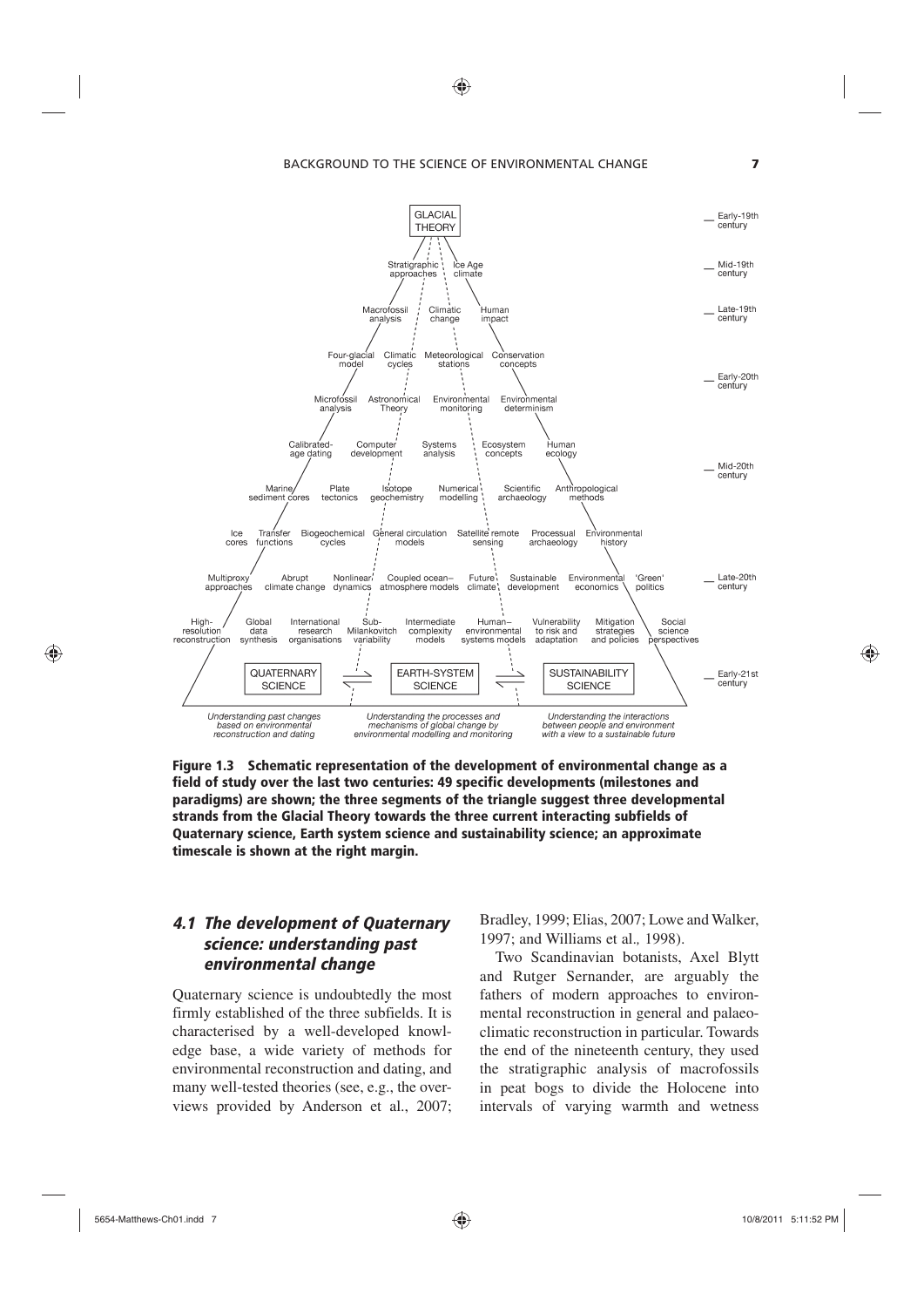BACKGROUND TO THE SCIENCE OF ENVIRONMENTAL CHANGE **7**

◈



Figure 1.3 Schematic representation of the development of environmental change as a field of study over the last two centuries: 49 specific developments (milestones and paradigms) are shown; the three segments of the triangle suggest three developmental strands from the Glacial Theory towards the three current interacting subfields of Quaternary science, Earth system science and sustainability science; an approximate timescale is shown at the right margin.

## *4.1 The development of Quaternary science: understanding past environmental change*

Quaternary science is undoubtedly the most firmly established of the three subfields. It is characterised by a well-developed knowledge base, a wide variety of methods for environmental reconstruction and dating, and many well-tested theories (see, e.g., the overviews provided by Anderson et al., 2007;

Bradley, 1999; Elias, 2007; Lowe and Walker, 1997; and Williams et al.*,* 1998).

Two Scandinavian botanists, Axel Blytt and Rutger Sernander, are arguably the fathers of modern approaches to environmental reconstruction in general and palaeoclimatic reconstruction in particular. Towards the end of the nineteenth century, they used the stratigraphic analysis of macrofossils in peat bogs to divide the Holocene into intervals of varying warmth and wetness

⊕

 $\bigoplus$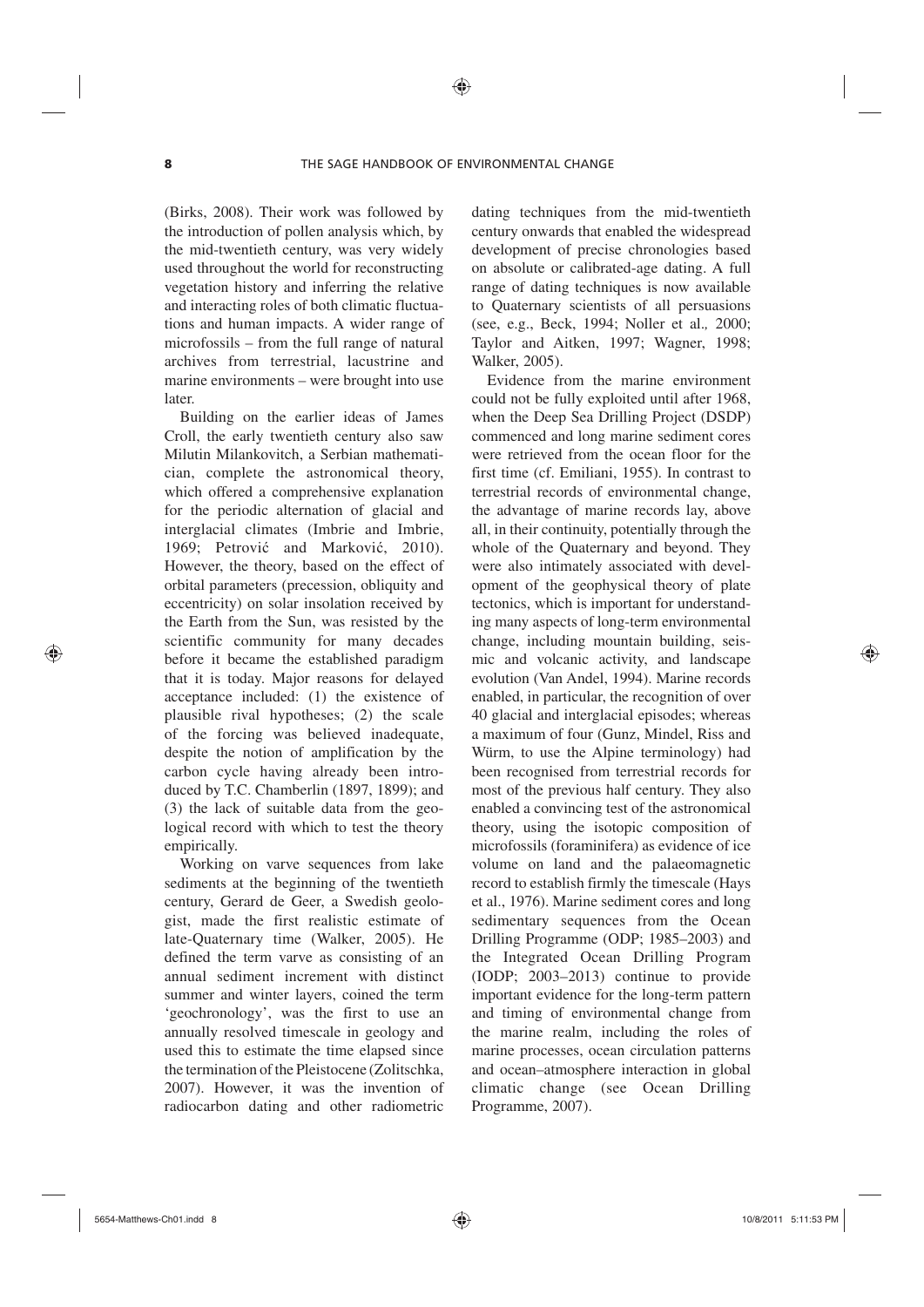(Birks, 2008). Their work was followed by the introduction of pollen analysis which, by the mid-twentieth century, was very widely used throughout the world for reconstructing vegetation history and inferring the relative and interacting roles of both climatic fluctuations and human impacts. A wider range of microfossils – from the full range of natural archives from terrestrial, lacustrine and marine environments – were brought into use later.

Building on the earlier ideas of James Croll, the early twentieth century also saw Milutin Milankovitch, a Serbian mathematician, complete the astronomical theory, which offered a comprehensive explanation for the periodic alternation of glacial and interglacial climates (Imbrie and Imbrie, 1969; Petrović and Marković, 2010). However, the theory, based on the effect of orbital parameters (precession, obliquity and eccentricity) on solar insolation received by the Earth from the Sun, was resisted by the scientific community for many decades before it became the established paradigm that it is today. Major reasons for delayed acceptance included: (1) the existence of plausible rival hypotheses; (2) the scale of the forcing was believed inadequate, despite the notion of amplification by the carbon cycle having already been introduced by T.C. Chamberlin (1897, 1899); and (3) the lack of suitable data from the geological record with which to test the theory empirically.

Working on varve sequences from lake sediments at the beginning of the twentieth century, Gerard de Geer, a Swedish geologist, made the first realistic estimate of late-Quaternary time (Walker, 2005). He defined the term varve as consisting of an annual sediment increment with distinct summer and winter layers, coined the term 'geochronology', was the first to use an annually resolved timescale in geology and used this to estimate the time elapsed since the termination of the Pleistocene (Zolitschka, 2007). However, it was the invention of radiocarbon dating and other radiometric dating techniques from the mid-twentieth century onwards that enabled the widespread development of precise chronologies based on absolute or calibrated-age dating. A full range of dating techniques is now available to Quaternary scientists of all persuasions (see, e.g., Beck, 1994; Noller et al.*,* 2000; Taylor and Aitken, 1997; Wagner, 1998; Walker, 2005).

Evidence from the marine environment could not be fully exploited until after 1968, when the Deep Sea Drilling Project (DSDP) commenced and long marine sediment cores were retrieved from the ocean floor for the first time (cf. Emiliani, 1955). In contrast to terrestrial records of environmental change, the advantage of marine records lay, above all, in their continuity, potentially through the whole of the Quaternary and beyond. They were also intimately associated with development of the geophysical theory of plate tectonics, which is important for understanding many aspects of long-term environmental change, including mountain building, seismic and volcanic activity, and landscape evolution (Van Andel, 1994). Marine records enabled, in particular, the recognition of over 40 glacial and interglacial episodes; whereas a maximum of four (Gunz, Mindel, Riss and Würm, to use the Alpine terminology) had been recognised from terrestrial records for most of the previous half century. They also enabled a convincing test of the astronomical theory, using the isotopic composition of microfossils (foraminifera) as evidence of ice volume on land and the palaeomagnetic record to establish firmly the timescale (Hays et al., 1976). Marine sediment cores and long sedimentary sequences from the Ocean Drilling Programme (ODP; 1985–2003) and the Integrated Ocean Drilling Program (IODP; 2003–2013) continue to provide important evidence for the long-term pattern and timing of environmental change from the marine realm, including the roles of marine processes, ocean circulation patterns and ocean–atmosphere interaction in global climatic change (see Ocean Drilling Programme, 2007).

♠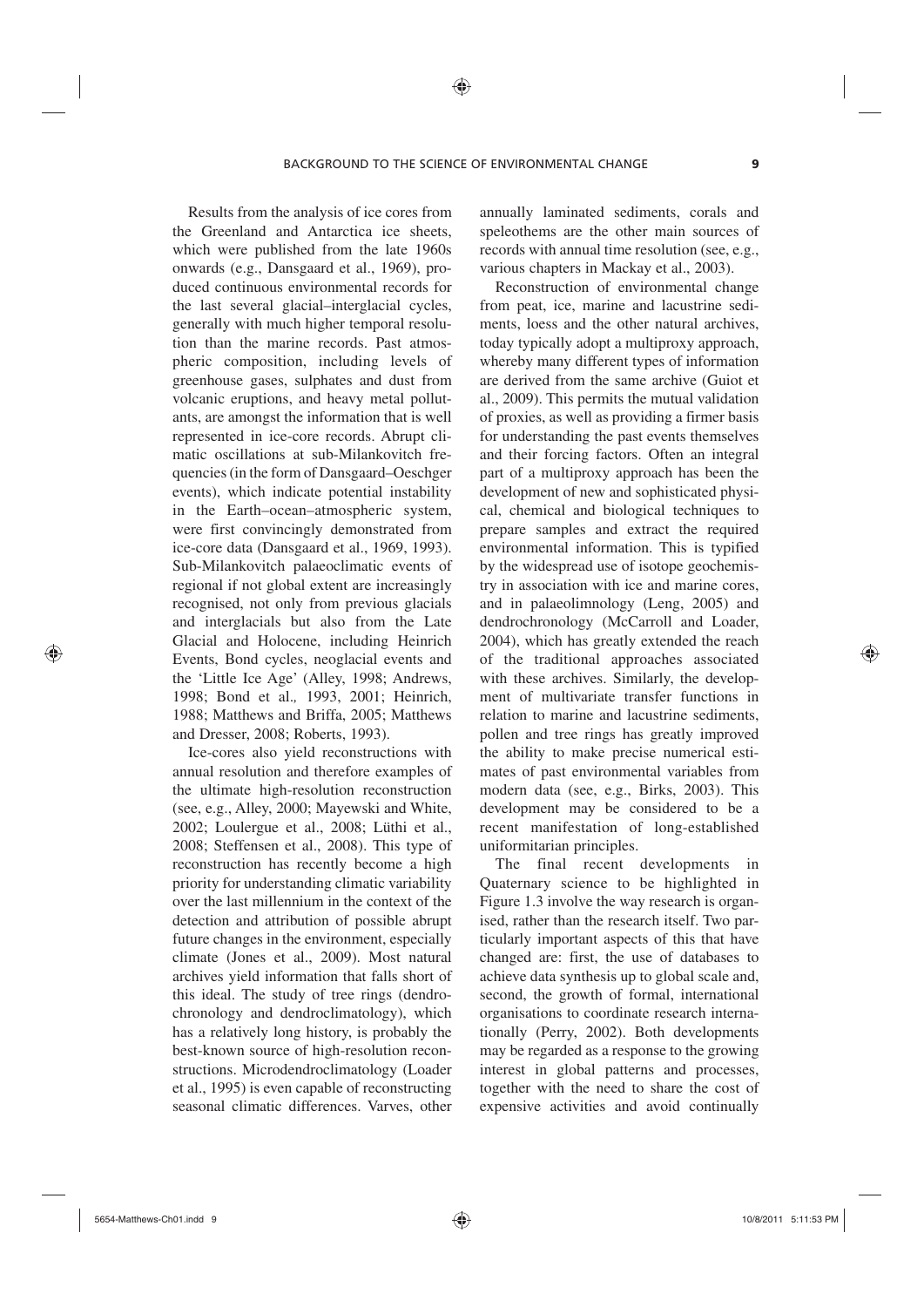Results from the analysis of ice cores from the Greenland and Antarctica ice sheets, which were published from the late 1960s onwards (e.g., Dansgaard et al., 1969), produced continuous environmental records for the last several glacial–interglacial cycles, generally with much higher temporal resolution than the marine records. Past atmospheric composition, including levels of greenhouse gases, sulphates and dust from volcanic eruptions, and heavy metal pollutants, are amongst the information that is well represented in ice-core records. Abrupt climatic oscillations at sub-Milankovitch frequencies (in the form of Dansgaard–Oeschger events), which indicate potential instability in the Earth–ocean–atmospheric system, were first convincingly demonstrated from ice-core data (Dansgaard et al., 1969, 1993). Sub-Milankovitch palaeoclimatic events of regional if not global extent are increasingly recognised, not only from previous glacials and interglacials but also from the Late Glacial and Holocene, including Heinrich Events, Bond cycles, neoglacial events and the 'Little Ice Age' (Alley, 1998; Andrews, 1998; Bond et al.*,* 1993, 2001; Heinrich, 1988; Matthews and Briffa, 2005; Matthews and Dresser, 2008; Roberts, 1993).

Ice-cores also yield reconstructions with annual resolution and therefore examples of the ultimate high-resolution reconstruction (see, e.g., Alley, 2000; Mayewski and White, 2002; Loulergue et al., 2008; Lüthi et al., 2008; Steffensen et al., 2008). This type of reconstruction has recently become a high priority for understanding climatic variability over the last millennium in the context of the detection and attribution of possible abrupt future changes in the environment, especially climate (Jones et al., 2009). Most natural archives yield information that falls short of this ideal. The study of tree rings (dendrochronology and dendroclimatology), which has a relatively long history, is probably the best-known source of high-resolution reconstructions. Microdendroclimatology (Loader et al., 1995) is even capable of reconstructing seasonal climatic differences. Varves, other

annually laminated sediments, corals and speleothems are the other main sources of records with annual time resolution (see, e.g., various chapters in Mackay et al., 2003).

Reconstruction of environmental change from peat, ice, marine and lacustrine sediments, loess and the other natural archives, today typically adopt a multiproxy approach, whereby many different types of information are derived from the same archive (Guiot et al., 2009). This permits the mutual validation of proxies, as well as providing a firmer basis for understanding the past events themselves and their forcing factors. Often an integral part of a multiproxy approach has been the development of new and sophisticated physical, chemical and biological techniques to prepare samples and extract the required environmental information. This is typified by the widespread use of isotope geochemistry in association with ice and marine cores, and in palaeolimnology (Leng, 2005) and dendrochronology (McCarroll and Loader, 2004), which has greatly extended the reach of the traditional approaches associated with these archives. Similarly, the development of multivariate transfer functions in relation to marine and lacustrine sediments, pollen and tree rings has greatly improved the ability to make precise numerical estimates of past environmental variables from modern data (see, e.g., Birks, 2003). This development may be considered to be a recent manifestation of long-established uniformitarian principles.

The final recent developments in Quaternary science to be highlighted in Figure 1.3 involve the way research is organised, rather than the research itself. Two particularly important aspects of this that have changed are: first, the use of databases to achieve data synthesis up to global scale and, second, the growth of formal, international organisations to coordinate research internationally (Perry, 2002). Both developments may be regarded as a response to the growing interest in global patterns and processes, together with the need to share the cost of expensive activities and avoid continually

⊕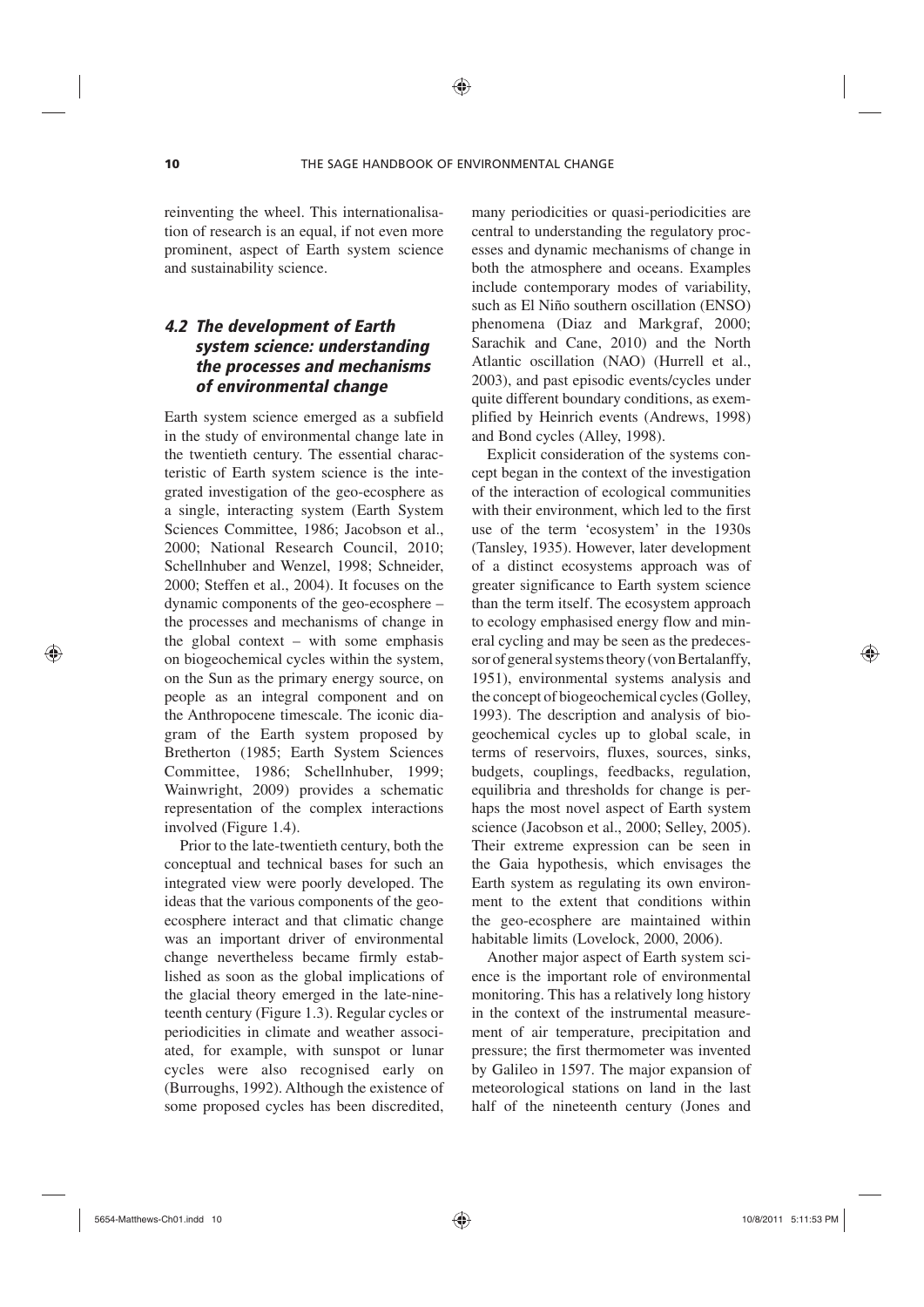reinventing the wheel. This internationalisation of research is an equal, if not even more prominent, aspect of Earth system science and sustainability science.

## *4.2 The development of Earth system science: understanding the processes and mechanisms of environmental change*

Earth system science emerged as a subfield in the study of environmental change late in the twentieth century. The essential characteristic of Earth system science is the integrated investigation of the geo-ecosphere as a single, interacting system (Earth System Sciences Committee, 1986; Jacobson et al., 2000; National Research Council, 2010; Schellnhuber and Wenzel, 1998; Schneider, 2000; Steffen et al., 2004). It focuses on the dynamic components of the geo-ecosphere – the processes and mechanisms of change in the global context – with some emphasis on biogeochemical cycles within the system, on the Sun as the primary energy source, on people as an integral component and on the Anthropocene timescale. The iconic diagram of the Earth system proposed by Bretherton (1985; Earth System Sciences Committee, 1986; Schellnhuber, 1999; Wainwright, 2009) provides a schematic representation of the complex interactions involved (Figure 1.4).

Prior to the late-twentieth century, both the conceptual and technical bases for such an integrated view were poorly developed. The ideas that the various components of the geoecosphere interact and that climatic change was an important driver of environmental change nevertheless became firmly established as soon as the global implications of the glacial theory emerged in the late-nineteenth century (Figure 1.3). Regular cycles or periodicities in climate and weather associated, for example, with sunspot or lunar cycles were also recognised early on (Burroughs, 1992). Although the existence of some proposed cycles has been discredited,

many periodicities or quasi-periodicities are central to understanding the regulatory processes and dynamic mechanisms of change in both the atmosphere and oceans. Examples include contemporary modes of variability, such as El Niño southern oscillation (ENSO) phenomena (Diaz and Markgraf, 2000; Sarachik and Cane, 2010) and the North Atlantic oscillation (NAO) (Hurrell et al., 2003), and past episodic events/cycles under quite different boundary conditions, as exemplified by Heinrich events (Andrews, 1998) and Bond cycles (Alley, 1998).

Explicit consideration of the systems concept began in the context of the investigation of the interaction of ecological communities with their environment, which led to the first use of the term 'ecosystem' in the 1930s (Tansley, 1935). However, later development of a distinct ecosystems approach was of greater significance to Earth system science than the term itself. The ecosystem approach to ecology emphasised energy flow and mineral cycling and may be seen as the predecessor of general systems theory (von Bertalanffy, 1951), environmental systems analysis and the concept of biogeochemical cycles (Golley, 1993). The description and analysis of biogeochemical cycles up to global scale, in terms of reservoirs, fluxes, sources, sinks, budgets, couplings, feedbacks, regulation, equilibria and thresholds for change is perhaps the most novel aspect of Earth system science (Jacobson et al., 2000; Selley, 2005). Their extreme expression can be seen in the Gaia hypothesis, which envisages the Earth system as regulating its own environment to the extent that conditions within the geo-ecosphere are maintained within habitable limits (Lovelock, 2000, 2006).

Another major aspect of Earth system science is the important role of environmental monitoring. This has a relatively long history in the context of the instrumental measurement of air temperature, precipitation and pressure; the first thermometer was invented by Galileo in 1597. The major expansion of meteorological stations on land in the last half of the nineteenth century (Jones and

♠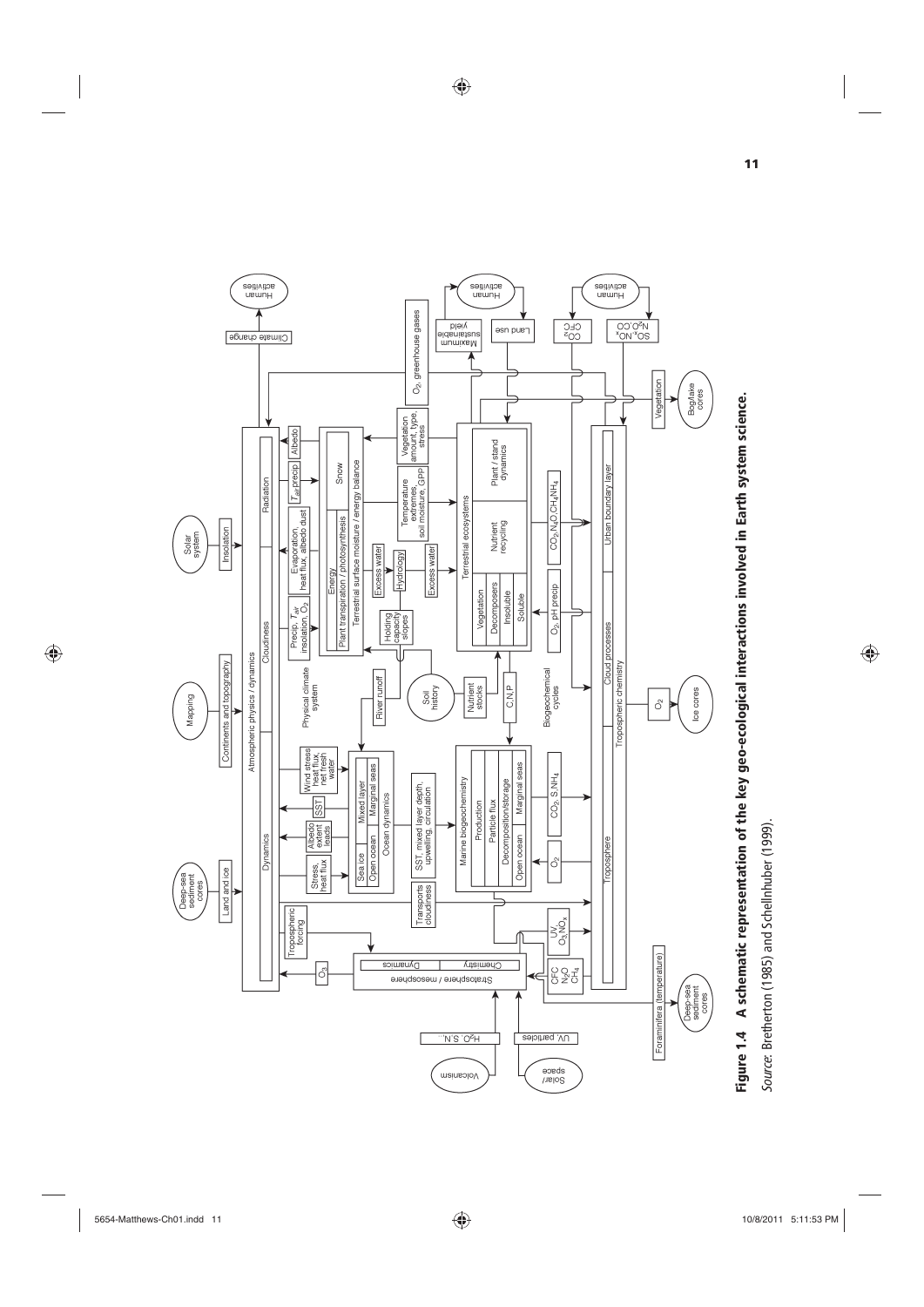

 $\bigoplus$ 



 $\bigoplus$ 

Source: Bretherton (1985) and Schellnhuber (1999). *Source*: Bretherton (1985) and Schellnhuber (1999).

 $\overline{\phantom{a}}$ 

 $\bigoplus$ 

 $\bigoplus$ 

**11**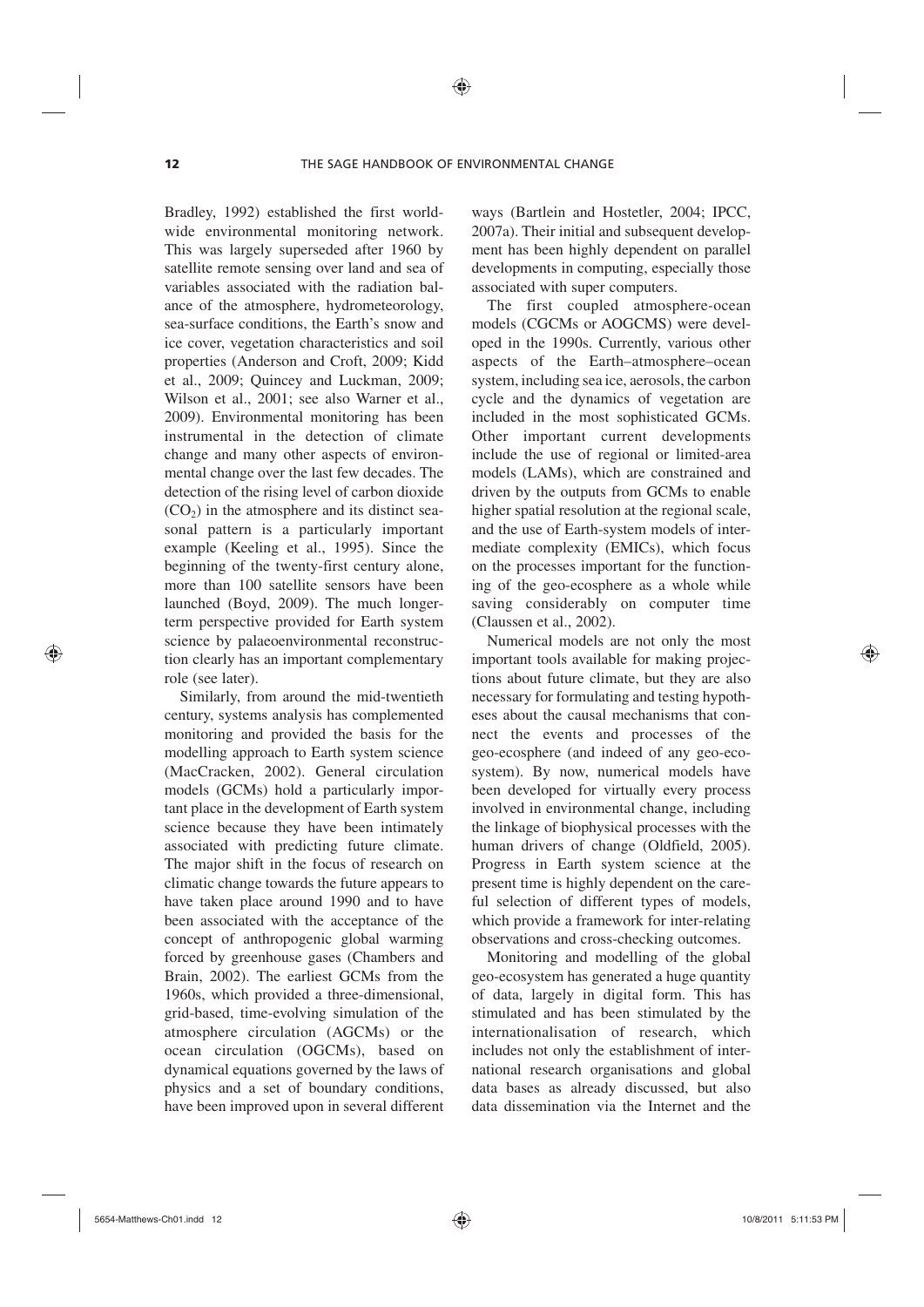Bradley, 1992) established the first worldwide environmental monitoring network. This was largely superseded after 1960 by satellite remote sensing over land and sea of variables associated with the radiation balance of the atmosphere, hydrometeorology, sea-surface conditions, the Earth's snow and ice cover, vegetation characteristics and soil properties (Anderson and Croft, 2009; Kidd et al., 2009; Quincey and Luckman, 2009; Wilson et al., 2001; see also Warner et al., 2009). Environmental monitoring has been instrumental in the detection of climate change and many other aspects of environmental change over the last few decades. The detection of the rising level of carbon dioxide  $(CO<sub>2</sub>)$  in the atmosphere and its distinct seasonal pattern is a particularly important example (Keeling et al., 1995). Since the beginning of the twenty-first century alone, more than 100 satellite sensors have been launched (Boyd, 2009). The much longerterm perspective provided for Earth system science by palaeoenvironmental reconstruction clearly has an important complementary role (see later).

Similarly, from around the mid-twentieth century, systems analysis has complemented monitoring and provided the basis for the modelling approach to Earth system science (MacCracken, 2002). General circulation models (GCMs) hold a particularly important place in the development of Earth system science because they have been intimately associated with predicting future climate. The major shift in the focus of research on climatic change towards the future appears to have taken place around 1990 and to have been associated with the acceptance of the concept of anthropogenic global warming forced by greenhouse gases (Chambers and Brain, 2002). The earliest GCMs from the 1960s, which provided a three-dimensional, grid-based, time-evolving simulation of the atmosphere circulation (AGCMs) or the ocean circulation (OGCMs), based on dynamical equations governed by the laws of physics and a set of boundary conditions, have been improved upon in several different ways (Bartlein and Hostetler, 2004; IPCC, 2007a). Their initial and subsequent development has been highly dependent on parallel developments in computing, especially those associated with super computers.

The first coupled atmosphere-ocean models (CGCMs or AOGCMS) were developed in the 1990s. Currently, various other aspects of the Earth–atmosphere–ocean system, including sea ice, aerosols, the carbon cycle and the dynamics of vegetation are included in the most sophisticated GCMs. Other important current developments include the use of regional or limited-area models (LAMs), which are constrained and driven by the outputs from GCMs to enable higher spatial resolution at the regional scale, and the use of Earth-system models of intermediate complexity (EMICs), which focus on the processes important for the functioning of the geo-ecosphere as a whole while saving considerably on computer time (Claussen et al., 2002).

Numerical models are not only the most important tools available for making projections about future climate, but they are also necessary for formulating and testing hypotheses about the causal mechanisms that connect the events and processes of the geo-ecosphere (and indeed of any geo-ecosystem). By now, numerical models have been developed for virtually every process involved in environmental change, including the linkage of biophysical processes with the human drivers of change (Oldfield, 2005). Progress in Earth system science at the present time is highly dependent on the careful selection of different types of models, which provide a framework for inter-relating observations and cross-checking outcomes.

Monitoring and modelling of the global geo-ecosystem has generated a huge quantity of data, largely in digital form. This has stimulated and has been stimulated by the internationalisation of research, which includes not only the establishment of international research organisations and global data bases as already discussed, but also data dissemination via the Internet and the

⊕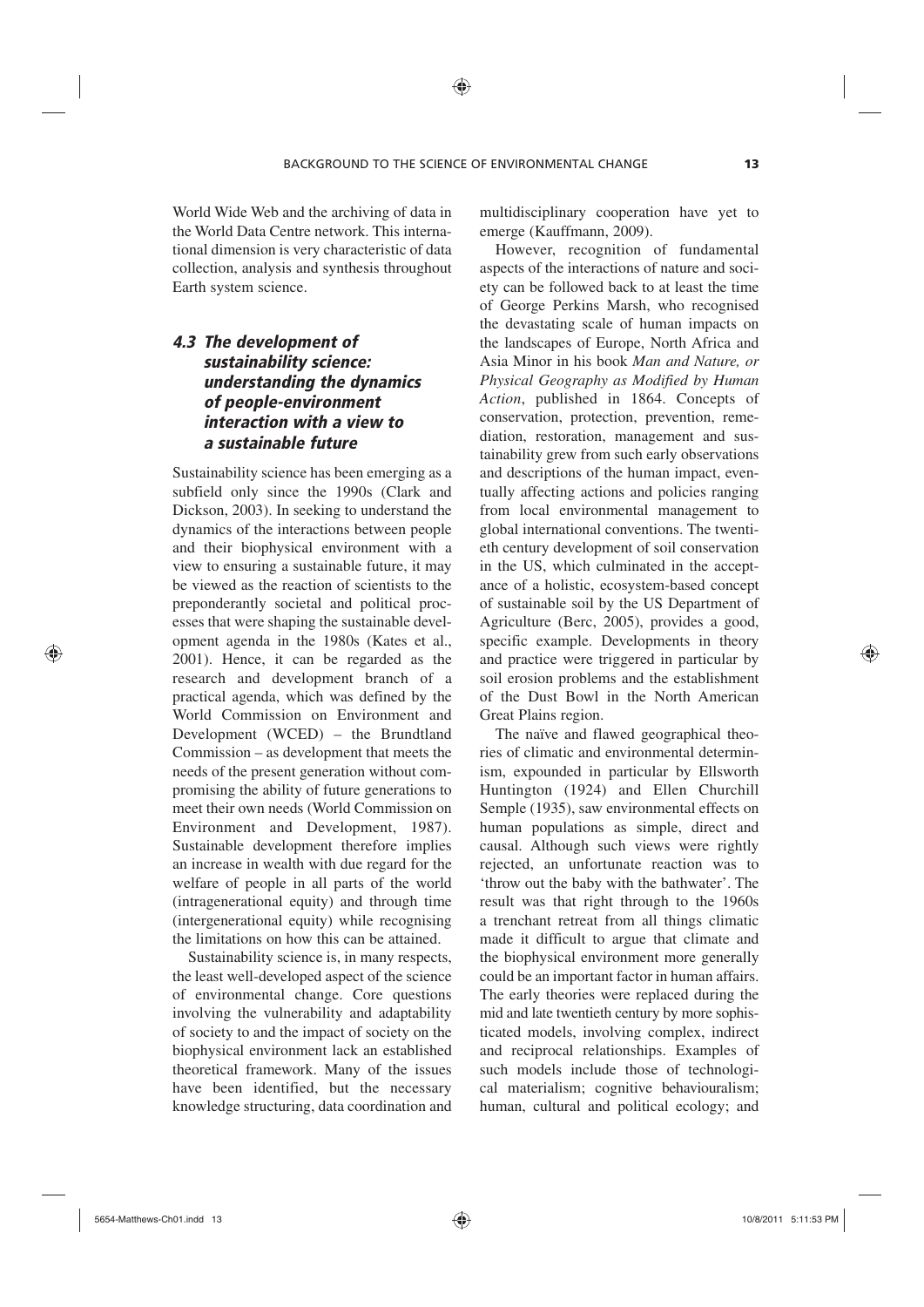World Wide Web and the archiving of data in the World Data Centre network. This international dimension is very characteristic of data collection, analysis and synthesis throughout Earth system science.

## *4.3 The development of sustainability science: understanding the dynamics of people-environment interaction with a view to a sustainable future*

Sustainability science has been emerging as a subfield only since the 1990s (Clark and Dickson, 2003). In seeking to understand the dynamics of the interactions between people and their biophysical environment with a view to ensuring a sustainable future, it may be viewed as the reaction of scientists to the preponderantly societal and political processes that were shaping the sustainable development agenda in the 1980s (Kates et al., 2001). Hence, it can be regarded as the research and development branch of a practical agenda, which was defined by the World Commission on Environment and Development (WCED) – the Brundtland Commission – as development that meets the needs of the present generation without compromising the ability of future generations to meet their own needs (World Commission on Environment and Development, 1987). Sustainable development therefore implies an increase in wealth with due regard for the welfare of people in all parts of the world (intragenerational equity) and through time (intergenerational equity) while recognising the limitations on how this can be attained.

Sustainability science is, in many respects, the least well-developed aspect of the science of environmental change. Core questions involving the vulnerability and adaptability of society to and the impact of society on the biophysical environment lack an established theoretical framework. Many of the issues have been identified, but the necessary knowledge structuring, data coordination and

multidisciplinary cooperation have yet to emerge (Kauffmann, 2009).

However, recognition of fundamental aspects of the interactions of nature and society can be followed back to at least the time of George Perkins Marsh, who recognised the devastating scale of human impacts on the landscapes of Europe, North Africa and Asia Minor in his book *Man and Nature, or Physical Geography as Modified by Human Action*, published in 1864. Concepts of conservation, protection, prevention, remediation, restoration, management and sustainability grew from such early observations and descriptions of the human impact, eventually affecting actions and policies ranging from local environmental management to global international conventions. The twentieth century development of soil conservation in the US, which culminated in the acceptance of a holistic, ecosystem-based concept of sustainable soil by the US Department of Agriculture (Berc, 2005), provides a good, specific example. Developments in theory and practice were triggered in particular by soil erosion problems and the establishment of the Dust Bowl in the North American Great Plains region.

The naïve and flawed geographical theories of climatic and environmental determinism, expounded in particular by Ellsworth Huntington (1924) and Ellen Churchill Semple (1935), saw environmental effects on human populations as simple, direct and causal. Although such views were rightly rejected, an unfortunate reaction was to 'throw out the baby with the bathwater'. The result was that right through to the 1960s a trenchant retreat from all things climatic made it difficult to argue that climate and the biophysical environment more generally could be an important factor in human affairs. The early theories were replaced during the mid and late twentieth century by more sophisticated models, involving complex, indirect and reciprocal relationships. Examples of such models include those of technological materialism; cognitive behaviouralism; human, cultural and political ecology; and

⊕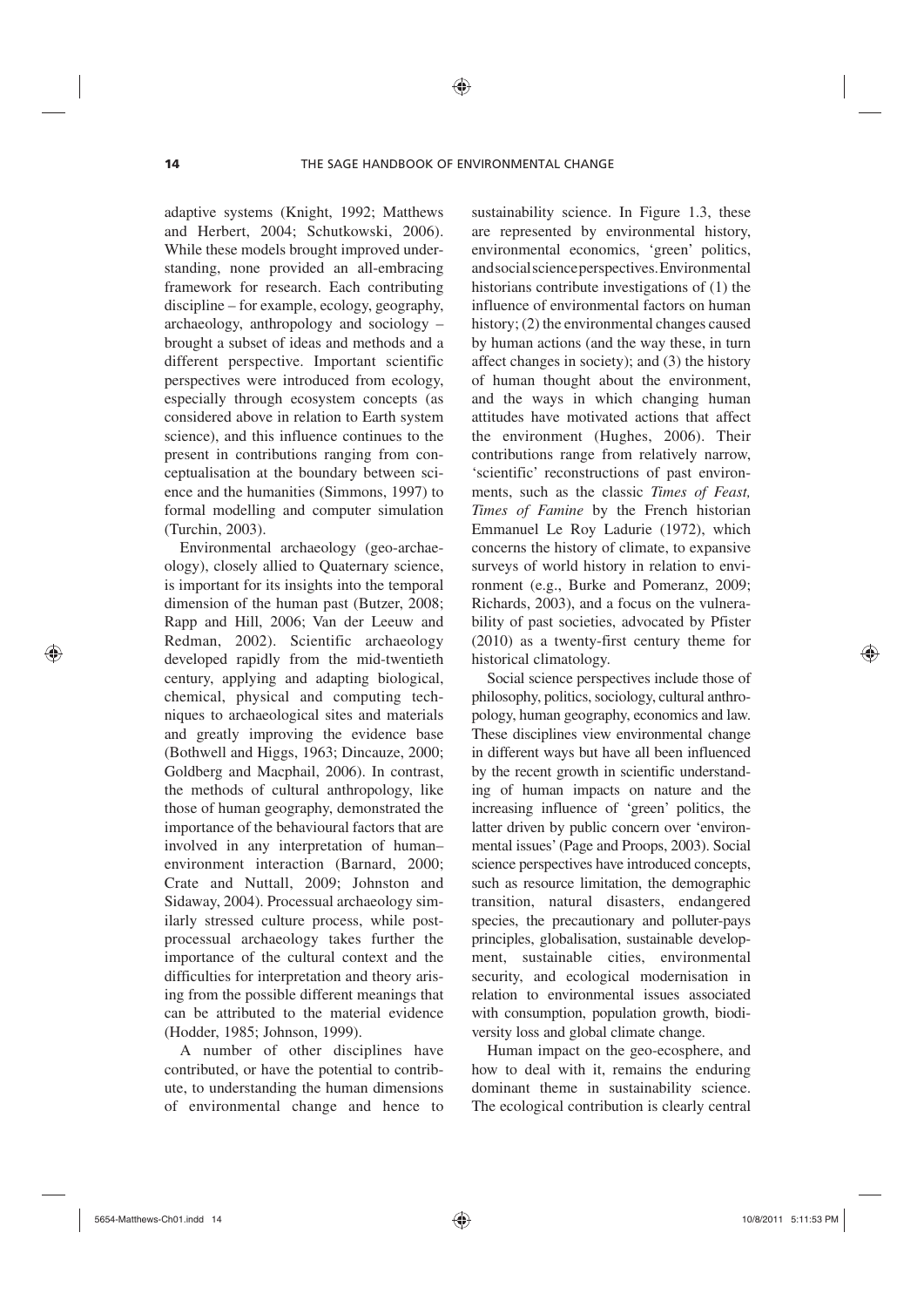⊕

adaptive systems (Knight, 1992; Matthews and Herbert, 2004; Schutkowski, 2006). While these models brought improved understanding, none provided an all-embracing framework for research. Each contributing discipline – for example, ecology, geography, archaeology, anthropology and sociology – brought a subset of ideas and methods and a different perspective. Important scientific perspectives were introduced from ecology, especially through ecosystem concepts (as considered above in relation to Earth system science), and this influence continues to the present in contributions ranging from conceptualisation at the boundary between science and the humanities (Simmons, 1997) to formal modelling and computer simulation (Turchin, 2003).

Environmental archaeology (geo-archaeology), closely allied to Quaternary science, is important for its insights into the temporal dimension of the human past (Butzer, 2008; Rapp and Hill, 2006; Van der Leeuw and Redman, 2002). Scientific archaeology developed rapidly from the mid-twentieth century, applying and adapting biological, chemical, physical and computing techniques to archaeological sites and materials and greatly improving the evidence base (Bothwell and Higgs, 1963; Dincauze, 2000; Goldberg and Macphail, 2006). In contrast, the methods of cultural anthropology, like those of human geography, demonstrated the importance of the behavioural factors that are involved in any interpretation of human– environment interaction (Barnard, 2000; Crate and Nuttall, 2009; Johnston and Sidaway, 2004). Processual archaeology similarly stressed culture process, while postprocessual archaeology takes further the importance of the cultural context and the difficulties for interpretation and theory arising from the possible different meanings that can be attributed to the material evidence (Hodder, 1985; Johnson, 1999).

A number of other disciplines have contributed, or have the potential to contribute, to understanding the human dimensions of environmental change and hence to sustainability science. In Figure 1.3, these are represented by environmental history, environmental economics, 'green' politics, and social science perspectives. Environmental historians contribute investigations of (1) the influence of environmental factors on human history; (2) the environmental changes caused by human actions (and the way these, in turn affect changes in society); and (3) the history of human thought about the environment, and the ways in which changing human attitudes have motivated actions that affect the environment (Hughes, 2006). Their contributions range from relatively narrow, 'scientific' reconstructions of past environments, such as the classic *Times of Feast, Times of Famine* by the French historian Emmanuel Le Roy Ladurie (1972), which concerns the history of climate, to expansive surveys of world history in relation to environment (e.g., Burke and Pomeranz, 2009; Richards, 2003), and a focus on the vulnerability of past societies, advocated by Pfister (2010) as a twenty-first century theme for historical climatology.

Social science perspectives include those of philosophy, politics, sociology, cultural anthropology, human geography, economics and law. These disciplines view environmental change in different ways but have all been influenced by the recent growth in scientific understanding of human impacts on nature and the increasing influence of 'green' politics, the latter driven by public concern over 'environmental issues' (Page and Proops, 2003). Social science perspectives have introduced concepts, such as resource limitation, the demographic transition, natural disasters, endangered species, the precautionary and polluter-pays principles, globalisation, sustainable development, sustainable cities, environmental security, and ecological modernisation in relation to environmental issues associated with consumption, population growth, biodiversity loss and global climate change.

Human impact on the geo-ecosphere, and how to deal with it, remains the enduring dominant theme in sustainability science. The ecological contribution is clearly central

⊕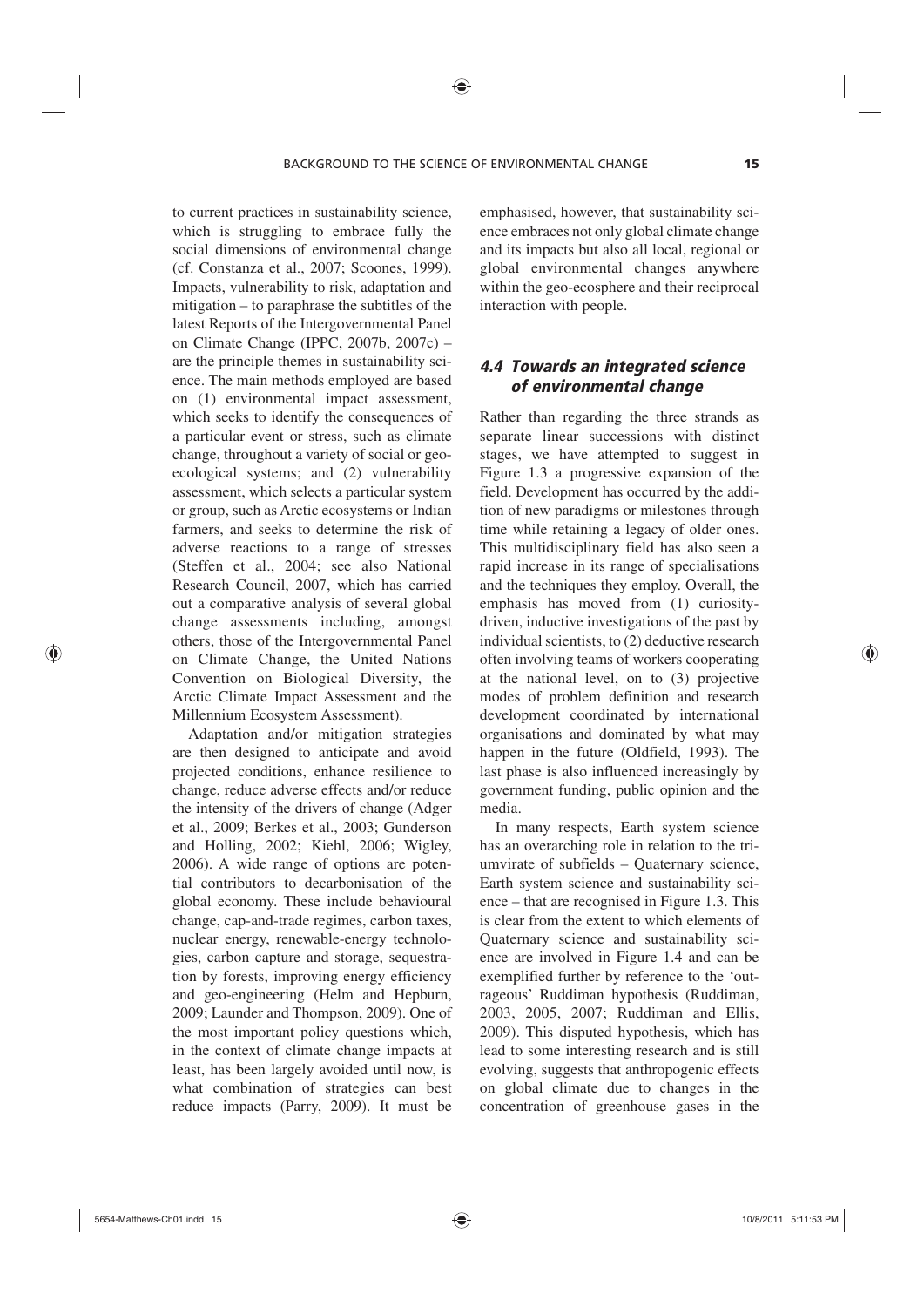to current practices in sustainability science, which is struggling to embrace fully the social dimensions of environmental change (cf. Constanza et al., 2007; Scoones, 1999). Impacts, vulnerability to risk, adaptation and mitigation – to paraphrase the subtitles of the latest Reports of the Intergovernmental Panel on Climate Change (IPPC, 2007b, 2007c) – are the principle themes in sustainability science. The main methods employed are based on (1) environmental impact assessment, which seeks to identify the consequences of a particular event or stress, such as climate change, throughout a variety of social or geoecological systems; and (2) vulnerability assessment, which selects a particular system or group, such as Arctic ecosystems or Indian farmers, and seeks to determine the risk of adverse reactions to a range of stresses (Steffen et al., 2004; see also National Research Council, 2007, which has carried out a comparative analysis of several global change assessments including, amongst others, those of the Intergovernmental Panel on Climate Change, the United Nations Convention on Biological Diversity, the Arctic Climate Impact Assessment and the Millennium Ecosystem Assessment).

Adaptation and/or mitigation strategies are then designed to anticipate and avoid projected conditions, enhance resilience to change, reduce adverse effects and/or reduce the intensity of the drivers of change (Adger et al., 2009; Berkes et al., 2003; Gunderson and Holling, 2002; Kiehl, 2006; Wigley, 2006). A wide range of options are potential contributors to decarbonisation of the global economy. These include behavioural change, cap-and-trade regimes, carbon taxes, nuclear energy, renewable-energy technologies, carbon capture and storage, sequestration by forests, improving energy efficiency and geo-engineering (Helm and Hepburn, 2009; Launder and Thompson, 2009). One of the most important policy questions which, in the context of climate change impacts at least, has been largely avoided until now, is what combination of strategies can best reduce impacts (Parry, 2009). It must be

emphasised, however, that sustainability science embraces not only global climate change and its impacts but also all local, regional or global environmental changes anywhere within the geo-ecosphere and their reciprocal interaction with people.

# *4.4 Towards an integrated science of environmental change*

Rather than regarding the three strands as separate linear successions with distinct stages, we have attempted to suggest in Figure 1.3 a progressive expansion of the field. Development has occurred by the addition of new paradigms or milestones through time while retaining a legacy of older ones. This multidisciplinary field has also seen a rapid increase in its range of specialisations and the techniques they employ. Overall, the emphasis has moved from (1) curiositydriven, inductive investigations of the past by individual scientists, to (2) deductive research often involving teams of workers cooperating at the national level, on to (3) projective modes of problem definition and research development coordinated by international organisations and dominated by what may happen in the future (Oldfield, 1993). The last phase is also influenced increasingly by government funding, public opinion and the media.

In many respects, Earth system science has an overarching role in relation to the triumvirate of subfields – Quaternary science, Earth system science and sustainability science – that are recognised in Figure 1.3. This is clear from the extent to which elements of Quaternary science and sustainability science are involved in Figure 1.4 and can be exemplified further by reference to the 'outrageous' Ruddiman hypothesis (Ruddiman, 2003, 2005, 2007; Ruddiman and Ellis, 2009). This disputed hypothesis, which has lead to some interesting research and is still evolving, suggests that anthropogenic effects on global climate due to changes in the concentration of greenhouse gases in the

⊕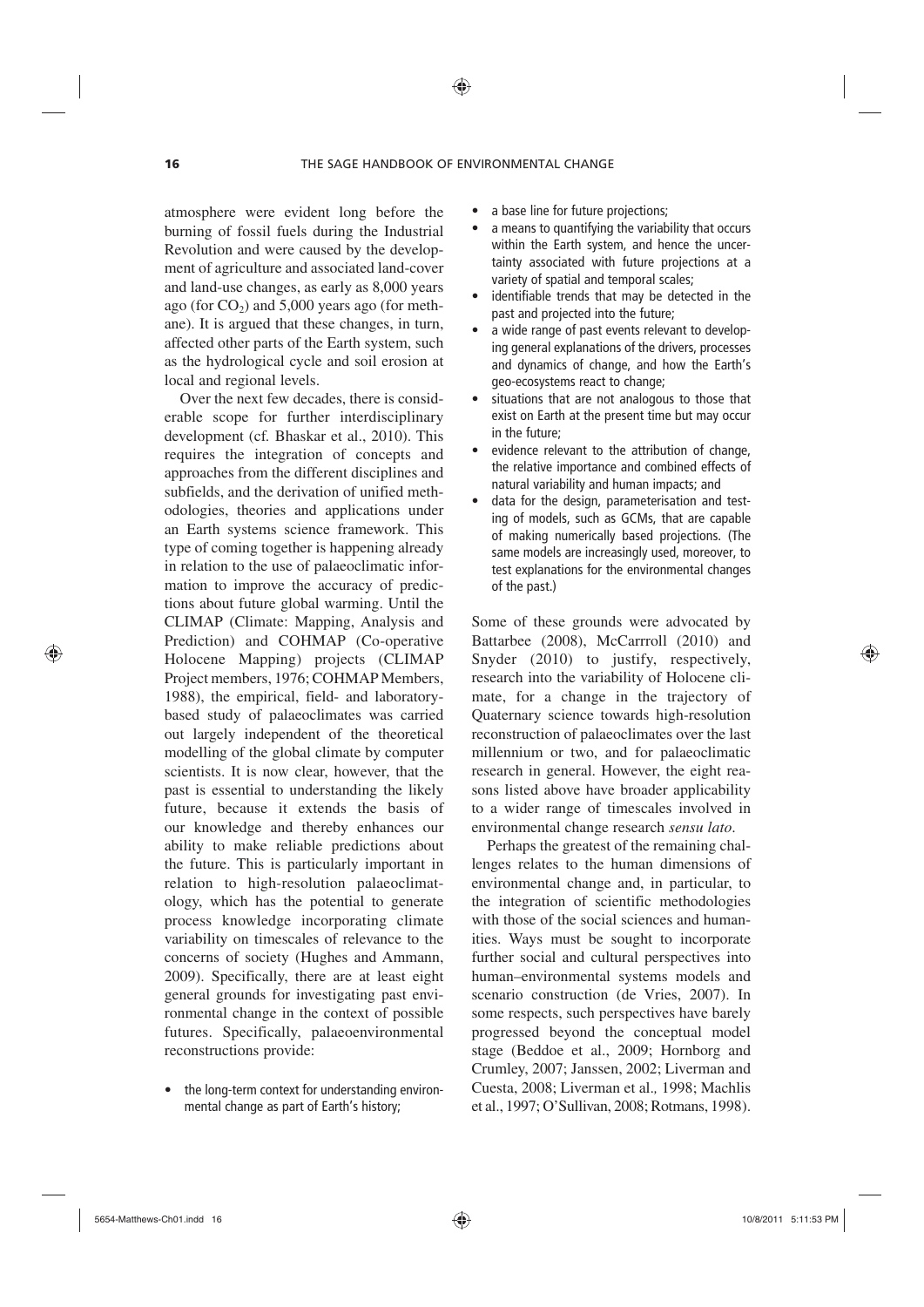⊕

atmosphere were evident long before the burning of fossil fuels during the Industrial Revolution and were caused by the development of agriculture and associated land-cover and land-use changes, as early as 8,000 years ago (for  $CO<sub>2</sub>$ ) and 5,000 years ago (for methane). It is argued that these changes, in turn, affected other parts of the Earth system, such as the hydrological cycle and soil erosion at local and regional levels.

Over the next few decades, there is considerable scope for further interdisciplinary development (cf*.* Bhaskar et al., 2010). This requires the integration of concepts and approaches from the different disciplines and subfields, and the derivation of unified methodologies, theories and applications under an Earth systems science framework. This type of coming together is happening already in relation to the use of palaeoclimatic information to improve the accuracy of predictions about future global warming. Until the CLIMAP (Climate: Mapping, Analysis and Prediction) and COHMAP (Co-operative Holocene Mapping) projects (CLIMAP Project members, 1976; COHMAP Members, 1988), the empirical, field- and laboratorybased study of palaeoclimates was carried out largely independent of the theoretical modelling of the global climate by computer scientists. It is now clear, however, that the past is essential to understanding the likely future, because it extends the basis of our knowledge and thereby enhances our ability to make reliable predictions about the future. This is particularly important in relation to high-resolution palaeoclimatology, which has the potential to generate process knowledge incorporating climate variability on timescales of relevance to the concerns of society (Hughes and Ammann, 2009). Specifically, there are at least eight general grounds for investigating past environmental change in the context of possible futures. Specifically, palaeoenvironmental reconstructions provide:

• the long-term context for understanding environmental change as part of Earth's history;

- a base line for future projections;
- a means to quantifying the variability that occurs within the Earth system, and hence the uncertainty associated with future projections at a variety of spatial and temporal scales;
- identifiable trends that may be detected in the past and projected into the future;
- a wide range of past events relevant to developing general explanations of the drivers, processes and dynamics of change, and how the Earth's geo-ecosystems react to change;
- situations that are not analogous to those that exist on Earth at the present time but may occur in the future;
- evidence relevant to the attribution of change, the relative importance and combined effects of natural variability and human impacts; and
- data for the design, parameterisation and testing of models, such as GCMs, that are capable of making numerically based projections. (The same models are increasingly used, moreover, to test explanations for the environmental changes of the past.)

Some of these grounds were advocated by Battarbee (2008), McCarrroll (2010) and Snyder (2010) to justify, respectively, research into the variability of Holocene climate, for a change in the trajectory of Quaternary science towards high-resolution reconstruction of palaeoclimates over the last millennium or two, and for palaeoclimatic research in general. However, the eight reasons listed above have broader applicability to a wider range of timescales involved in environmental change research *sensu lato*.

Perhaps the greatest of the remaining challenges relates to the human dimensions of environmental change and, in particular, to the integration of scientific methodologies with those of the social sciences and humanities. Ways must be sought to incorporate further social and cultural perspectives into human–environmental systems models and scenario construction (de Vries, 2007). In some respects, such perspectives have barely progressed beyond the conceptual model stage (Beddoe et al., 2009; Hornborg and Crumley, 2007; Janssen, 2002; Liverman and Cuesta, 2008; Liverman et al.*,* 1998; Machlis et al., 1997; O'Sullivan, 2008; Rotmans, 1998).

⊕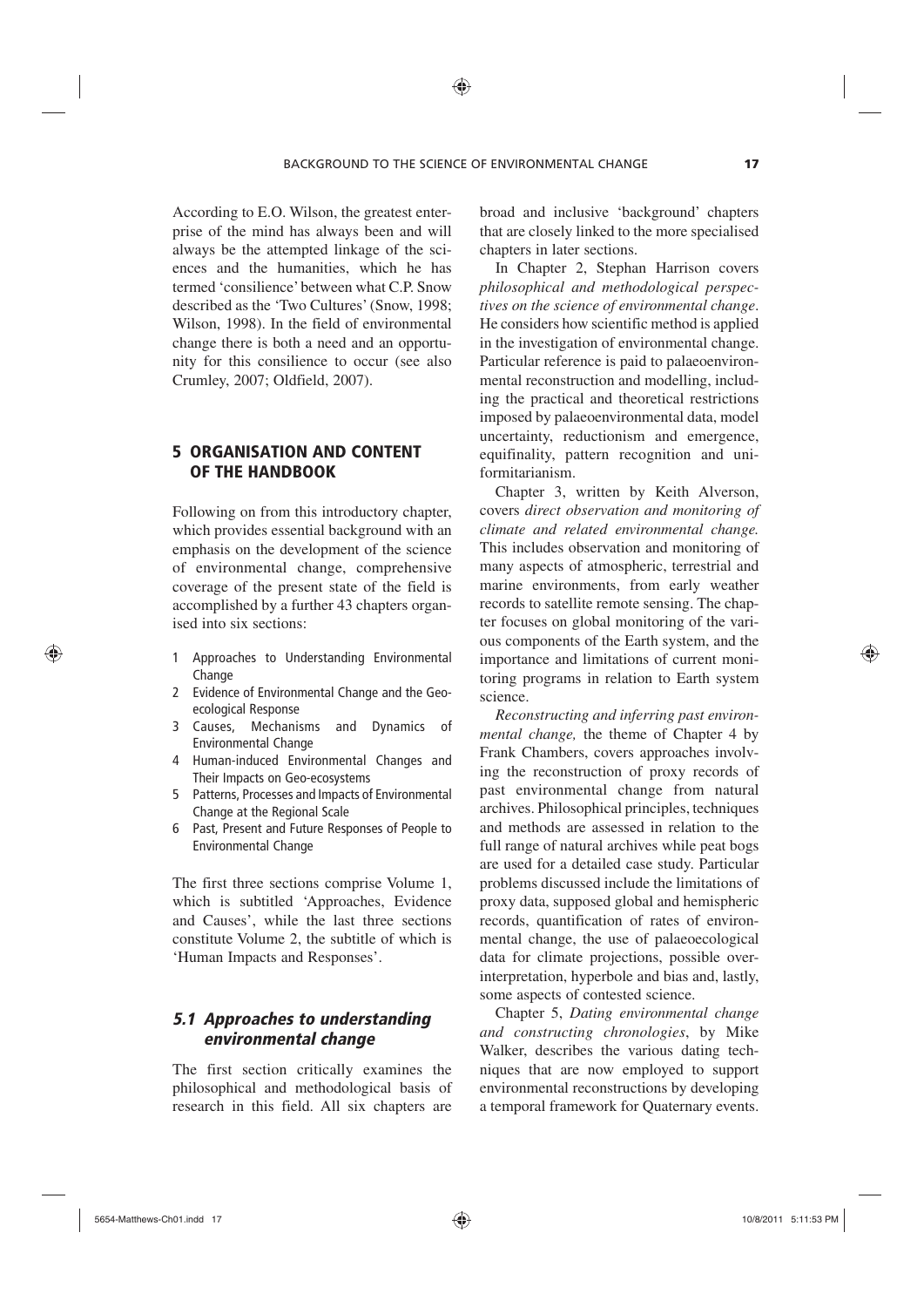According to E.O. Wilson, the greatest enterprise of the mind has always been and will always be the attempted linkage of the sciences and the humanities, which he has termed 'consilience' between what C.P. Snow described as the 'Two Cultures' (Snow, 1998; Wilson, 1998). In the field of environmental change there is both a need and an opportunity for this consilience to occur (see also Crumley, 2007; Oldfield, 2007).

## 5 ORGANISATION AND CONTENT OF THE HANDBOOK

Following on from this introductory chapter, which provides essential background with an emphasis on the development of the science of environmental change, comprehensive coverage of the present state of the field is accomplished by a further 43 chapters organised into six sections:

- 1 Approaches to Understanding Environmental Change
- 2 Evidence of Environmental Change and the Geoecological Response
- 3 Causes, Mechanisms and Dynamics of Environmental Change
- 4 Human-induced Environmental Changes and Their Impacts on Geo-ecosystems
- 5 Patterns, Processes and Impacts of Environmental Change at the Regional Scale
- 6 Past, Present and Future Responses of People to Environmental Change

The first three sections comprise Volume 1, which is subtitled 'Approaches, Evidence and Causes', while the last three sections constitute Volume 2, the subtitle of which is 'Human Impacts and Responses'.

## *5.1 Approaches to understanding environmental change*

The first section critically examines the philosophical and methodological basis of research in this field. All six chapters are

broad and inclusive 'background' chapters that are closely linked to the more specialised chapters in later sections.

In Chapter 2, Stephan Harrison covers *philosophical and methodological perspectives on the science of environmental change*. He considers how scientific method is applied in the investigation of environmental change. Particular reference is paid to palaeoenvironmental reconstruction and modelling, including the practical and theoretical restrictions imposed by palaeoenvironmental data, model uncertainty, reductionism and emergence, equifinality, pattern recognition and uniformitarianism.

Chapter 3, written by Keith Alverson, covers *direct observation and monitoring of climate and related environmental change.* This includes observation and monitoring of many aspects of atmospheric, terrestrial and marine environments, from early weather records to satellite remote sensing. The chapter focuses on global monitoring of the various components of the Earth system, and the importance and limitations of current monitoring programs in relation to Earth system science.

*Reconstructing and inferring past environmental change,* the theme of Chapter 4 by Frank Chambers, covers approaches involving the reconstruction of proxy records of past environmental change from natural archives. Philosophical principles, techniques and methods are assessed in relation to the full range of natural archives while peat bogs are used for a detailed case study. Particular problems discussed include the limitations of proxy data, supposed global and hemispheric records, quantification of rates of environmental change, the use of palaeoecological data for climate projections, possible overinterpretation, hyperbole and bias and, lastly, some aspects of contested science.

Chapter 5, *Dating environmental change and constructing chronologies*, by Mike Walker, describes the various dating techniques that are now employed to support environmental reconstructions by developing a temporal framework for Quaternary events.

⊕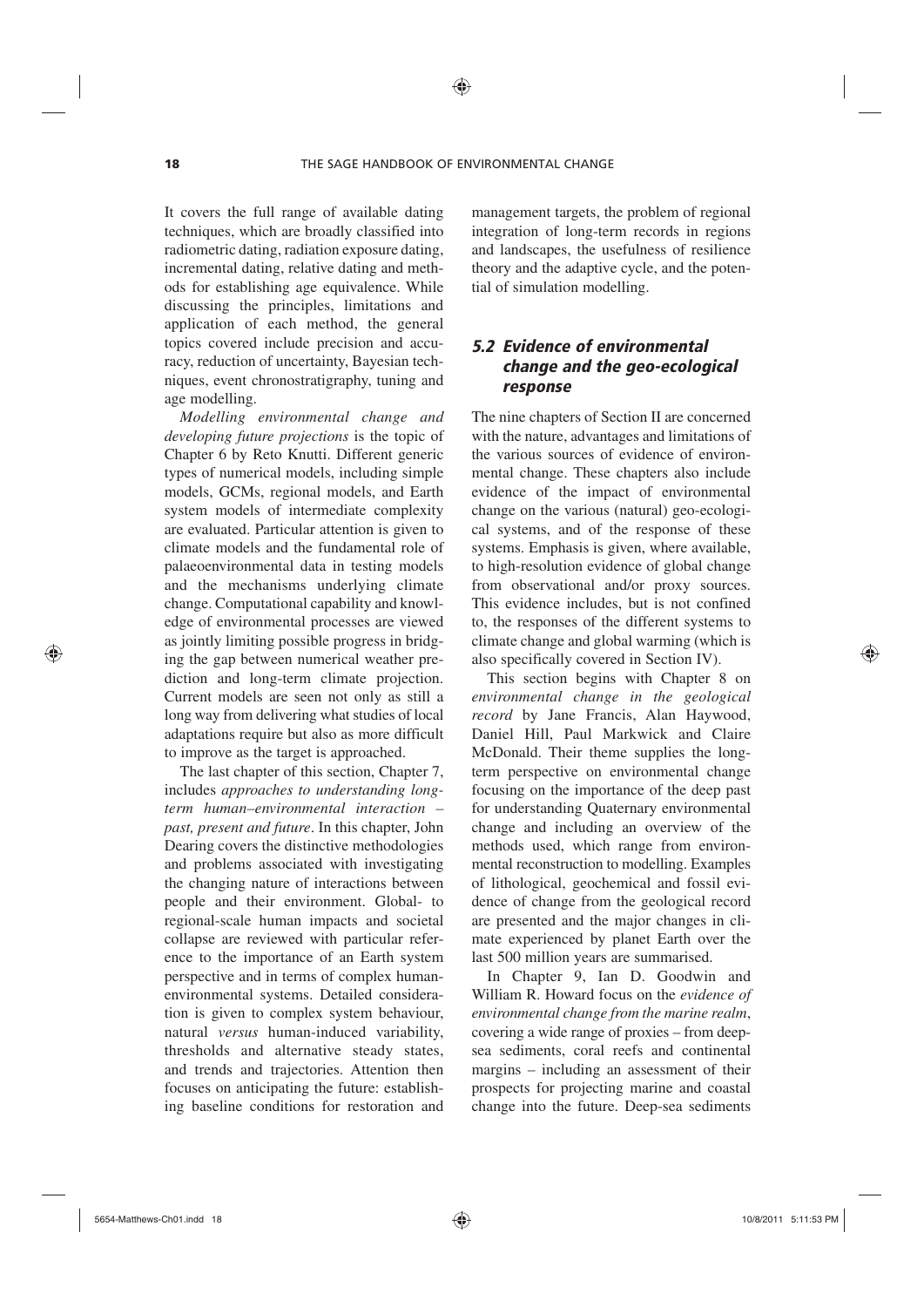⊕

It covers the full range of available dating techniques, which are broadly classified into radiometric dating, radiation exposure dating, incremental dating, relative dating and methods for establishing age equivalence. While discussing the principles, limitations and application of each method, the general topics covered include precision and accuracy, reduction of uncertainty, Bayesian techniques, event chronostratigraphy, tuning and age modelling.

*Modelling environmental change and developing future projections* is the topic of Chapter 6 by Reto Knutti. Different generic types of numerical models, including simple models, GCMs, regional models, and Earth system models of intermediate complexity are evaluated. Particular attention is given to climate models and the fundamental role of palaeoenvironmental data in testing models and the mechanisms underlying climate change. Computational capability and knowledge of environmental processes are viewed as jointly limiting possible progress in bridging the gap between numerical weather prediction and long-term climate projection. Current models are seen not only as still a long way from delivering what studies of local adaptations require but also as more difficult to improve as the target is approached.

The last chapter of this section, Chapter 7, includes *approaches to understanding longterm human–environmental interaction – past, present and future*. In this chapter, John Dearing covers the distinctive methodologies and problems associated with investigating the changing nature of interactions between people and their environment. Global- to regional-scale human impacts and societal collapse are reviewed with particular reference to the importance of an Earth system perspective and in terms of complex humanenvironmental systems. Detailed consideration is given to complex system behaviour, natural *versus* human-induced variability, thresholds and alternative steady states, and trends and trajectories. Attention then focuses on anticipating the future: establishing baseline conditions for restoration and management targets, the problem of regional integration of long-term records in regions and landscapes, the usefulness of resilience theory and the adaptive cycle, and the potential of simulation modelling.

# *5.2 Evidence of environmental change and the geo-ecological response*

The nine chapters of Section II are concerned with the nature, advantages and limitations of the various sources of evidence of environmental change. These chapters also include evidence of the impact of environmental change on the various (natural) geo-ecological systems, and of the response of these systems. Emphasis is given, where available, to high-resolution evidence of global change from observational and/or proxy sources. This evidence includes, but is not confined to, the responses of the different systems to climate change and global warming (which is also specifically covered in Section IV).

This section begins with Chapter 8 on *environmental change in the geological record* by Jane Francis, Alan Haywood, Daniel Hill, Paul Markwick and Claire McDonald. Their theme supplies the longterm perspective on environmental change focusing on the importance of the deep past for understanding Quaternary environmental change and including an overview of the methods used, which range from environmental reconstruction to modelling. Examples of lithological, geochemical and fossil evidence of change from the geological record are presented and the major changes in climate experienced by planet Earth over the last 500 million years are summarised.

In Chapter 9, Ian D. Goodwin and William R. Howard focus on the *evidence of environmental change from the marine realm*, covering a wide range of proxies – from deepsea sediments, coral reefs and continental margins – including an assessment of their prospects for projecting marine and coastal change into the future. Deep-sea sediments

⊕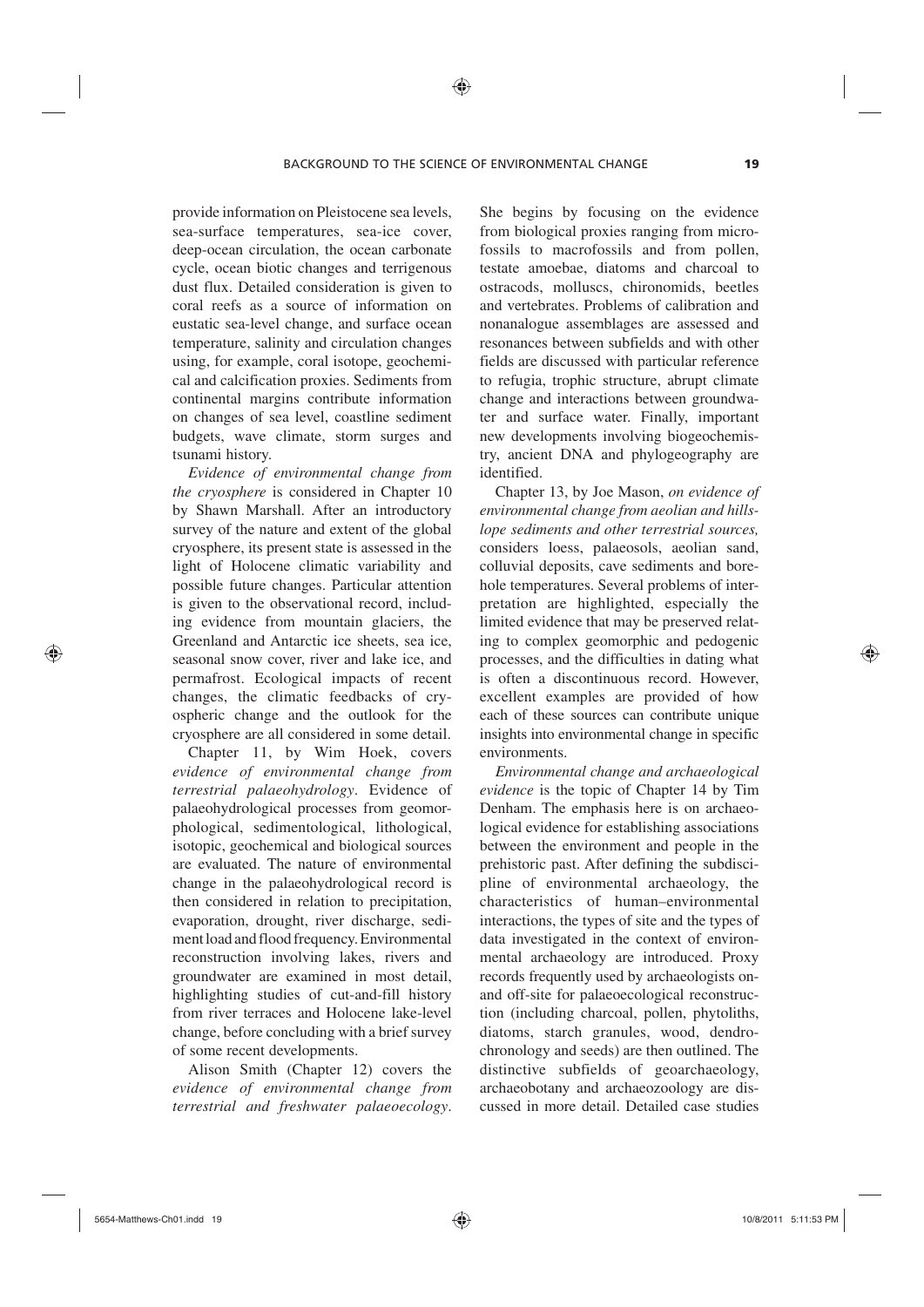⊕

provide information on Pleistocene sea levels, sea-surface temperatures, sea-ice cover, deep-ocean circulation, the ocean carbonate cycle, ocean biotic changes and terrigenous dust flux. Detailed consideration is given to coral reefs as a source of information on eustatic sea-level change, and surface ocean temperature, salinity and circulation changes using, for example, coral isotope, geochemical and calcification proxies. Sediments from continental margins contribute information on changes of sea level, coastline sediment budgets, wave climate, storm surges and tsunami history.

*Evidence of environmental change from the cryosphere* is considered in Chapter 10 by Shawn Marshall. After an introductory survey of the nature and extent of the global cryosphere, its present state is assessed in the light of Holocene climatic variability and possible future changes. Particular attention is given to the observational record, including evidence from mountain glaciers, the Greenland and Antarctic ice sheets, sea ice, seasonal snow cover, river and lake ice, and permafrost. Ecological impacts of recent changes, the climatic feedbacks of cryospheric change and the outlook for the cryosphere are all considered in some detail.

Chapter 11, by Wim Hoek, covers *evidence of environmental change from terrestrial palaeohydrology*. Evidence of palaeohydrological processes from geomorphological, sedimentological, lithological, isotopic, geochemical and biological sources are evaluated. The nature of environmental change in the palaeohydrological record is then considered in relation to precipitation, evaporation, drought, river discharge, sediment load and flood frequency. Environmental reconstruction involving lakes, rivers and groundwater are examined in most detail, highlighting studies of cut-and-fill history from river terraces and Holocene lake-level change, before concluding with a brief survey of some recent developments.

Alison Smith (Chapter 12) covers the *evidence of environmental change from terrestrial and freshwater palaeoecology*. She begins by focusing on the evidence from biological proxies ranging from microfossils to macrofossils and from pollen, testate amoebae, diatoms and charcoal to ostracods, molluscs, chironomids, beetles and vertebrates. Problems of calibration and nonanalogue assemblages are assessed and resonances between subfields and with other fields are discussed with particular reference to refugia, trophic structure, abrupt climate change and interactions between groundwater and surface water. Finally, important new developments involving biogeochemistry, ancient DNA and phylogeography are identified.

Chapter 13, by Joe Mason, *on evidence of environmental change from aeolian and hillslope sediments and other terrestrial sources,* considers loess, palaeosols, aeolian sand, colluvial deposits, cave sediments and borehole temperatures. Several problems of interpretation are highlighted, especially the limited evidence that may be preserved relating to complex geomorphic and pedogenic processes, and the difficulties in dating what is often a discontinuous record. However, excellent examples are provided of how each of these sources can contribute unique insights into environmental change in specific environments.

*Environmental change and archaeological evidence* is the topic of Chapter 14 by Tim Denham. The emphasis here is on archaeological evidence for establishing associations between the environment and people in the prehistoric past. After defining the subdiscipline of environmental archaeology, the characteristics of human–environmental interactions, the types of site and the types of data investigated in the context of environmental archaeology are introduced. Proxy records frequently used by archaeologists onand off-site for palaeoecological reconstruction (including charcoal, pollen, phytoliths, diatoms, starch granules, wood, dendrochronology and seeds) are then outlined. The distinctive subfields of geoarchaeology, archaeobotany and archaeozoology are discussed in more detail. Detailed case studies

⊕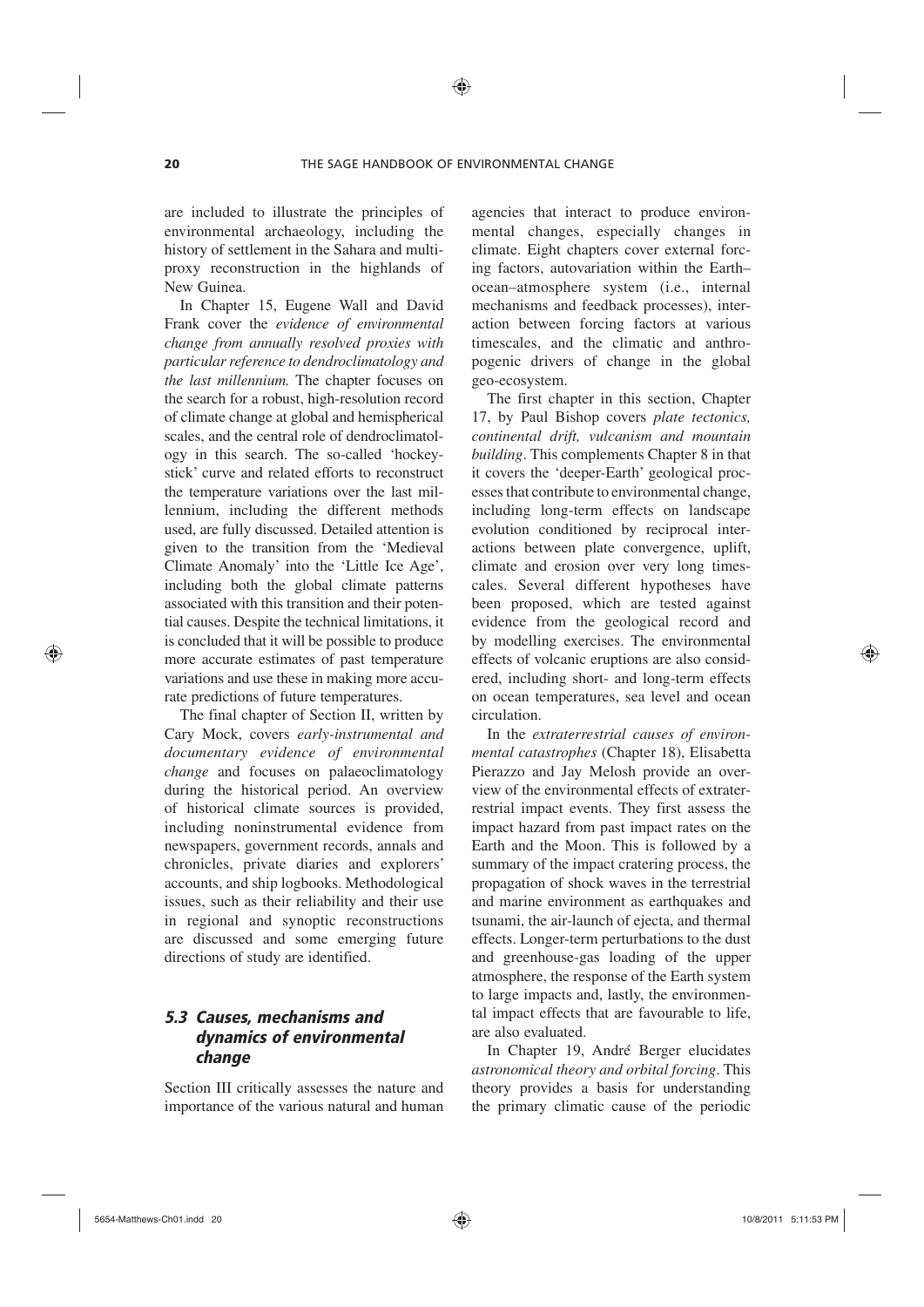are included to illustrate the principles of environmental archaeology, including the history of settlement in the Sahara and multiproxy reconstruction in the highlands of New Guinea.

In Chapter 15, Eugene Wall and David Frank cover the *evidence of environmental change from annually resolved proxies with particular reference to dendroclimatology and the last millennium.* The chapter focuses on the search for a robust, high-resolution record of climate change at global and hemispherical scales, and the central role of dendroclimatology in this search. The so-called 'hockeystick' curve and related efforts to reconstruct the temperature variations over the last millennium, including the different methods used, are fully discussed. Detailed attention is given to the transition from the 'Medieval Climate Anomaly' into the 'Little Ice Age', including both the global climate patterns associated with this transition and their potential causes. Despite the technical limitations, it is concluded that it will be possible to produce more accurate estimates of past temperature variations and use these in making more accurate predictions of future temperatures.

The final chapter of Section II, written by Cary Mock, covers *early-instrumental and documentary evidence of environmental change* and focuses on palaeoclimatology during the historical period. An overview of historical climate sources is provided, including noninstrumental evidence from newspapers, government records, annals and chronicles, private diaries and explorers' accounts, and ship logbooks. Methodological issues, such as their reliability and their use in regional and synoptic reconstructions are discussed and some emerging future directions of study are identified.

## *5.3 Causes, mechanisms and dynamics of environmental change*

Section III critically assesses the nature and importance of the various natural and human agencies that interact to produce environmental changes, especially changes in climate. Eight chapters cover external forcing factors, autovariation within the Earth– ocean–atmosphere system (i.e., internal mechanisms and feedback processes), interaction between forcing factors at various timescales, and the climatic and anthropogenic drivers of change in the global geo-ecosystem.

The first chapter in this section, Chapter 17, by Paul Bishop covers *plate tectonics, continental drift, vulcanism and mountain building*. This complements Chapter 8 in that it covers the 'deeper-Earth' geological processes that contribute to environmental change, including long-term effects on landscape evolution conditioned by reciprocal interactions between plate convergence, uplift, climate and erosion over very long timescales. Several different hypotheses have been proposed, which are tested against evidence from the geological record and by modelling exercises. The environmental effects of volcanic eruptions are also considered, including short- and long-term effects on ocean temperatures, sea level and ocean circulation.

In the *extraterrestrial causes of environmental catastrophes* (Chapter 18), Elisabetta Pierazzo and Jay Melosh provide an overview of the environmental effects of extraterrestrial impact events. They first assess the impact hazard from past impact rates on the Earth and the Moon. This is followed by a summary of the impact cratering process, the propagation of shock waves in the terrestrial and marine environment as earthquakes and tsunami, the air-launch of ejecta, and thermal effects. Longer-term perturbations to the dust and greenhouse-gas loading of the upper atmosphere, the response of the Earth system to large impacts and, lastly, the environmental impact effects that are favourable to life, are also evaluated.

In Chapter 19, André Berger elucidates *astronomical theory and orbital forcing*. This theory provides a basis for understanding the primary climatic cause of the periodic

⊕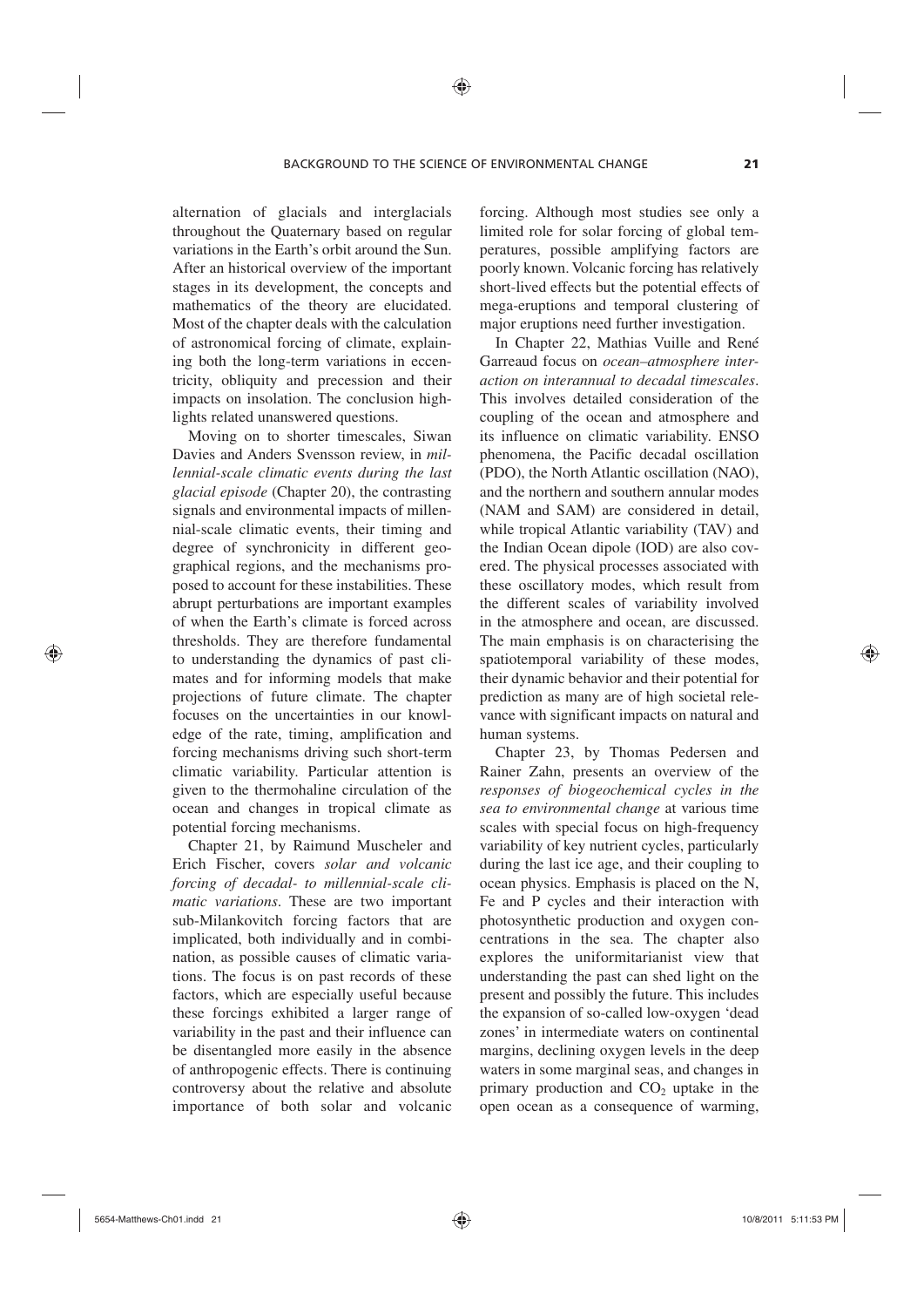alternation of glacials and interglacials throughout the Quaternary based on regular variations in the Earth's orbit around the Sun. After an historical overview of the important stages in its development, the concepts and mathematics of the theory are elucidated. Most of the chapter deals with the calculation of astronomical forcing of climate, explaining both the long-term variations in eccentricity, obliquity and precession and their impacts on insolation. The conclusion highlights related unanswered questions.

Moving on to shorter timescales, Siwan Davies and Anders Svensson review, in *millennial-scale climatic events during the last glacial episode* (Chapter 20), the contrasting signals and environmental impacts of millennial-scale climatic events, their timing and degree of synchronicity in different geographical regions, and the mechanisms proposed to account for these instabilities. These abrupt perturbations are important examples of when the Earth's climate is forced across thresholds. They are therefore fundamental to understanding the dynamics of past climates and for informing models that make projections of future climate. The chapter focuses on the uncertainties in our knowledge of the rate, timing, amplification and forcing mechanisms driving such short-term climatic variability. Particular attention is given to the thermohaline circulation of the ocean and changes in tropical climate as potential forcing mechanisms.

Chapter 21, by Raimund Muscheler and Erich Fischer, covers *solar and volcanic forcing of decadal- to millennial-scale climatic variations*. These are two important sub-Milankovitch forcing factors that are implicated, both individually and in combination, as possible causes of climatic variations. The focus is on past records of these factors, which are especially useful because these forcings exhibited a larger range of variability in the past and their influence can be disentangled more easily in the absence of anthropogenic effects. There is continuing controversy about the relative and absolute importance of both solar and volcanic

forcing. Although most studies see only a limited role for solar forcing of global temperatures, possible amplifying factors are poorly known. Volcanic forcing has relatively short-lived effects but the potential effects of mega-eruptions and temporal clustering of major eruptions need further investigation.

In Chapter 22, Mathias Vuille and René Garreaud focus on *ocean–atmosphere interaction on interannual to decadal timescales*. This involves detailed consideration of the coupling of the ocean and atmosphere and its influence on climatic variability. ENSO phenomena, the Pacific decadal oscillation (PDO), the North Atlantic oscillation (NAO), and the northern and southern annular modes (NAM and SAM) are considered in detail, while tropical Atlantic variability (TAV) and the Indian Ocean dipole (IOD) are also covered. The physical processes associated with these oscillatory modes, which result from the different scales of variability involved in the atmosphere and ocean, are discussed. The main emphasis is on characterising the spatiotemporal variability of these modes, their dynamic behavior and their potential for prediction as many are of high societal relevance with significant impacts on natural and human systems.

Chapter 23, by Thomas Pedersen and Rainer Zahn, presents an overview of the *responses of biogeochemical cycles in the sea to environmental change* at various time scales with special focus on high-frequency variability of key nutrient cycles, particularly during the last ice age, and their coupling to ocean physics. Emphasis is placed on the N, Fe and P cycles and their interaction with photosynthetic production and oxygen concentrations in the sea. The chapter also explores the uniformitarianist view that understanding the past can shed light on the present and possibly the future. This includes the expansion of so-called low-oxygen 'dead zones' in intermediate waters on continental margins, declining oxygen levels in the deep waters in some marginal seas, and changes in primary production and  $CO<sub>2</sub>$  uptake in the open ocean as a consequence of warming,

⊕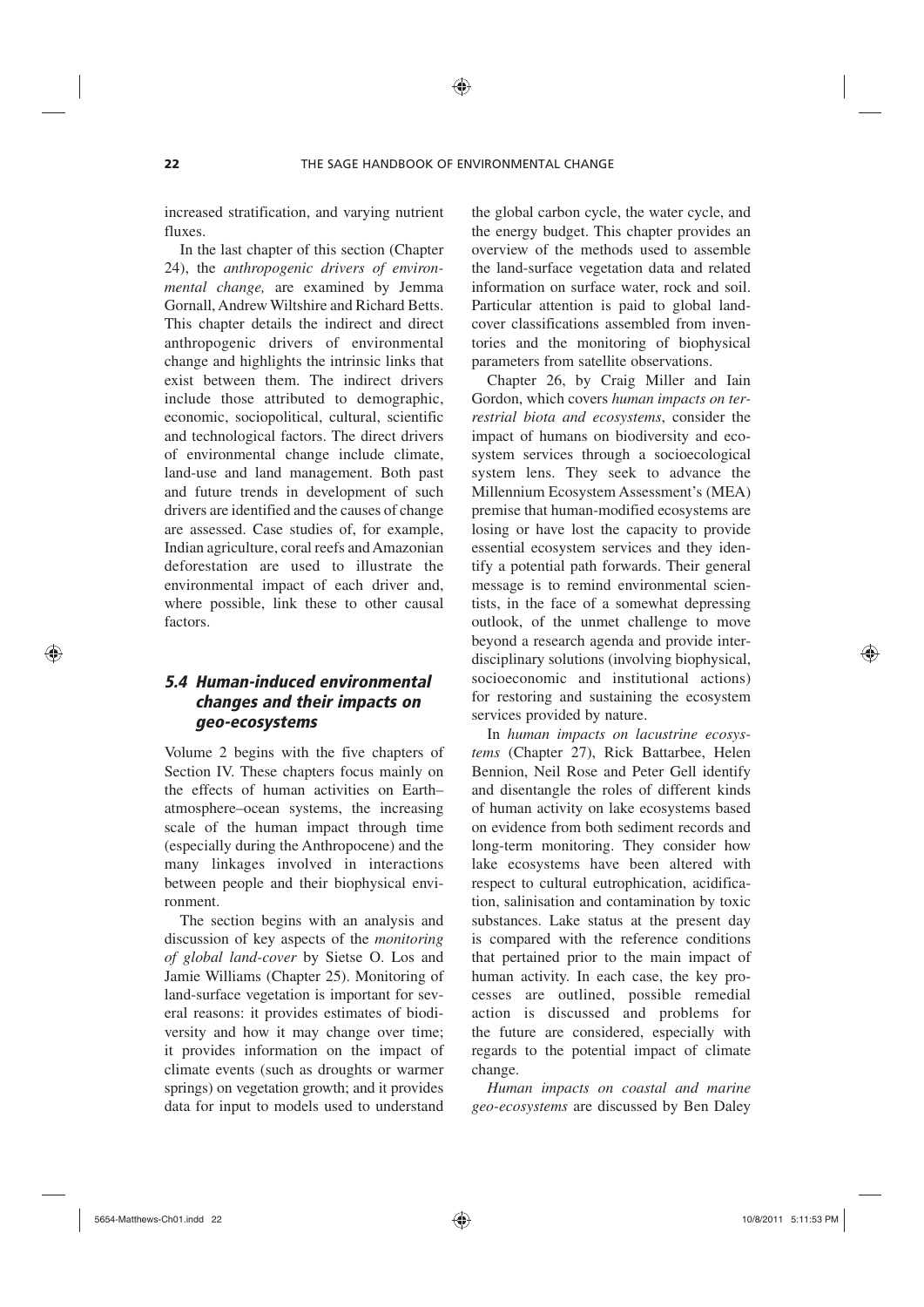⊕

increased stratification, and varying nutrient fluxes.

In the last chapter of this section (Chapter 24), the *anthropogenic drivers of environmental change,* are examined by Jemma Gornall, Andrew Wiltshire and Richard Betts. This chapter details the indirect and direct anthropogenic drivers of environmental change and highlights the intrinsic links that exist between them. The indirect drivers include those attributed to demographic, economic, sociopolitical, cultural, scientific and technological factors. The direct drivers of environmental change include climate, land-use and land management. Both past and future trends in development of such drivers are identified and the causes of change are assessed. Case studies of, for example, Indian agriculture, coral reefs and Amazonian deforestation are used to illustrate the environmental impact of each driver and, where possible, link these to other causal factors.

# *5.4 Human-induced environmental changes and their impacts on geo-ecosystems*

Volume 2 begins with the five chapters of Section IV. These chapters focus mainly on the effects of human activities on Earth– atmosphere–ocean systems, the increasing scale of the human impact through time (especially during the Anthropocene) and the many linkages involved in interactions between people and their biophysical environment.

The section begins with an analysis and discussion of key aspects of the *monitoring of global land-cover* by Sietse O. Los and Jamie Williams (Chapter 25). Monitoring of land-surface vegetation is important for several reasons: it provides estimates of biodiversity and how it may change over time; it provides information on the impact of climate events (such as droughts or warmer springs) on vegetation growth; and it provides data for input to models used to understand

the global carbon cycle, the water cycle, and the energy budget. This chapter provides an overview of the methods used to assemble the land-surface vegetation data and related information on surface water, rock and soil. Particular attention is paid to global landcover classifications assembled from inventories and the monitoring of biophysical parameters from satellite observations.

Chapter 26, by Craig Miller and Iain Gordon, which covers *human impacts on terrestrial biota and ecosystems*, consider the impact of humans on biodiversity and ecosystem services through a socioecological system lens. They seek to advance the Millennium Ecosystem Assessment's (MEA) premise that human-modified ecosystems are losing or have lost the capacity to provide essential ecosystem services and they identify a potential path forwards. Their general message is to remind environmental scientists, in the face of a somewhat depressing outlook, of the unmet challenge to move beyond a research agenda and provide interdisciplinary solutions (involving biophysical, socioeconomic and institutional actions) for restoring and sustaining the ecosystem services provided by nature.

In *human impacts on lacustrine ecosystems* (Chapter 27), Rick Battarbee, Helen Bennion, Neil Rose and Peter Gell identify and disentangle the roles of different kinds of human activity on lake ecosystems based on evidence from both sediment records and long-term monitoring. They consider how lake ecosystems have been altered with respect to cultural eutrophication, acidification, salinisation and contamination by toxic substances. Lake status at the present day is compared with the reference conditions that pertained prior to the main impact of human activity. In each case, the key processes are outlined, possible remedial action is discussed and problems for the future are considered, especially with regards to the potential impact of climate change.

*Human impacts on coastal and marine geo-ecosystems* are discussed by Ben Daley

⊕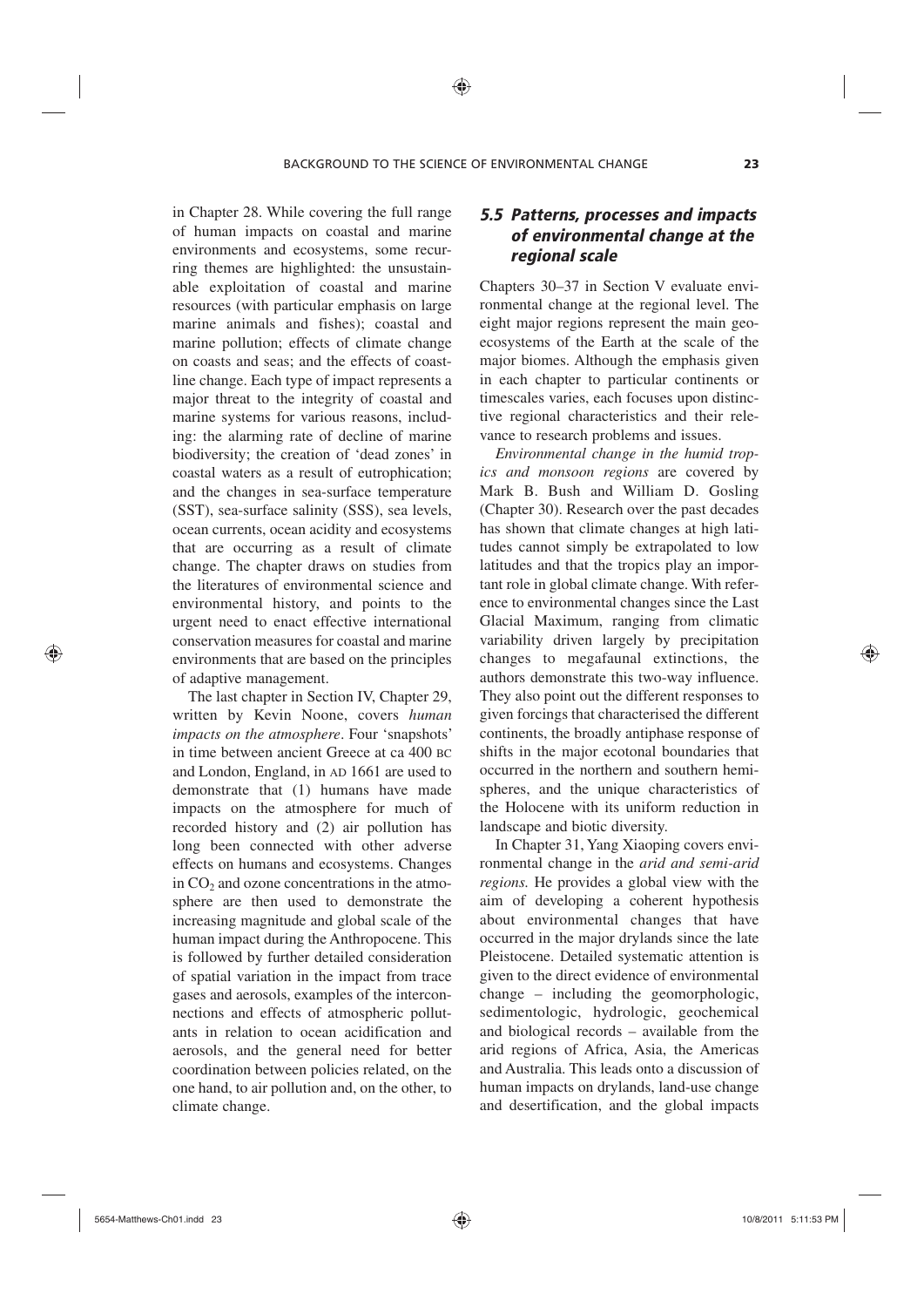⊕

in Chapter 28. While covering the full range of human impacts on coastal and marine environments and ecosystems, some recurring themes are highlighted: the unsustainable exploitation of coastal and marine resources (with particular emphasis on large marine animals and fishes); coastal and marine pollution; effects of climate change on coasts and seas; and the effects of coastline change. Each type of impact represents a major threat to the integrity of coastal and marine systems for various reasons, including: the alarming rate of decline of marine biodiversity; the creation of 'dead zones' in coastal waters as a result of eutrophication; and the changes in sea-surface temperature (SST), sea-surface salinity (SSS), sea levels, ocean currents, ocean acidity and ecosystems that are occurring as a result of climate change. The chapter draws on studies from the literatures of environmental science and environmental history, and points to the urgent need to enact effective international conservation measures for coastal and marine environments that are based on the principles of adaptive management.

The last chapter in Section IV, Chapter 29, written by Kevin Noone, covers *human impacts on the atmosphere*. Four 'snapshots' in time between ancient Greece at ca 400 BC and London, England, in AD 1661 are used to demonstrate that (1) humans have made impacts on the atmosphere for much of recorded history and (2) air pollution has long been connected with other adverse effects on humans and ecosystems. Changes in  $CO<sub>2</sub>$  and ozone concentrations in the atmosphere are then used to demonstrate the increasing magnitude and global scale of the human impact during the Anthropocene. This is followed by further detailed consideration of spatial variation in the impact from trace gases and aerosols, examples of the interconnections and effects of atmospheric pollutants in relation to ocean acidification and aerosols, and the general need for better coordination between policies related, on the one hand, to air pollution and, on the other, to climate change.

## *5.5 Patterns, processes and impacts of environmental change at the regional scale*

Chapters 30–37 in Section V evaluate environmental change at the regional level. The eight major regions represent the main geoecosystems of the Earth at the scale of the major biomes. Although the emphasis given in each chapter to particular continents or timescales varies, each focuses upon distinctive regional characteristics and their relevance to research problems and issues.

*Environmental change in the humid tropics and monsoon regions* are covered by Mark B. Bush and William D. Gosling (Chapter 30). Research over the past decades has shown that climate changes at high latitudes cannot simply be extrapolated to low latitudes and that the tropics play an important role in global climate change. With reference to environmental changes since the Last Glacial Maximum, ranging from climatic variability driven largely by precipitation changes to megafaunal extinctions, the authors demonstrate this two-way influence. They also point out the different responses to given forcings that characterised the different continents, the broadly antiphase response of shifts in the major ecotonal boundaries that occurred in the northern and southern hemispheres, and the unique characteristics of the Holocene with its uniform reduction in landscape and biotic diversity.

In Chapter 31, Yang Xiaoping covers environmental change in the *arid and semi-arid regions.* He provides a global view with the aim of developing a coherent hypothesis about environmental changes that have occurred in the major drylands since the late Pleistocene. Detailed systematic attention is given to the direct evidence of environmental change – including the geomorphologic, sedimentologic, hydrologic, geochemical and biological records – available from the arid regions of Africa, Asia, the Americas and Australia. This leads onto a discussion of human impacts on drylands, land-use change and desertification, and the global impacts

⊕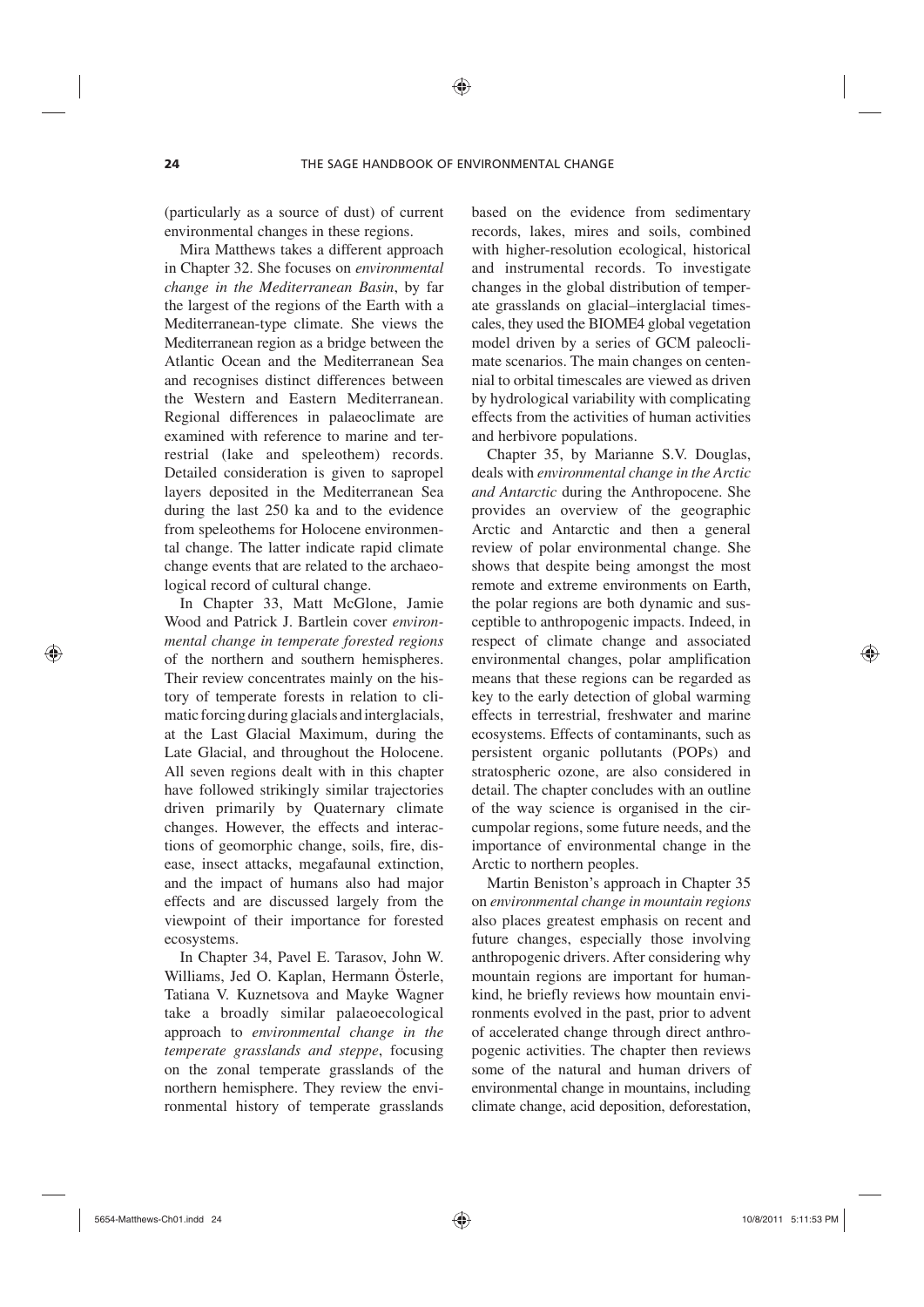(particularly as a source of dust) of current environmental changes in these regions.

Mira Matthews takes a different approach in Chapter 32. She focuses on *environmental change in the Mediterranean Basin*, by far the largest of the regions of the Earth with a Mediterranean-type climate. She views the Mediterranean region as a bridge between the Atlantic Ocean and the Mediterranean Sea and recognises distinct differences between the Western and Eastern Mediterranean. Regional differences in palaeoclimate are examined with reference to marine and terrestrial (lake and speleothem) records. Detailed consideration is given to sapropel layers deposited in the Mediterranean Sea during the last 250 ka and to the evidence from speleothems for Holocene environmental change. The latter indicate rapid climate change events that are related to the archaeological record of cultural change.

In Chapter 33, Matt McGlone, Jamie Wood and Patrick J. Bartlein cover *environmental change in temperate forested regions* of the northern and southern hemispheres. Their review concentrates mainly on the history of temperate forests in relation to climatic forcing during glacials and interglacials, at the Last Glacial Maximum, during the Late Glacial, and throughout the Holocene. All seven regions dealt with in this chapter have followed strikingly similar trajectories driven primarily by Quaternary climate changes. However, the effects and interactions of geomorphic change, soils, fire, disease, insect attacks, megafaunal extinction, and the impact of humans also had major effects and are discussed largely from the viewpoint of their importance for forested ecosystems.

In Chapter 34, Pavel E. Tarasov, John W. Williams, Jed O. Kaplan, Hermann Österle, Tatiana V. Kuznetsova and Mayke Wagner take a broadly similar palaeoecological approach to *environmental change in the temperate grasslands and steppe*, focusing on the zonal temperate grasslands of the northern hemisphere. They review the environmental history of temperate grasslands

based on the evidence from sedimentary records, lakes, mires and soils, combined with higher-resolution ecological, historical and instrumental records. To investigate changes in the global distribution of temperate grasslands on glacial–interglacial timescales, they used the BIOME4 global vegetation model driven by a series of GCM paleoclimate scenarios. The main changes on centennial to orbital timescales are viewed as driven by hydrological variability with complicating effects from the activities of human activities and herbivore populations.

Chapter 35, by Marianne S.V. Douglas, deals with *environmental change in the Arctic and Antarctic* during the Anthropocene. She provides an overview of the geographic Arctic and Antarctic and then a general review of polar environmental change. She shows that despite being amongst the most remote and extreme environments on Earth, the polar regions are both dynamic and susceptible to anthropogenic impacts. Indeed, in respect of climate change and associated environmental changes, polar amplification means that these regions can be regarded as key to the early detection of global warming effects in terrestrial, freshwater and marine ecosystems. Effects of contaminants, such as persistent organic pollutants (POPs) and stratospheric ozone, are also considered in detail. The chapter concludes with an outline of the way science is organised in the circumpolar regions, some future needs, and the importance of environmental change in the Arctic to northern peoples.

Martin Beniston's approach in Chapter 35 on *environmental change in mountain regions* also places greatest emphasis on recent and future changes, especially those involving anthropogenic drivers. After considering why mountain regions are important for humankind, he briefly reviews how mountain environments evolved in the past, prior to advent of accelerated change through direct anthropogenic activities. The chapter then reviews some of the natural and human drivers of environmental change in mountains, including climate change, acid deposition, deforestation,

⊕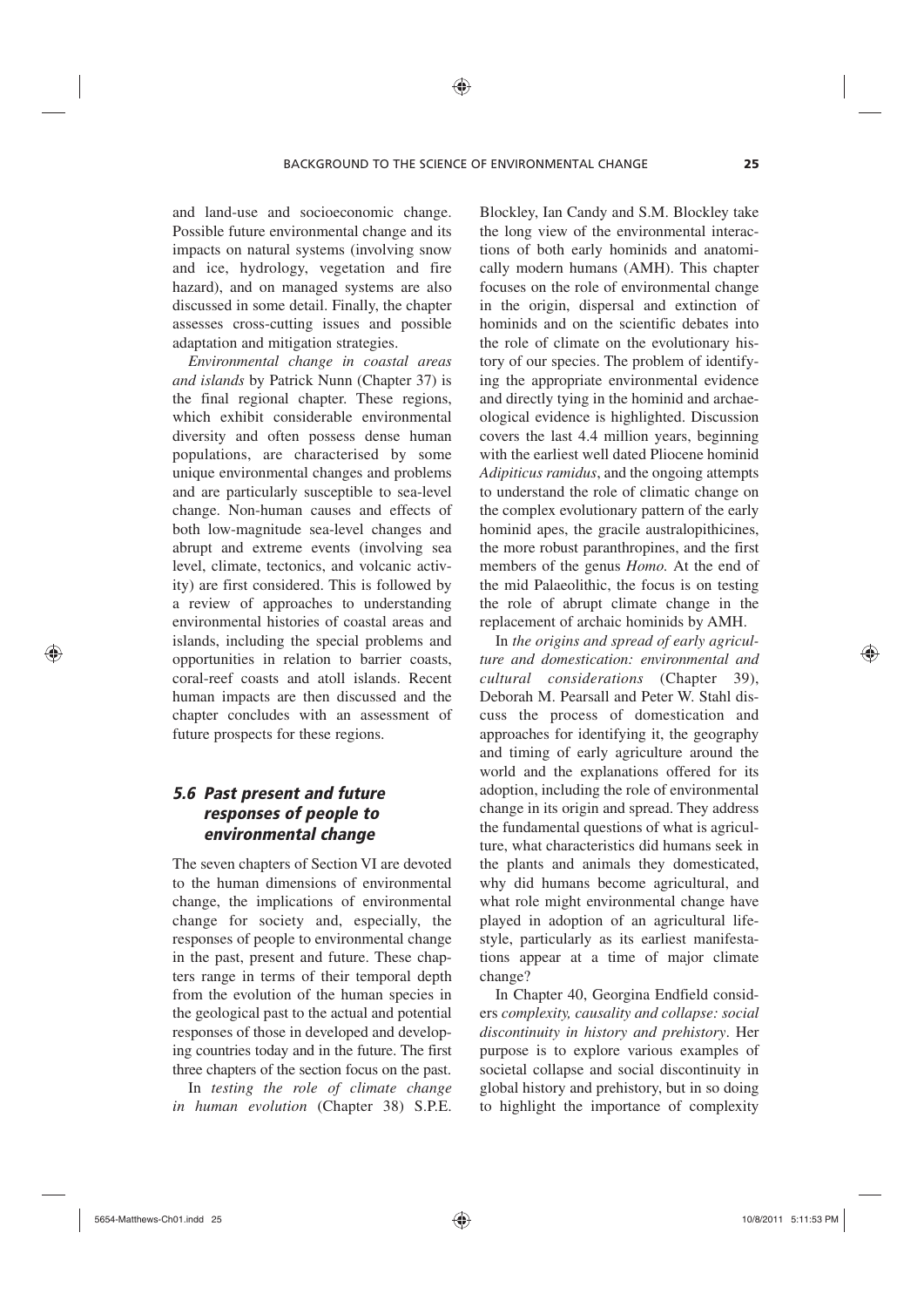and land-use and socioeconomic change. Possible future environmental change and its impacts on natural systems (involving snow and ice, hydrology, vegetation and fire hazard), and on managed systems are also discussed in some detail. Finally, the chapter assesses cross-cutting issues and possible adaptation and mitigation strategies.

*Environmental change in coastal areas and islands* by Patrick Nunn (Chapter 37) is the final regional chapter. These regions, which exhibit considerable environmental diversity and often possess dense human populations, are characterised by some unique environmental changes and problems and are particularly susceptible to sea-level change. Non-human causes and effects of both low-magnitude sea-level changes and abrupt and extreme events (involving sea level, climate, tectonics, and volcanic activity) are first considered. This is followed by a review of approaches to understanding environmental histories of coastal areas and islands, including the special problems and opportunities in relation to barrier coasts, coral-reef coasts and atoll islands. Recent human impacts are then discussed and the chapter concludes with an assessment of future prospects for these regions.

## *5.6 Past present and future responses of people to environmental change*

The seven chapters of Section VI are devoted to the human dimensions of environmental change, the implications of environmental change for society and, especially, the responses of people to environmental change in the past, present and future. These chapters range in terms of their temporal depth from the evolution of the human species in the geological past to the actual and potential responses of those in developed and developing countries today and in the future. The first three chapters of the section focus on the past.

In *testing the role of climate change in human evolution* (Chapter 38) S.P.E. Blockley, Ian Candy and S.M. Blockley take the long view of the environmental interactions of both early hominids and anatomically modern humans (AMH). This chapter focuses on the role of environmental change in the origin, dispersal and extinction of hominids and on the scientific debates into the role of climate on the evolutionary history of our species. The problem of identifying the appropriate environmental evidence and directly tying in the hominid and archaeological evidence is highlighted. Discussion covers the last 4.4 million years, beginning with the earliest well dated Pliocene hominid *Adipiticus ramidus*, and the ongoing attempts to understand the role of climatic change on the complex evolutionary pattern of the early hominid apes, the gracile australopithicines, the more robust paranthropines, and the first members of the genus *Homo.* At the end of the mid Palaeolithic, the focus is on testing the role of abrupt climate change in the replacement of archaic hominids by AMH.

In *the origins and spread of early agriculture and domestication: environmental and cultural considerations* (Chapter 39), Deborah M. Pearsall and Peter W. Stahl discuss the process of domestication and approaches for identifying it, the geography and timing of early agriculture around the world and the explanations offered for its adoption, including the role of environmental change in its origin and spread. They address the fundamental questions of what is agriculture, what characteristics did humans seek in the plants and animals they domesticated, why did humans become agricultural, and what role might environmental change have played in adoption of an agricultural lifestyle, particularly as its earliest manifestations appear at a time of major climate change?

In Chapter 40, Georgina Endfield considers *complexity, causality and collapse: social discontinuity in history and prehistory*. Her purpose is to explore various examples of societal collapse and social discontinuity in global history and prehistory, but in so doing to highlight the importance of complexity

⊕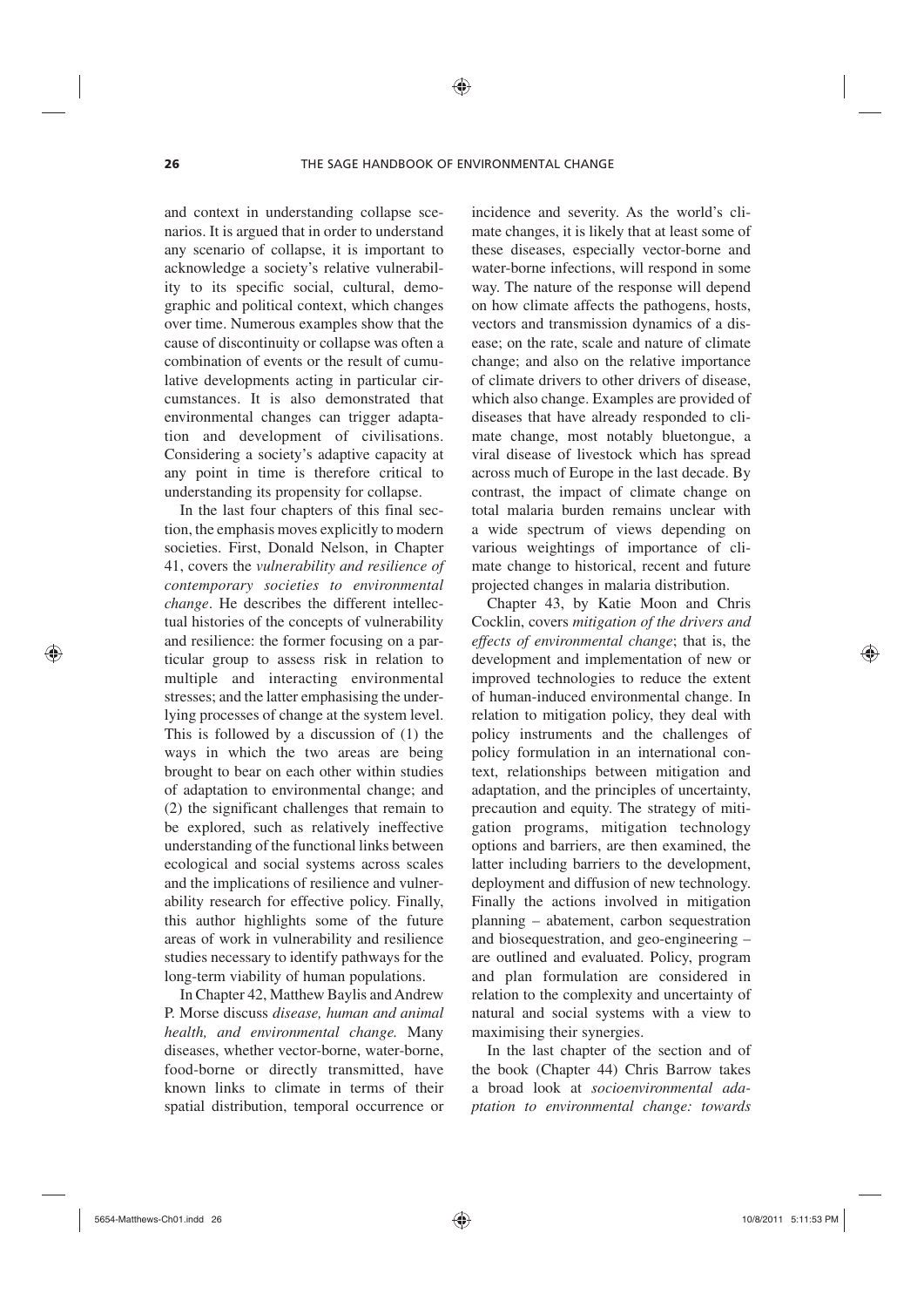and context in understanding collapse scenarios. It is argued that in order to understand any scenario of collapse, it is important to acknowledge a society's relative vulnerability to its specific social, cultural, demographic and political context, which changes over time. Numerous examples show that the cause of discontinuity or collapse was often a combination of events or the result of cumulative developments acting in particular circumstances. It is also demonstrated that environmental changes can trigger adaptation and development of civilisations. Considering a society's adaptive capacity at any point in time is therefore critical to understanding its propensity for collapse.

In the last four chapters of this final section, the emphasis moves explicitly to modern societies. First, Donald Nelson, in Chapter 41, covers the *vulnerability and resilience of contemporary societies to environmental change*. He describes the different intellectual histories of the concepts of vulnerability and resilience: the former focusing on a particular group to assess risk in relation to multiple and interacting environmental stresses; and the latter emphasising the underlying processes of change at the system level. This is followed by a discussion of (1) the ways in which the two areas are being brought to bear on each other within studies of adaptation to environmental change; and (2) the significant challenges that remain to be explored, such as relatively ineffective understanding of the functional links between ecological and social systems across scales and the implications of resilience and vulnerability research for effective policy. Finally, this author highlights some of the future areas of work in vulnerability and resilience studies necessary to identify pathways for the long-term viability of human populations.

In Chapter 42, Matthew Baylis and Andrew P. Morse discuss *disease, human and animal health, and environmental change.* Many diseases, whether vector-borne, water-borne, food-borne or directly transmitted, have known links to climate in terms of their spatial distribution, temporal occurrence or incidence and severity. As the world's climate changes, it is likely that at least some of these diseases, especially vector-borne and water-borne infections, will respond in some way. The nature of the response will depend on how climate affects the pathogens, hosts, vectors and transmission dynamics of a disease; on the rate, scale and nature of climate change; and also on the relative importance of climate drivers to other drivers of disease, which also change. Examples are provided of diseases that have already responded to climate change, most notably bluetongue, a viral disease of livestock which has spread across much of Europe in the last decade. By contrast, the impact of climate change on total malaria burden remains unclear with a wide spectrum of views depending on various weightings of importance of climate change to historical, recent and future projected changes in malaria distribution.

Chapter 43, by Katie Moon and Chris Cocklin, covers *mitigation of the drivers and effects of environmental change*; that is, the development and implementation of new or improved technologies to reduce the extent of human-induced environmental change. In relation to mitigation policy, they deal with policy instruments and the challenges of policy formulation in an international context, relationships between mitigation and adaptation, and the principles of uncertainty, precaution and equity. The strategy of mitigation programs, mitigation technology options and barriers, are then examined, the latter including barriers to the development, deployment and diffusion of new technology. Finally the actions involved in mitigation planning – abatement, carbon sequestration and biosequestration, and geo-engineering – are outlined and evaluated. Policy, program and plan formulation are considered in relation to the complexity and uncertainty of natural and social systems with a view to maximising their synergies.

In the last chapter of the section and of the book (Chapter 44) Chris Barrow takes a broad look at *socioenvironmental adaptation to environmental change: towards* 

◈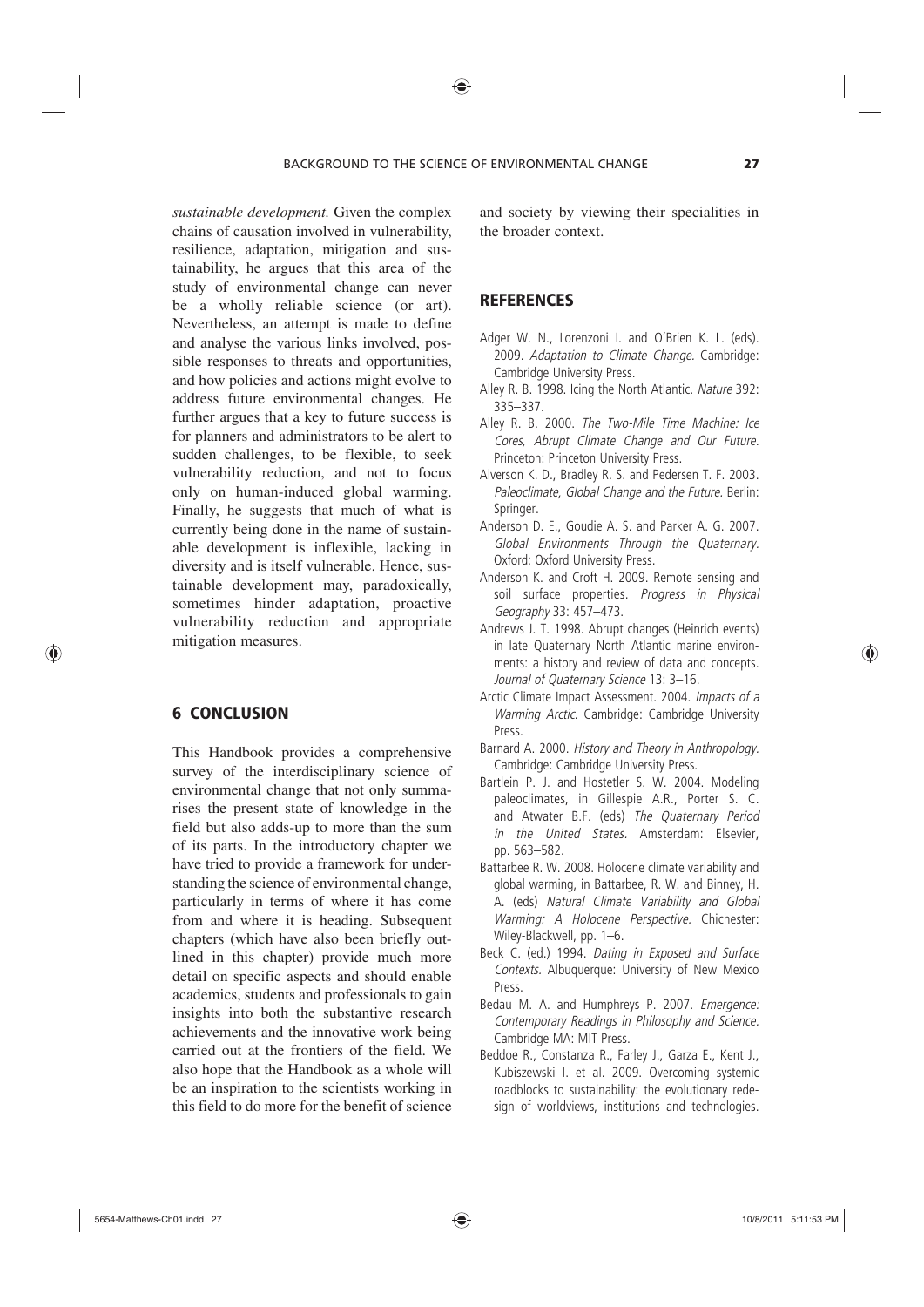*sustainable development.* Given the complex chains of causation involved in vulnerability, resilience, adaptation, mitigation and sustainability, he argues that this area of the study of environmental change can never be a wholly reliable science (or art). Nevertheless, an attempt is made to define and analyse the various links involved, possible responses to threats and opportunities, and how policies and actions might evolve to address future environmental changes. He further argues that a key to future success is for planners and administrators to be alert to sudden challenges, to be flexible, to seek vulnerability reduction, and not to focus only on human-induced global warming. Finally, he suggests that much of what is currently being done in the name of sustainable development is inflexible, lacking in diversity and is itself vulnerable. Hence, sustainable development may, paradoxically, sometimes hinder adaptation, proactive vulnerability reduction and appropriate mitigation measures.

## 6 CONCLUSION

⊕

This Handbook provides a comprehensive survey of the interdisciplinary science of environmental change that not only summarises the present state of knowledge in the field but also adds-up to more than the sum of its parts. In the introductory chapter we have tried to provide a framework for understanding the science of environmental change, particularly in terms of where it has come from and where it is heading. Subsequent chapters (which have also been briefly outlined in this chapter) provide much more detail on specific aspects and should enable academics, students and professionals to gain insights into both the substantive research achievements and the innovative work being carried out at the frontiers of the field. We also hope that the Handbook as a whole will be an inspiration to the scientists working in this field to do more for the benefit of science

and society by viewing their specialities in the broader context.

### **REFERENCES**

- Adger W. N., Lorenzoni I. and O'Brien K. L. (eds). 2009. *Adaptation to Climate Change.* Cambridge: Cambridge University Press.
- Alley R. B. 1998. Icing the North Atlantic. *Nature* 392: 335–337.
- Alley R. B. 2000. *The Two-Mile Time Machine: Ice Cores, Abrupt Climate Change and Our Future.* Princeton: Princeton University Press.
- Alverson K. D., Bradley R. S. and Pedersen T. F. 2003. *Paleoclimate, Global Change and the Future.* Berlin: Springer.
- Anderson D. E., Goudie A. S. and Parker A. G. 2007. *Global Environments Through the Quaternary.* Oxford: Oxford University Press.
- Anderson K. and Croft H. 2009. Remote sensing and soil surface properties. *Progress in Physical Geography* 33: 457–473.
- Andrews J. T. 1998. Abrupt changes (Heinrich events) in late Quaternary North Atlantic marine environments: a history and review of data and concepts. *Journal of Quaternary Science* 13: 3–16.
- Arctic Climate Impact Assessment. 2004. *Impacts of a Warming Arctic*. Cambridge: Cambridge University Press.
- Barnard A. 2000. *History and Theory in Anthropology.* Cambridge: Cambridge University Press.
- Bartlein P. J. and Hostetler S. W. 2004. Modeling paleoclimates, in Gillespie A.R., Porter S. C. and Atwater B.F. (eds) *The Quaternary Period in the United States.* Amsterdam: Elsevier, pp. 563–582.
- Battarbee R. W. 2008. Holocene climate variability and global warming, in Battarbee, R. W. and Binney, H. A. (eds) *Natural Climate Variability and Global Warming: A Holocene Perspective.* Chichester: Wiley-Blackwell, pp. 1–6.
- Beck C. (ed.) 1994. *Dating in Exposed and Surface Contexts.* Albuquerque: University of New Mexico Press.
- Bedau M. A. and Humphreys P. 2007. *Emergence: Contemporary Readings in Philosophy and Science.* Cambridge MA: MIT Press.
- Beddoe R., Constanza R., Farley J., Garza E., Kent J., Kubiszewski I. et al. 2009. Overcoming systemic roadblocks to sustainability: the evolutionary redesign of worldviews, institutions and technologies.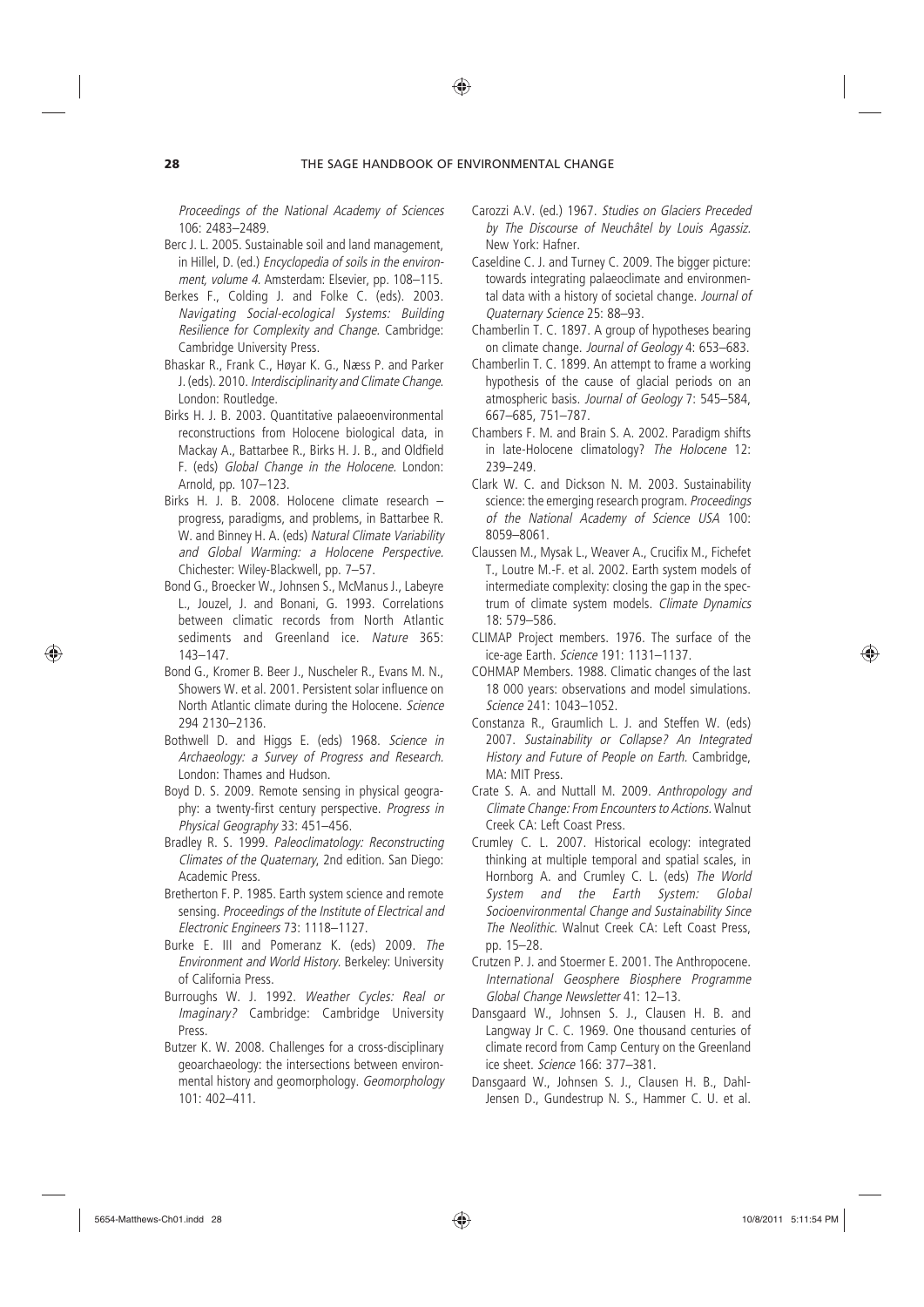*Proceedings of the National Academy of Sciences* 106: 2483–2489.

- Berc J. L. 2005. Sustainable soil and land management, in Hillel, D. (ed.) *Encyclopedia of soils in the environment, volume 4.* Amsterdam: Elsevier, pp. 108–115.
- Berkes F., Colding J. and Folke C. (eds). 2003. *Navigating Social-ecological Systems: Building Resilience for Complexity and Change.* Cambridge: Cambridge University Press.
- Bhaskar R., Frank C., Høyar K. G., Næss P. and Parker J. (eds). 2010. *Interdisciplinarity and Climate Change*. London: Routledge.
- Birks H. J. B. 2003. Quantitative palaeoenvironmental reconstructions from Holocene biological data, in Mackay A., Battarbee R., Birks H. J. B., and Oldfield F. (eds) *Global Change in the Holocene.* London: Arnold, pp. 107–123.
- Birks H. J. B. 2008. Holocene climate research progress, paradigms, and problems, in Battarbee R. W. and Binney H. A. (eds) *Natural Climate Variability and Global Warming: a Holocene Perspective.* Chichester: Wiley-Blackwell, pp. 7–57.
- Bond G., Broecker W., Johnsen S., McManus J., Labeyre L., Jouzel, J. and Bonani, G. 1993. Correlations between climatic records from North Atlantic sediments and Greenland ice. *Nature* 365: 143–147.
- Bond G., Kromer B. Beer J., Nuscheler R., Evans M. N., Showers W. et al. 2001. Persistent solar influence on North Atlantic climate during the Holocene. *Science* 294 2130–2136.
- Bothwell D. and Higgs E. (eds) 1968. *Science in Archaeology: a Survey of Progress and Research.* London: Thames and Hudson.
- Boyd D. S. 2009. Remote sensing in physical geography: a twenty-first century perspective. *Progress in Physical Geography* 33: 451–456.
- Bradley R. S. 1999. *Paleoclimatology: Reconstructing Climates of the Quaternary*, 2nd edition*.* San Diego: Academic Press.
- Bretherton F. P. 1985. Earth system science and remote sensing. *Proceedings of the Institute of Electrical and Electronic Engineers* 73: 1118–1127.
- Burke E. III and Pomeranz K. (eds) 2009. *The Environment and World History.* Berkeley: University of California Press.
- Burroughs W. J. 1992. *Weather Cycles: Real or Imaginary?* Cambridge: Cambridge University Press.
- Butzer K. W. 2008. Challenges for a cross-disciplinary geoarchaeology: the intersections between environmental history and geomorphology. *Geomorphology* 101: 402–411.
- Carozzi A.V. (ed.) 1967. *Studies on Glaciers Preceded by The Discourse of Neuchâtel by Louis Agassiz.* New York: Hafner.
- Caseldine C. J. and Turney C. 2009. The bigger picture: towards integrating palaeoclimate and environmental data with a history of societal change. *Journal of Quaternary Science* 25: 88–93.
- Chamberlin T. C. 1897. A group of hypotheses bearing on climate change. *Journal of Geology* 4: 653–683.
- Chamberlin T. C. 1899. An attempt to frame a working hypothesis of the cause of glacial periods on an atmospheric basis. *Journal of Geology* 7: 545–584, 667–685, 751–787.
- Chambers F. M. and Brain S. A. 2002. Paradigm shifts in late-Holocene climatology? *The Holocene* 12: 239–249.
- Clark W. C. and Dickson N. M. 2003. Sustainability science: the emerging research program. *Proceedings of the National Academy of Science USA* 100: 8059–8061.
- Claussen M., Mysak L., Weaver A., Crucifix M., Fichefet T., Loutre M.-F. et al. 2002. Earth system models of intermediate complexity: closing the gap in the spectrum of climate system models. *Climate Dynamics* 18: 579–586.
- CLIMAP Project members. 1976. The surface of the ice-age Earth. *Science* 191: 1131–1137.
- COHMAP Members. 1988. Climatic changes of the last 18 000 years: observations and model simulations. *Science* 241: 1043–1052.
- Constanza R., Graumlich L. J. and Steffen W. (eds) 2007. *Sustainability or Collapse? An Integrated History and Future of People on Earth.* Cambridge, MA: MIT Press.
- Crate S. A. and Nuttall M. 2009. *Anthropology and Climate Change: From Encounters to Actions.* Walnut Creek CA: Left Coast Press.
- Crumley C. L. 2007. Historical ecology: integrated thinking at multiple temporal and spatial scales, in Hornborg A. and Crumley C. L. (eds) *The World System and the Earth System: Global Socioenvironmental Change and Sustainability Since The Neolithic.* Walnut Creek CA: Left Coast Press, pp. 15–28.
- Crutzen P. J. and Stoermer E. 2001. The Anthropocene. *International Geosphere Biosphere Programme Global Change Newsletter* 41: 12–13.
- Dansgaard W., Johnsen S. J., Clausen H. B. and Langway Jr C. C. 1969. One thousand centuries of climate record from Camp Century on the Greenland ice sheet. *Science* 166: 377–381.
- Dansgaard W., Johnsen S. J., Clausen H. B., Dahl-Jensen D., Gundestrup N. S., Hammer C. U. et al.

⊕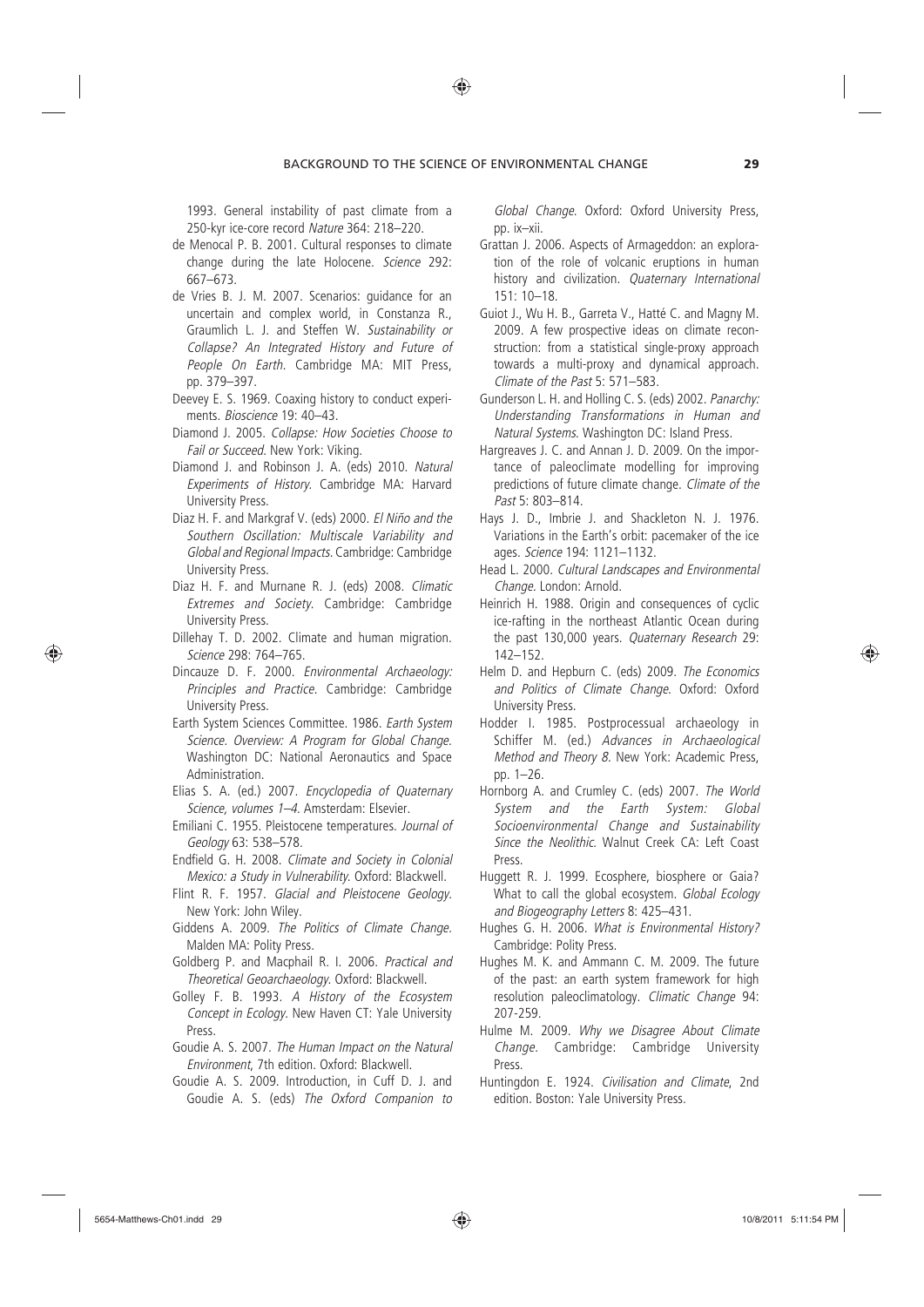1993. General instability of past climate from a 250-kyr ice-core record *Nature* 364: 218–220.

- de Menocal P. B. 2001. Cultural responses to climate change during the late Holocene. *Science* 292: 667–673.
- de Vries B. J. M. 2007. Scenarios: guidance for an uncertain and complex world, in Constanza R., Graumlich L. J. and Steffen W. *Sustainability or Collapse? An Integrated History and Future of People On Earth.* Cambridge MA: MIT Press, pp. 379–397.
- Deevey E. S. 1969. Coaxing history to conduct experiments. *Bioscience* 19: 40–43.
- Diamond J. 2005. *Collapse: How Societies Choose to Fail or Succeed.* New York: Viking.
- Diamond J. and Robinson J. A. (eds) 2010. *Natural Experiments of History.* Cambridge MA: Harvard University Press.
- Diaz H. F. and Markgraf V. (eds) 2000. *El Niño and the Southern Oscillation: Multiscale Variability and Global and Regional Impacts.* Cambridge: Cambridge University Press.
- Diaz H. F. and Murnane R. J. (eds) 2008. *Climatic Extremes and Society.* Cambridge: Cambridge University Press.
- Dillehay T. D. 2002. Climate and human migration. *Science* 298: 764–765.
- Dincauze D. F. 2000. *Environmental Archaeology: Principles and Practice.* Cambridge: Cambridge University Press.
- Earth System Sciences Committee. 1986. *Earth System Science. Overview: A Program for Global Change*. Washington DC: National Aeronautics and Space Administration.
- Elias S. A. (ed.) 2007. *Encyclopedia of Quaternary Science, volumes 1–4.* Amsterdam: Elsevier.
- Emiliani C. 1955. Pleistocene temperatures. *Journal of Geology* 63: 538–578.
- Endfield G. H. 2008. *Climate and Society in Colonial Mexico: a Study in Vulnerability*. Oxford: Blackwell.
- Flint R. F. 1957. *Glacial and Pleistocene Geology.* New York: John Wiley.
- Giddens A. 2009. *The Politics of Climate Change.* Malden MA: Polity Press.
- Goldberg P. and Macphail R. I. 2006. *Practical and Theoretical Geoarchaeology*. Oxford: Blackwell.
- Golley F. B. 1993. *A History of the Ecosystem Concept in Ecology.* New Haven CT: Yale University Press.
- Goudie A. S. 2007. *The Human Impact on the Natural Environment*, 7th edition. Oxford: Blackwell.
- Goudie A. S. 2009. Introduction, in Cuff D. J. and Goudie A. S. (eds) *The Oxford Companion to*

*Global Change*. Oxford: Oxford University Press, pp. ix–xii.

- Grattan J. 2006. Aspects of Armageddon: an exploration of the role of volcanic eruptions in human history and civilization. *Quaternary International* 151: 10–18.
- Guiot J., Wu H. B., Garreta V., Hatté C. and Magny M. 2009. A few prospective ideas on climate reconstruction: from a statistical single-proxy approach towards a multi-proxy and dynamical approach. *Climate of the Past* 5: 571–583.
- Gunderson L. H. and Holling C. S. (eds) 2002. *Panarchy: Understanding Transformations in Human and Natural Systems.* Washington DC: Island Press.
- Hargreaves J. C. and Annan J. D. 2009. On the importance of paleoclimate modelling for improving predictions of future climate change. *Climate of the Past* 5: 803–814.
- Hays J. D., Imbrie J. and Shackleton N. J. 1976. Variations in the Earth's orbit: pacemaker of the ice ages. *Science* 194: 1121–1132.
- Head L. 2000. *Cultural Landscapes and Environmental Change.* London: Arnold.
- Heinrich H. 1988. Origin and consequences of cyclic ice-rafting in the northeast Atlantic Ocean during the past 130,000 years. *Quaternary Research* 29: 142–152.
- Helm D. and Hepburn C. (eds) 2009. *The Economics and Politics of Climate Change*. Oxford: Oxford University Press.
- Hodder I. 1985. Postprocessual archaeology in Schiffer M. (ed.) *Advances in Archaeological Method and Theory 8.* New York: Academic Press, pp. 1–26.
- Hornborg A. and Crumley C. (eds) 2007. *The World System and the Earth System: Global Socioenvironmental Change and Sustainability Since the Neolithic.* Walnut Creek CA: Left Coast Press.
- Huggett R. J. 1999. Ecosphere, biosphere or Gaia? What to call the global ecosystem. *Global Ecology and Biogeography Letters* 8: 425–431.
- Hughes G. H. 2006. *What is Environmental History?* Cambridge: Polity Press.
- Hughes M. K. and Ammann C. M. 2009. The future of the past: an earth system framework for high resolution paleoclimatology. *Climatic Change* 94: 207-259.
- Hulme M. 2009. *Why we Disagree About Climate Change.* Cambridge: Cambridge University Press.
- Huntingdon E. 1924. *Civilisation and Climate*, 2nd edition. Boston: Yale University Press.

⊕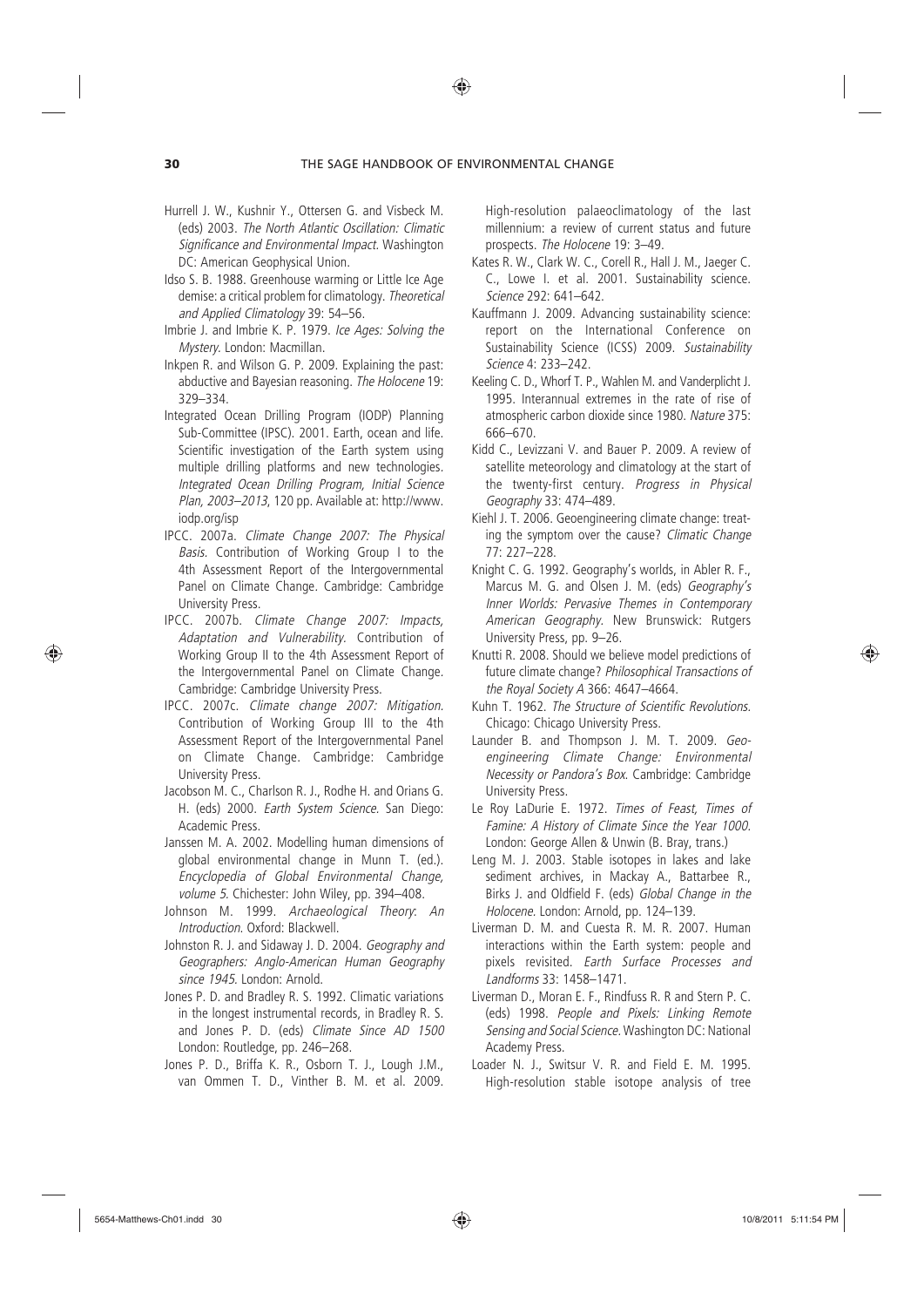- Hurrell J. W., Kushnir Y., Ottersen G. and Visbeck M. (eds) 2003. *The North Atlantic Oscillation: Climatic Significance and Environmental Impact.* Washington DC: American Geophysical Union.
- Idso S. B. 1988. Greenhouse warming or Little Ice Age demise: a critical problem for climatology. *Theoretical and Applied Climatology* 39: 54–56.
- Imbrie J. and Imbrie K. P. 1979. *Ice Ages: Solving the Mystery.* London: Macmillan.
- Inkpen R. and Wilson G. P. 2009. Explaining the past: abductive and Bayesian reasoning. *The Holocene* 19: 329–334.
- Integrated Ocean Drilling Program (IODP) Planning Sub-Committee (IPSC). 2001. Earth, ocean and life. Scientific investigation of the Earth system using multiple drilling platforms and new technologies*. Integrated Ocean Drilling Program, Initial Science Plan, 2003–2013*, 120 pp. Available at: http://www. iodp.org/isp
- IPCC. 2007a. *Climate Change 2007: The Physical Basis.* Contribution of Working Group I to the 4th Assessment Report of the Intergovernmental Panel on Climate Change*.* Cambridge: Cambridge University Press.
- IPCC. 2007b. *Climate Change 2007: Impacts, Adaptation and Vulnerability.* Contribution of Working Group II to the 4th Assessment Report of the Intergovernmental Panel on Climate Change*.* Cambridge: Cambridge University Press.
- IPCC. 2007c. *Climate change 2007: Mitigation.*  Contribution of Working Group III to the 4th Assessment Report of the Intergovernmental Panel on Climate Change. Cambridge: Cambridge University Press.
- Jacobson M. C., Charlson R. J., Rodhe H. and Orians G. H. (eds) 2000. *Earth System Science.* San Diego: Academic Press.
- Janssen M. A. 2002. Modelling human dimensions of global environmental change in Munn T. (ed.). *Encyclopedia of Global Environmental Change, volume 5.* Chichester: John Wiley, pp. 394–408.
- Johnson M. 1999. *Archaeological Theory*: *An Introduction*. Oxford: Blackwell.
- Johnston R. J. and Sidaway J. D. 2004. *Geography and Geographers: Anglo-American Human Geography since 1945.* London: Arnold.
- Jones P. D. and Bradley R. S. 1992. Climatic variations in the longest instrumental records, in Bradley R. S. and Jones P. D. (eds) *Climate Since AD 1500* London: Routledge, pp. 246–268.
- Jones P. D., Briffa K. R., Osborn T. J., Lough J.M., van Ommen T. D., Vinther B. M. et al. 2009.

High-resolution palaeoclimatology of the last millennium: a review of current status and future prospects. *The Holocene* 19: 3–49.

- Kates R. W., Clark W. C., Corell R., Hall J. M., Jaeger C. C., Lowe I. et al. 2001. Sustainability science. *Science* 292: 641–642.
- Kauffmann J. 2009. Advancing sustainability science: report on the International Conference on Sustainability Science (ICSS) 2009. *Sustainability Science* 4: 233–242.
- Keeling C. D., Whorf T. P., Wahlen M. and Vanderplicht J. 1995. Interannual extremes in the rate of rise of atmospheric carbon dioxide since 1980. *Nature* 375: 666–670.
- Kidd C., Levizzani V. and Bauer P. 2009. A review of satellite meteorology and climatology at the start of the twenty-first century. *Progress in Physical Geography* 33: 474–489.
- Kiehl J. T. 2006. Geoengineering climate change: treating the symptom over the cause? *Climatic Change* 77: 227–228.
- Knight C. G. 1992. Geography's worlds, in Abler R. F., Marcus M. G. and Olsen J. M. (eds) *Geography's Inner Worlds: Pervasive Themes in Contemporary American Geography.* New Brunswick: Rutgers University Press, pp. 9–26.
- Knutti R. 2008. Should we believe model predictions of future climate change? *Philosophical Transactions of the Royal Society A* 366: 4647–4664.
- Kuhn T. 1962. *The Structure of Scientific Revolutions.* Chicago: Chicago University Press.
- Launder B. and Thompson J. M. T. 2009. *Geoengineering Climate Change: Environmental Necessity or Pandora's Box*. Cambridge: Cambridge University Press.
- Le Roy LaDurie E. 1972. *Times of Feast, Times of Famine: A History of Climate Since the Year 1000.* London: George Allen & Unwin (B. Bray, trans.)
- Leng M. J. 2003. Stable isotopes in lakes and lake sediment archives, in Mackay A., Battarbee R., Birks J. and Oldfield F. (eds) *Global Change in the Holocene.* London: Arnold, pp. 124–139.
- Liverman D. M. and Cuesta R. M. R. 2007. Human interactions within the Earth system: people and pixels revisited. *Earth Surface Processes and Landforms* 33: 1458–1471.
- Liverman D., Moran E. F., Rindfuss R. R and Stern P. C. (eds) 1998. *People and Pixels: Linking Remote Sensing and Social Science.* Washington DC: National Academy Press.
- Loader N. J., Switsur V. R. and Field E. M. 1995. High-resolution stable isotope analysis of tree

⊕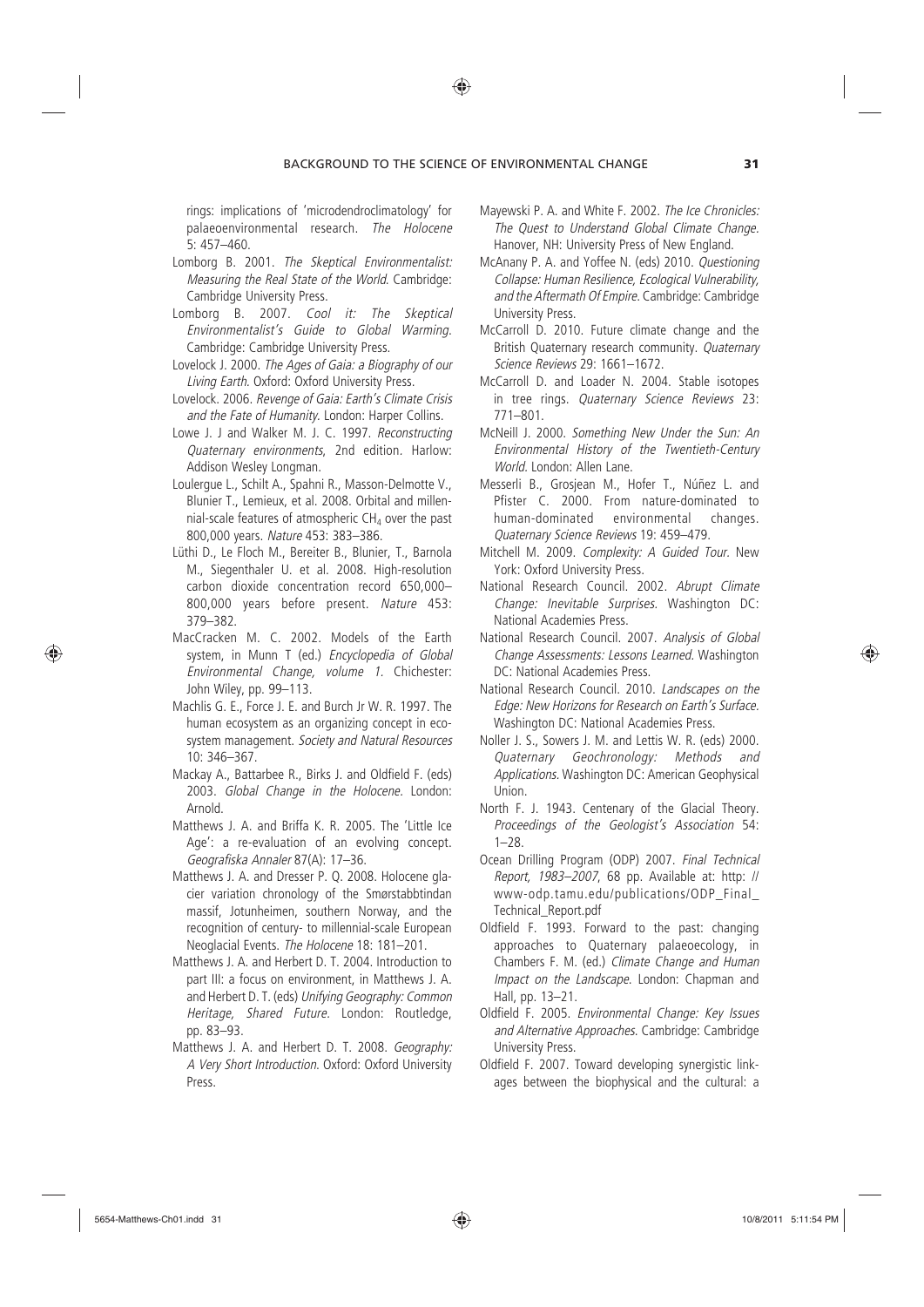rings: implications of 'microdendroclimatology' for palaeoenvironmental research. *The Holocene* 5: 457–460.

- Lomborg B. 2001. *The Skeptical Environmentalist: Measuring the Real State of the World*. Cambridge: Cambridge University Press.
- Lomborg B. 2007. *Cool it: The Skeptical Environmentalist's Guide to Global Warming*. Cambridge: Cambridge University Press.
- Lovelock J. 2000. *The Ages of Gaia: a Biography of our Living Earth.* Oxford: Oxford University Press.
- Lovelock. 2006. *Revenge of Gaia: Earth's Climate Crisis and the Fate of Humanity.* London: Harper Collins.
- Lowe J. J and Walker M. J. C. 1997. *Reconstructing Quaternary environments*, 2nd edition*.* Harlow: Addison Wesley Longman.
- Loulergue L., Schilt A., Spahni R., Masson-Delmotte V., Blunier T., Lemieux, et al. 2008. Orbital and millennial-scale features of atmospheric  $CH<sub>4</sub>$  over the past 800,000 years. *Nature* 453: 383–386.
- Lüthi D., Le Floch M., Bereiter B., Blunier, T., Barnola M., Siegenthaler U. et al. 2008. High-resolution carbon dioxide concentration record 650,000– 800,000 years before present. *Nature* 453: 379–382.
- MacCracken M. C. 2002. Models of the Earth system, in Munn T (ed.) *Encyclopedia of Global Environmental Change, volume 1.* Chichester: John Wiley, pp. 99–113.
- Machlis G. E., Force J. E. and Burch Jr W. R. 1997. The human ecosystem as an organizing concept in ecosystem management. *Society and Natural Resources* 10: 346–367.
- Mackay A., Battarbee R., Birks J. and Oldfield F. (eds) 2003. *Global Change in the Holocene.* London: Arnold.
- Matthews J. A. and Briffa K. R. 2005. The 'Little Ice Age': a re-evaluation of an evolving concept. *Geografiska Annaler* 87(A): 17–36.
- Matthews J. A. and Dresser P. Q. 2008. Holocene glacier variation chronology of the Smørstabbtindan massif, Jotunheimen, southern Norway, and the recognition of century- to millennial-scale European Neoglacial Events. *The Holocene* 18: 181–201.
- Matthews J. A. and Herbert D. T. 2004. Introduction to part III: a focus on environment, in Matthews J. A. and Herbert D. T. (eds) *Unifying Geography: Common Heritage, Shared Future.* London: Routledge, pp. 83–93.
- Matthews J. A. and Herbert D. T. 2008. *Geography: A Very Short Introduction*. Oxford: Oxford University Press.
- Mayewski P. A. and White F. 2002. *The Ice Chronicles: The Quest to Understand Global Climate Change.* Hanover, NH: University Press of New England.
- McAnany P. A. and Yoffee N. (eds) 2010. *Questioning Collapse: Human Resilience, Ecological Vulnerability, and the Aftermath Of Empire*. Cambridge: Cambridge University Press.
- McCarroll D. 2010. Future climate change and the British Quaternary research community. *Quaternary Science Reviews* 29: 1661–1672.
- McCarroll D. and Loader N. 2004. Stable isotopes in tree rings. *Quaternary Science Reviews* 23: 771–801.
- McNeill J. 2000. *Something New Under the Sun: An Environmental History of the Twentieth-Century World.* London: Allen Lane.
- Messerli B., Grosjean M., Hofer T., Núñez L. and Pfister C. 2000. From nature-dominated to human-dominated environmental changes. *Quaternary Science Reviews* 19: 459–479.
- Mitchell M. 2009. *Complexity: A Guided Tour.* New York: Oxford University Press.
- National Research Council. 2002. *Abrupt Climate Change: Inevitable Surprises.* Washington DC: National Academies Press.
- National Research Council. 2007. *Analysis of Global Change Assessments: Lessons Learned.* Washington DC: National Academies Press.
- National Research Council. 2010. *Landscapes on the Edge: New Horizons for Research on Earth's Surface.* Washington DC: National Academies Press.
- Noller J. S., Sowers J. M. and Lettis W. R. (eds) 2000. *Quaternary Geochronology: Methods and Applications.* Washington DC: American Geophysical Union.
- North F. J. 1943. Centenary of the Glacial Theory. *Proceedings of the Geologist's Association* 54: 1–28.
- Ocean Drilling Program (ODP) 2007. *Final Technical Report, 1983–2007*, 68 pp. Available at: http: // www-odp.tamu.edu/publications/ODP\_Final\_ Technical\_Report.pdf
- Oldfield F. 1993. Forward to the past: changing approaches to Quaternary palaeoecology, in Chambers F. M. (ed.) *Climate Change and Human Impact on the Landscape*. London: Chapman and Hall, pp. 13–21.
- Oldfield F. 2005. *Environmental Change: Key Issues and Alternative Approaches*. Cambridge: Cambridge University Press.
- Oldfield F. 2007. Toward developing synergistic linkages between the biophysical and the cultural: a

⊕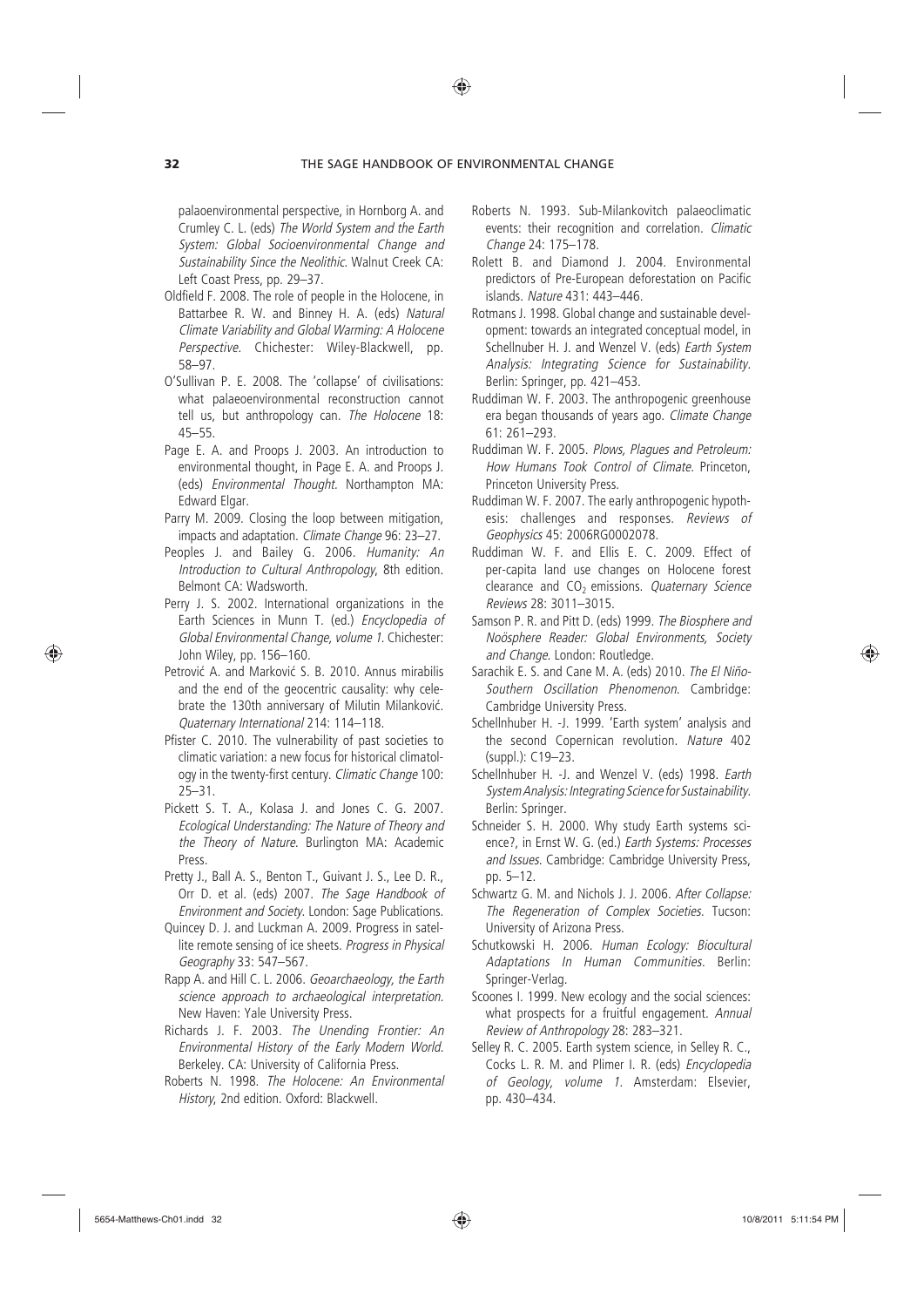palaoenvironmental perspective, in Hornborg A. and Crumley C. L. (eds) *The World System and the Earth System: Global Socioenvironmental Change and Sustainability Since the Neolithic.* Walnut Creek CA: Left Coast Press, pp. 29–37.

- Oldfield F. 2008. The role of people in the Holocene, in Battarbee R. W. and Binney H. A. (eds) *Natural Climate Variability and Global Warming: A Holocene Perspective.* Chichester: Wiley-Blackwell, pp. 58–97.
- O'Sullivan P. E. 2008. The 'collapse' of civilisations: what palaeoenvironmental reconstruction cannot tell us, but anthropology can. *The Holocene* 18: 45–55.
- Page E. A. and Proops J. 2003. An introduction to environmental thought, in Page E. A. and Proops J. (eds) *Environmental Thought.* Northampton MA: Edward Elgar.
- Parry M. 2009. Closing the loop between mitigation, impacts and adaptation. *Climate Change* 96: 23–27.
- Peoples J. and Bailey G. 2006. *Humanity: An Introduction to Cultural Anthropology*, 8th edition. Belmont CA: Wadsworth.
- Perry J. S. 2002. International organizations in the Earth Sciences in Munn T. (ed.) *Encyclopedia of Global Environmental Change, volume 1.* Chichester: John Wiley, pp. 156–160.
- Petrović A. and Marković S. B. 2010. Annus mirabilis and the end of the geocentric causality: why celebrate the 130th anniversary of Milutin Milanković. *Quaternary International* 214: 114–118.
- Pfister C. 2010. The vulnerability of past societies to climatic variation: a new focus for historical climatology in the twenty-first century. *Climatic Change* 100: 25–31.
- Pickett S. T. A., Kolasa J. and Jones C. G. 2007. *Ecological Understanding: The Nature of Theory and the Theory of Nature.* Burlington MA: Academic Press.
- Pretty J., Ball A. S., Benton T., Guivant J. S., Lee D. R., Orr D. et al. (eds) 2007. *The Sage Handbook of Environment and Society*. London: Sage Publications.
- Quincey D. J. and Luckman A. 2009. Progress in satellite remote sensing of ice sheets. *Progress in Physical Geography* 33: 547–567.
- Rapp A. and Hill C. L. 2006. *Geoarchaeology, the Earth science approach to archaeological interpretation.* New Haven: Yale University Press.
- Richards J. F. 2003. *The Unending Frontier: An Environmental History of the Early Modern World.* Berkeley. CA: University of California Press.
- Roberts N. 1998. *The Holocene: An Environmental History*, 2nd edition. Oxford: Blackwell.
- Roberts N. 1993. Sub-Milankovitch palaeoclimatic events: their recognition and correlation. *Climatic Change* 24: 175–178.
- Rolett B. and Diamond J. 2004. Environmental predictors of Pre-European deforestation on Pacific islands. *Nature* 431: 443–446.
- Rotmans J. 1998. Global change and sustainable development: towards an integrated conceptual model, in Schellnuber H. J. and Wenzel V. (eds) *Earth System Analysis: Integrating Science for Sustainability.* Berlin: Springer, pp. 421–453.
- Ruddiman W. F. 2003. The anthropogenic greenhouse era began thousands of years ago. *Climate Change* 61: 261–293.
- Ruddiman W. F. 2005. *Plows, Plagues and Petroleum: How Humans Took Control of Climate.* Princeton, Princeton University Press.
- Ruddiman W. F. 2007. The early anthropogenic hypothesis: challenges and responses. *Reviews of Geophysics* 45: 2006RG0002078.
- Ruddiman W. F. and Ellis E. C. 2009. Effect of per-capita land use changes on Holocene forest clearance and CO<sub>2</sub> emissions. *Quaternary Science Reviews* 28: 3011–3015.
- Samson P. R. and Pitt D. (eds) 1999. *The Biosphere and Noösphere Reader: Global Environments, Society and Change*. London: Routledge.
- Sarachik E. S. and Cane M. A. (eds) 2010. *The El Niño-Southern Oscillation Phenomenon*. Cambridge: Cambridge University Press.
- Schellnhuber H. -J. 1999. 'Earth system' analysis and the second Copernican revolution. *Nature* 402 (suppl.): C19–23.
- Schellnhuber H. -J. and Wenzel V. (eds) 1998. *Earth System Analysis: Integrating Science for Sustainability.* Berlin: Springer.
- Schneider S. H. 2000. Why study Earth systems science?, in Ernst W. G. (ed.) *Earth Systems: Processes and Issues*. Cambridge: Cambridge University Press, pp. 5–12.
- Schwartz G. M. and Nichols J. J. 2006. *After Collapse: The Regeneration of Complex Societies.* Tucson: University of Arizona Press.
- Schutkowski H. 2006. *Human Ecology: Biocultural Adaptations In Human Communities.* Berlin: Springer-Verlag.
- Scoones I. 1999. New ecology and the social sciences: what prospects for a fruitful engagement. *Annual Review of Anthropology* 28: 283–321.
- Selley R. C. 2005. Earth system science, in Selley R. C., Cocks L. R. M. and Plimer I. R. (eds) *Encyclopedia of Geology, volume 1.* Amsterdam: Elsevier, pp. 430–434.

♠